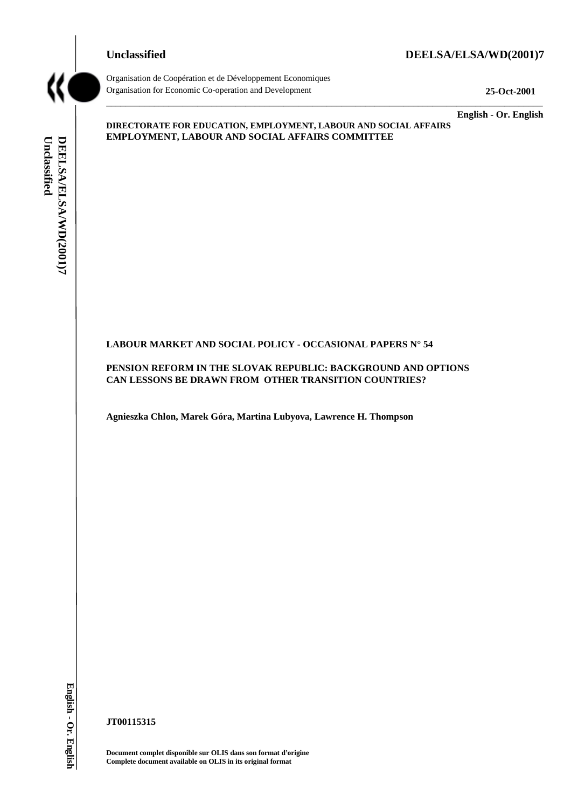#### **Unclassified DEELSA/ELSA/WD(2001)7**



Organisation de Coopération et de Développement Economiques Organisation for Economic Co-operation and Development **25-Oct-2001**

**English - Or. English**

# Unclassified DEELSA/ELSA/WD(2001)7 **Unclassified DEELSA/ELSA/WD(2001)7**

**DIRECTORATE FOR EDUCATION, EMPLOYMENT, LABOUR AND SOCIAL AFFAIRS EMPLOYMENT, LABOUR AND SOCIAL AFFAIRS COMMITTEE**

 $\_$  ,  $\_$  ,  $\_$  ,  $\_$  ,  $\_$  ,  $\_$  ,  $\_$  ,  $\_$  ,  $\_$  ,  $\_$  ,  $\_$  ,  $\_$  ,  $\_$  ,  $\_$  ,  $\_$  ,  $\_$  ,  $\_$  ,  $\_$  ,  $\_$  ,  $\_$  ,  $\_$  ,  $\_$  ,  $\_$  ,  $\_$  ,  $\_$  ,  $\_$  ,  $\_$  ,  $\_$  ,  $\_$  ,  $\_$  ,  $\_$  ,  $\_$  ,  $\_$  ,  $\_$  ,  $\_$  ,  $\_$  ,  $\_$  ,

#### **LABOUR MARKET AND SOCIAL POLICY - OCCASIONAL PAPERS N° 54**

**PENSION REFORM IN THE SLOVAK REPUBLIC: BACKGROUND AND OPTIONS CAN LESSONS BE DRAWN FROM OTHER TRANSITION COUNTRIES?**

**Agnieszka Chlon, Marek Góra, Martina Lubyova, Lawrence H. Thompson**

**JT00115315**

**Document complet disponible sur OLIS dans son format d'origine Complete document available on OLIS in its original format**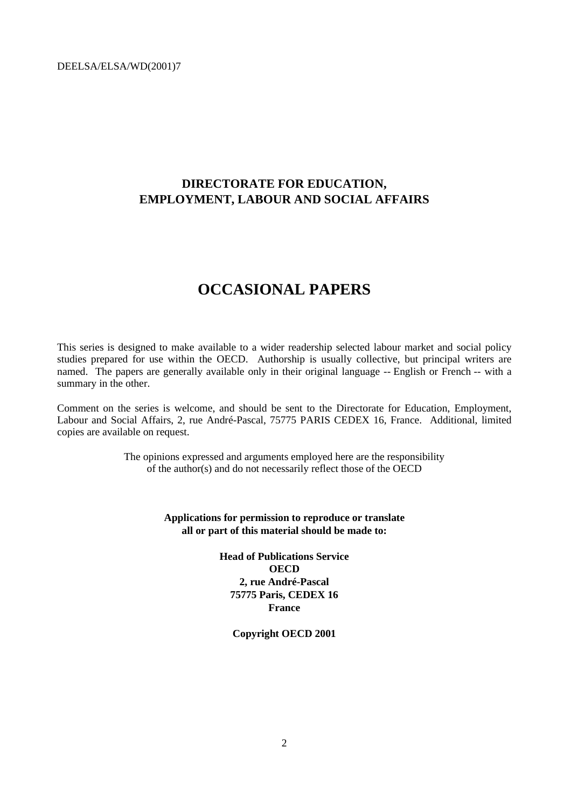### **DIRECTORATE FOR EDUCATION, EMPLOYMENT, LABOUR AND SOCIAL AFFAIRS**

## **OCCASIONAL PAPERS**

This series is designed to make available to a wider readership selected labour market and social policy studies prepared for use within the OECD. Authorship is usually collective, but principal writers are named. The papers are generally available only in their original language -- English or French -- with a summary in the other.

Comment on the series is welcome, and should be sent to the Directorate for Education, Employment, Labour and Social Affairs, 2, rue André-Pascal, 75775 PARIS CEDEX 16, France. Additional, limited copies are available on request.

> The opinions expressed and arguments employed here are the responsibility of the author(s) and do not necessarily reflect those of the OECD

> > **Applications for permission to reproduce or translate all or part of this material should be made to:**

> > > **Head of Publications Service OECD 2, rue André-Pascal 75775 Paris, CEDEX 16 France**

> > > > **Copyright OECD 2001**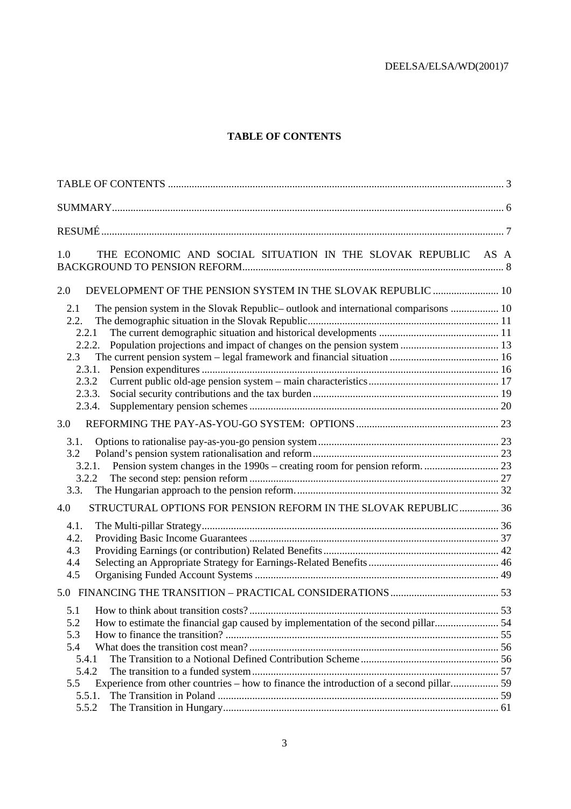#### **TABLE OF CONTENTS**

| THE ECONOMIC AND SOCIAL SITUATION IN THE SLOVAK REPUBLIC AS A<br>1.0                        |  |
|---------------------------------------------------------------------------------------------|--|
| DEVELOPMENT OF THE PENSION SYSTEM IN THE SLOVAK REPUBLIC  10<br>2.0                         |  |
| The pension system in the Slovak Republic- outlook and international comparisons  10<br>2.1 |  |
| 2.2.                                                                                        |  |
| 2.2.1                                                                                       |  |
| 2.2.2.                                                                                      |  |
| 2.3                                                                                         |  |
| 2.3.1.                                                                                      |  |
| 2.3.2                                                                                       |  |
| 2.3.3.                                                                                      |  |
| 2.3.4.                                                                                      |  |
| 3.0                                                                                         |  |
| 3.1.                                                                                        |  |
| 3.2                                                                                         |  |
| 3.2.1.                                                                                      |  |
| 3.2.2                                                                                       |  |
| 3.3.                                                                                        |  |
| STRUCTURAL OPTIONS FOR PENSION REFORM IN THE SLOVAK REPUBLIC 36<br>4.0                      |  |
| 4.1.                                                                                        |  |
| 4.2.                                                                                        |  |
| 4.3                                                                                         |  |
| 4.4                                                                                         |  |
| 4.5                                                                                         |  |
|                                                                                             |  |
|                                                                                             |  |
| 5.1                                                                                         |  |
| How to estimate the financial gap caused by implementation of the second pillar 54<br>5.2   |  |
| 5.3                                                                                         |  |
| 5.4                                                                                         |  |
| 5.4.1<br>5.4.2                                                                              |  |
| Experience from other countries - how to finance the introduction of a second pillar 59     |  |
| 5.5<br>5.5.1.                                                                               |  |
| 5.5.2                                                                                       |  |
|                                                                                             |  |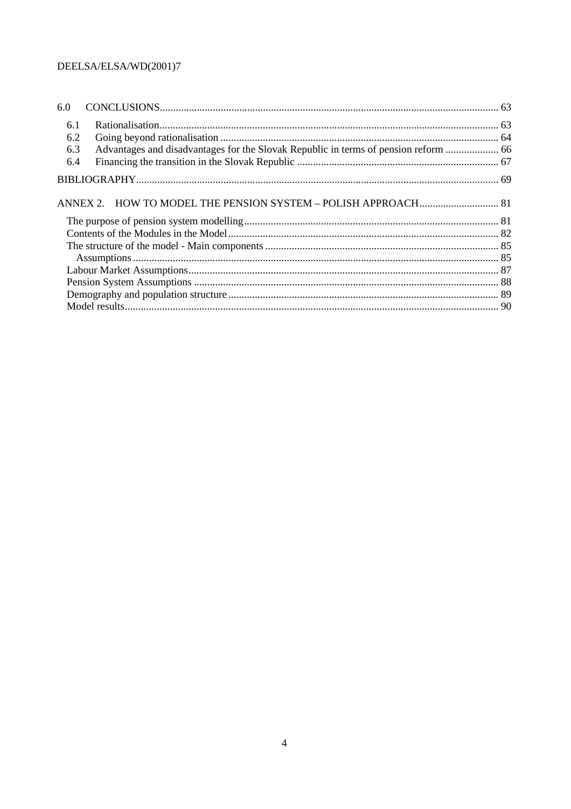| 6.0 |                                                                                     |  |
|-----|-------------------------------------------------------------------------------------|--|
| 6.1 |                                                                                     |  |
| 6.2 |                                                                                     |  |
| 6.3 | Advantages and disadvantages for the Slovak Republic in terms of pension reform  66 |  |
| 6.4 |                                                                                     |  |
|     |                                                                                     |  |
|     |                                                                                     |  |
|     |                                                                                     |  |
|     |                                                                                     |  |
|     |                                                                                     |  |
|     |                                                                                     |  |
|     |                                                                                     |  |
|     |                                                                                     |  |
|     |                                                                                     |  |
|     |                                                                                     |  |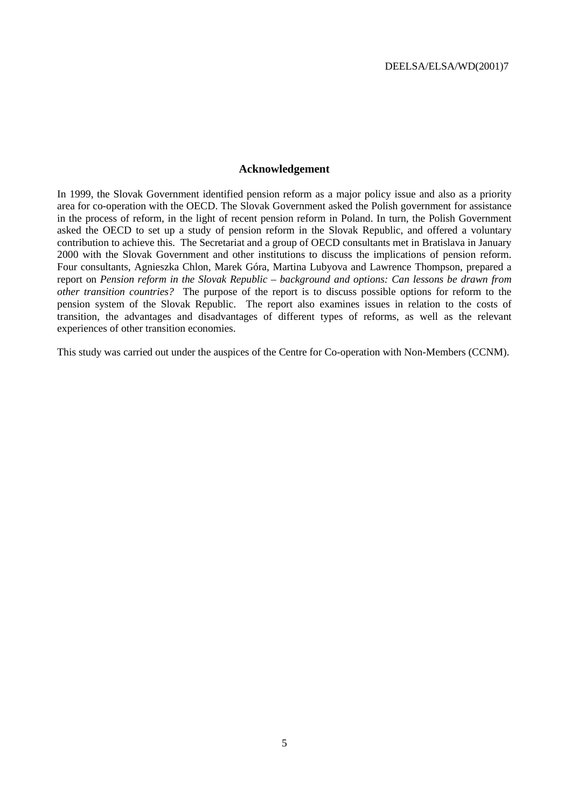#### **Acknowledgement**

In 1999, the Slovak Government identified pension reform as a major policy issue and also as a priority area for co-operation with the OECD. The Slovak Government asked the Polish government for assistance in the process of reform, in the light of recent pension reform in Poland. In turn, the Polish Government asked the OECD to set up a study of pension reform in the Slovak Republic, and offered a voluntary contribution to achieve this. The Secretariat and a group of OECD consultants met in Bratislava in January 2000 with the Slovak Government and other institutions to discuss the implications of pension reform. Four consultants, Agnieszka Chlon, Marek Góra, Martina Lubyova and Lawrence Thompson, prepared a report on *Pension reform in the Slovak Republic – background and options: Can lessons be drawn from other transition countries?* The purpose of the report is to discuss possible options for reform to the pension system of the Slovak Republic. The report also examines issues in relation to the costs of transition, the advantages and disadvantages of different types of reforms, as well as the relevant experiences of other transition economies.

This study was carried out under the auspices of the Centre for Co-operation with Non-Members (CCNM).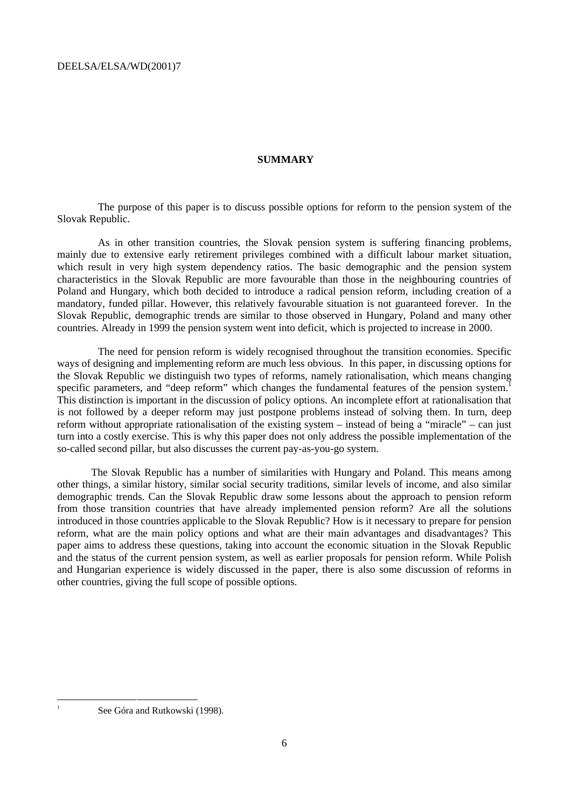#### **SUMMARY**

The purpose of this paper is to discuss possible options for reform to the pension system of the Slovak Republic.

As in other transition countries, the Slovak pension system is suffering financing problems, mainly due to extensive early retirement privileges combined with a difficult labour market situation, which result in very high system dependency ratios. The basic demographic and the pension system characteristics in the Slovak Republic are more favourable than those in the neighbouring countries of Poland and Hungary, which both decided to introduce a radical pension reform, including creation of a mandatory, funded pillar. However, this relatively favourable situation is not guaranteed forever. In the Slovak Republic, demographic trends are similar to those observed in Hungary, Poland and many other countries. Already in 1999 the pension system went into deficit, which is projected to increase in 2000.

The need for pension reform is widely recognised throughout the transition economies. Specific ways of designing and implementing reform are much less obvious. In this paper, in discussing options for the Slovak Republic we distinguish two types of reforms, namely rationalisation, which means changing specific parameters, and "deep reform" which changes the fundamental features of the pension system.<sup>1</sup> This distinction is important in the discussion of policy options. An incomplete effort at rationalisation that is not followed by a deeper reform may just postpone problems instead of solving them. In turn, deep reform without appropriate rationalisation of the existing system – instead of being a "miracle" – can just turn into a costly exercise. This is why this paper does not only address the possible implementation of the so-called second pillar, but also discusses the current pay-as-you-go system.

The Slovak Republic has a number of similarities with Hungary and Poland. This means among other things, a similar history, similar social security traditions, similar levels of income, and also similar demographic trends. Can the Slovak Republic draw some lessons about the approach to pension reform from those transition countries that have already implemented pension reform? Are all the solutions introduced in those countries applicable to the Slovak Republic? How is it necessary to prepare for pension reform, what are the main policy options and what are their main advantages and disadvantages? This paper aims to address these questions, taking into account the economic situation in the Slovak Republic and the status of the current pension system, as well as earlier proposals for pension reform. While Polish and Hungarian experience is widely discussed in the paper, there is also some discussion of reforms in other countries, giving the full scope of possible options.

See Góra and Rutkowski (1998).

 $\frac{1}{1}$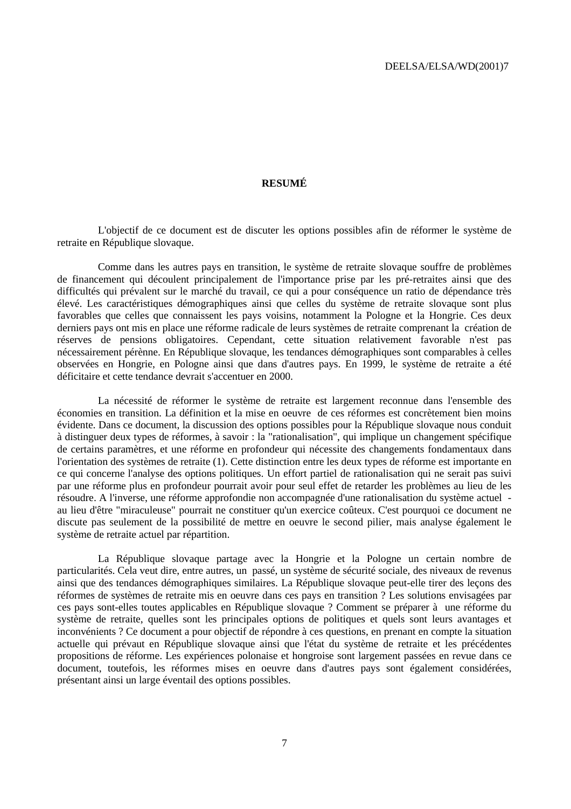#### **RESUMÉ**

L'objectif de ce document est de discuter les options possibles afin de réformer le système de retraite en République slovaque.

Comme dans les autres pays en transition, le système de retraite slovaque souffre de problèmes de financement qui découlent principalement de l'importance prise par les pré-retraites ainsi que des difficultés qui prévalent sur le marché du travail, ce qui a pour conséquence un ratio de dépendance très élevé. Les caractéristiques démographiques ainsi que celles du système de retraite slovaque sont plus favorables que celles que connaissent les pays voisins, notamment la Pologne et la Hongrie. Ces deux derniers pays ont mis en place une réforme radicale de leurs systèmes de retraite comprenant la création de réserves de pensions obligatoires. Cependant, cette situation relativement favorable n'est pas nécessairement pérènne. En République slovaque, les tendances démographiques sont comparables à celles observées en Hongrie, en Pologne ainsi que dans d'autres pays. En 1999, le système de retraite a été déficitaire et cette tendance devrait s'accentuer en 2000.

La nécessité de réformer le système de retraite est largement reconnue dans l'ensemble des économies en transition. La définition et la mise en oeuvre de ces réformes est concrètement bien moins évidente. Dans ce document, la discussion des options possibles pour la République slovaque nous conduit à distinguer deux types de réformes, à savoir : la "rationalisation", qui implique un changement spécifique de certains paramètres, et une réforme en profondeur qui nécessite des changements fondamentaux dans l'orientation des systèmes de retraite (1). Cette distinction entre les deux types de réforme est importante en ce qui concerne l'analyse des options politiques. Un effort partiel de rationalisation qui ne serait pas suivi par une réforme plus en profondeur pourrait avoir pour seul effet de retarder les problèmes au lieu de les résoudre. A l'inverse, une réforme approfondie non accompagnée d'une rationalisation du système actuel au lieu d'être "miraculeuse" pourrait ne constituer qu'un exercice coûteux. C'est pourquoi ce document ne discute pas seulement de la possibilité de mettre en oeuvre le second pilier, mais analyse également le système de retraite actuel par répartition.

La République slovaque partage avec la Hongrie et la Pologne un certain nombre de particularités. Cela veut dire, entre autres, un passé, un système de sécurité sociale, des niveaux de revenus ainsi que des tendances démographiques similaires. La République slovaque peut-elle tirer des leçons des réformes de systèmes de retraite mis en oeuvre dans ces pays en transition ? Les solutions envisagées par ces pays sont-elles toutes applicables en République slovaque ? Comment se préparer à une réforme du système de retraite, quelles sont les principales options de politiques et quels sont leurs avantages et inconvénients ? Ce document a pour objectif de répondre à ces questions, en prenant en compte la situation actuelle qui prévaut en République slovaque ainsi que l'état du système de retraite et les précédentes propositions de réforme. Les expériences polonaise et hongroise sont largement passées en revue dans ce document, toutefois, les réformes mises en oeuvre dans d'autres pays sont également considérées, présentant ainsi un large éventail des options possibles.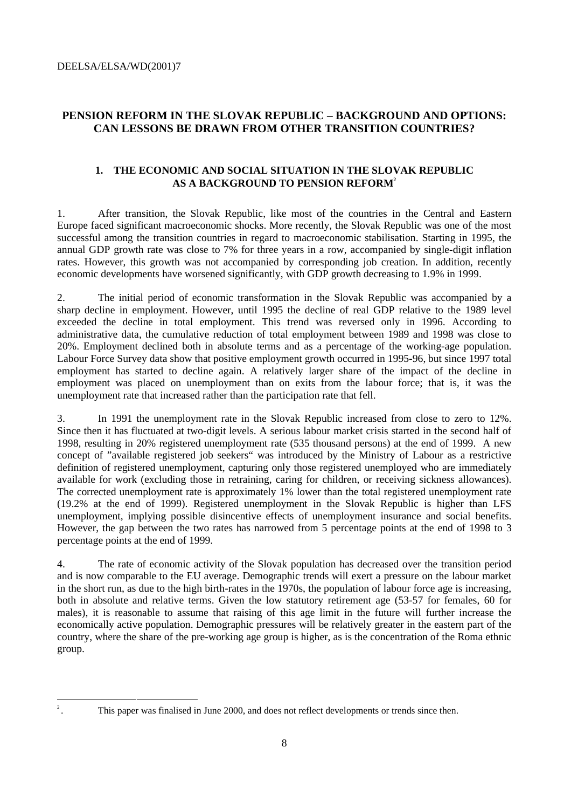#### **PENSION REFORM IN THE SLOVAK REPUBLIC – BACKGROUND AND OPTIONS: CAN LESSONS BE DRAWN FROM OTHER TRANSITION COUNTRIES?**

#### **1. THE ECONOMIC AND SOCIAL SITUATION IN THE SLOVAK REPUBLIC** AS A BACKGROUND TO PENSION REFORM<sup>2</sup>

1. After transition, the Slovak Republic, like most of the countries in the Central and Eastern Europe faced significant macroeconomic shocks. More recently, the Slovak Republic was one of the most successful among the transition countries in regard to macroeconomic stabilisation. Starting in 1995, the annual GDP growth rate was close to 7% for three years in a row, accompanied by single-digit inflation rates. However, this growth was not accompanied by corresponding job creation. In addition, recently economic developments have worsened significantly, with GDP growth decreasing to 1.9% in 1999.

2. The initial period of economic transformation in the Slovak Republic was accompanied by a sharp decline in employment. However, until 1995 the decline of real GDP relative to the 1989 level exceeded the decline in total employment. This trend was reversed only in 1996. According to administrative data, the cumulative reduction of total employment between 1989 and 1998 was close to 20%. Employment declined both in absolute terms and as a percentage of the working-age population. Labour Force Survey data show that positive employment growth occurred in 1995-96, but since 1997 total employment has started to decline again. A relatively larger share of the impact of the decline in employment was placed on unemployment than on exits from the labour force; that is, it was the unemployment rate that increased rather than the participation rate that fell.

3. In 1991 the unemployment rate in the Slovak Republic increased from close to zero to 12%. Since then it has fluctuated at two-digit levels. A serious labour market crisis started in the second half of 1998, resulting in 20% registered unemployment rate (535 thousand persons) at the end of 1999. A new concept of "available registered job seekers" was introduced by the Ministry of Labour as a restrictive definition of registered unemployment, capturing only those registered unemployed who are immediately available for work (excluding those in retraining, caring for children, or receiving sickness allowances). The corrected unemployment rate is approximately 1% lower than the total registered unemployment rate (19.2% at the end of 1999). Registered unemployment in the Slovak Republic is higher than LFS unemployment, implying possible disincentive effects of unemployment insurance and social benefits. However, the gap between the two rates has narrowed from 5 percentage points at the end of 1998 to 3 percentage points at the end of 1999.

4. The rate of economic activity of the Slovak population has decreased over the transition period and is now comparable to the EU average. Demographic trends will exert a pressure on the labour market in the short run, as due to the high birth-rates in the 1970s, the population of labour force age is increasing, both in absolute and relative terms. Given the low statutory retirement age (53-57 for females, 60 for males), it is reasonable to assume that raising of this age limit in the future will further increase the economically active population. Demographic pressures will be relatively greater in the eastern part of the country, where the share of the pre-working age group is higher, as is the concentration of the Roma ethnic group.

 <sup>2 .</sup> This paper was finalised in June 2000, and does not reflect developments or trends since then.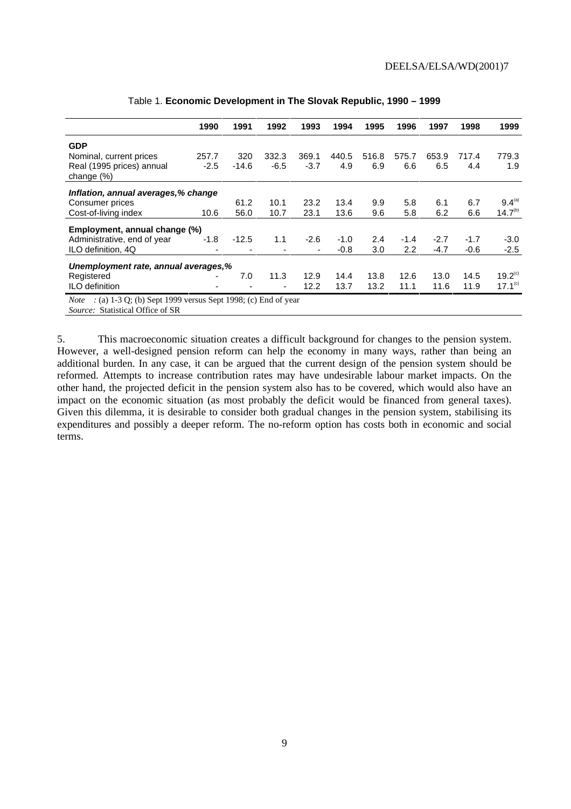|                                                                                                                                   | 1990   | 1991    | 1992   | 1993   | 1994   | 1995  | 1996             | 1997   | 1998   | 1999                |
|-----------------------------------------------------------------------------------------------------------------------------------|--------|---------|--------|--------|--------|-------|------------------|--------|--------|---------------------|
| <b>GDP</b>                                                                                                                        |        |         |        |        |        |       |                  |        |        |                     |
| Nominal, current prices                                                                                                           | 257.7  | 320     | 332.3  | 369.1  | 440.5  | 516.8 | 575.7            | 653.9  | 717.4  | 779.3               |
| Real (1995 prices) annual<br>change $(\%)$                                                                                        | $-2.5$ | $-14.6$ | $-6.5$ | $-3.7$ | 4.9    | 6.9   | 6.6              | 6.5    | 4.4    | 1.9                 |
| Inflation, annual averages,% change                                                                                               |        |         |        |        |        |       |                  |        |        |                     |
| Consumer prices                                                                                                                   |        | 61.2    | 10.1   | 23.2   | 13.4   | 9.9   | 5.8              | 6.1    | 6.7    | $9.4^{(a)}$         |
| Cost-of-living index                                                                                                              | 10.6   | 56.0    | 10.7   | 23.1   | 13.6   | 9.6   | 5.8              | 6.2    | 6.6    | 14.7 <sup>(b)</sup> |
| Employment, annual change (%)                                                                                                     |        |         |        |        |        |       |                  |        |        |                     |
| Administrative, end of year                                                                                                       | $-1.8$ | $-12.5$ | 1.1    | $-2.6$ | $-1.0$ | 2.4   | $-1.4$           | $-2.7$ | $-1.7$ | $-3.0$              |
| ILO definition, 4Q                                                                                                                |        |         |        | ٠      | $-0.8$ | 3.0   | $2.2\phantom{0}$ | $-4.7$ | $-0.6$ | $-2.5$              |
| Unemployment rate, annual averages,%                                                                                              |        |         |        |        |        |       |                  |        |        |                     |
| Registered                                                                                                                        |        | 7.0     | 11.3   | 12.9   | 14.4   | 13.8  | 12.6             | 13.0   | 14.5   | 19.2 <sup>(c)</sup> |
| ILO definition                                                                                                                    |        |         |        | 12.2   | 13.7   | 13.2  | 11.1             | 11.6   | 11.9   | 17.1 <sup>(c)</sup> |
| $\therefore$ (a) 1-3 Q; (b) Sept 1999 versus Sept 1998; (c) End of year<br><i>Note</i><br><i>Source:</i> Statistical Office of SR |        |         |        |        |        |       |                  |        |        |                     |

#### Table 1. **Economic Development in The Slovak Republic, 1990 – 1999**

5. This macroeconomic situation creates a difficult background for changes to the pension system. However, a well-designed pension reform can help the economy in many ways, rather than being an additional burden. In any case, it can be argued that the current design of the pension system should be reformed. Attempts to increase contribution rates may have undesirable labour market impacts. On the other hand, the projected deficit in the pension system also has to be covered, which would also have an impact on the economic situation (as most probably the deficit would be financed from general taxes). Given this dilemma, it is desirable to consider both gradual changes in the pension system, stabilising its expenditures and possibly a deeper reform. The no-reform option has costs both in economic and social terms.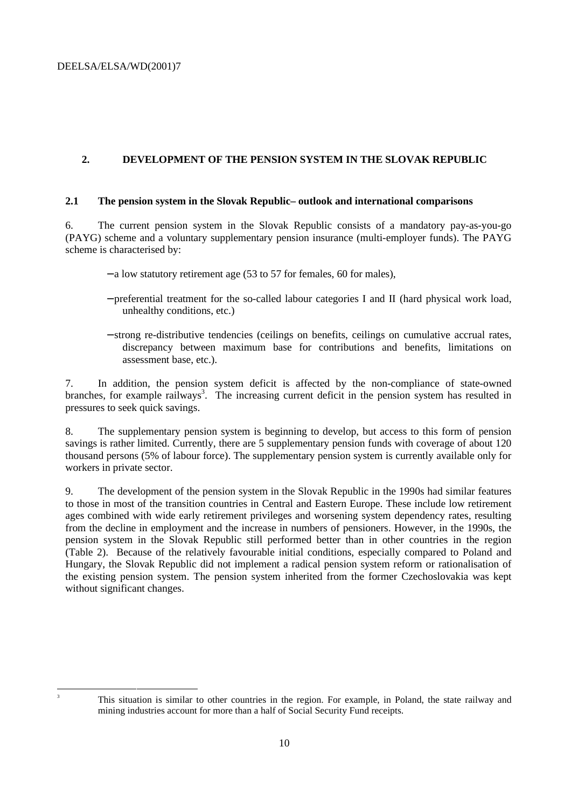#### **2. DEVELOPMENT OF THE PENSION SYSTEM IN THE SLOVAK REPUBLIC**

#### **2.1 The pension system in the Slovak Republic– outlook and international comparisons**

6. The current pension system in the Slovak Republic consists of a mandatory pay-as-you-go (PAYG) scheme and a voluntary supplementary pension insurance (multi-employer funds). The PAYG scheme is characterised by:

- − a low statutory retirement age (53 to 57 for females, 60 for males),
- − preferential treatment for the so-called labour categories I and II (hard physical work load, unhealthy conditions, etc.)
- − strong re-distributive tendencies (ceilings on benefits, ceilings on cumulative accrual rates, discrepancy between maximum base for contributions and benefits, limitations on assessment base, etc.).

7. In addition, the pension system deficit is affected by the non-compliance of state-owned branches, for example railways<sup>3</sup>. The increasing current deficit in the pension system has resulted in pressures to seek quick savings.

8. The supplementary pension system is beginning to develop, but access to this form of pension savings is rather limited. Currently, there are 5 supplementary pension funds with coverage of about 120 thousand persons (5% of labour force). The supplementary pension system is currently available only for workers in private sector.

9. The development of the pension system in the Slovak Republic in the 1990s had similar features to those in most of the transition countries in Central and Eastern Europe. These include low retirement ages combined with wide early retirement privileges and worsening system dependency rates, resulting from the decline in employment and the increase in numbers of pensioners. However, in the 1990s, the pension system in the Slovak Republic still performed better than in other countries in the region (Table 2). Because of the relatively favourable initial conditions, especially compared to Poland and Hungary, the Slovak Republic did not implement a radical pension system reform or rationalisation of the existing pension system. The pension system inherited from the former Czechoslovakia was kept without significant changes.

 $\frac{1}{3}$ 

This situation is similar to other countries in the region. For example, in Poland, the state railway and mining industries account for more than a half of Social Security Fund receipts.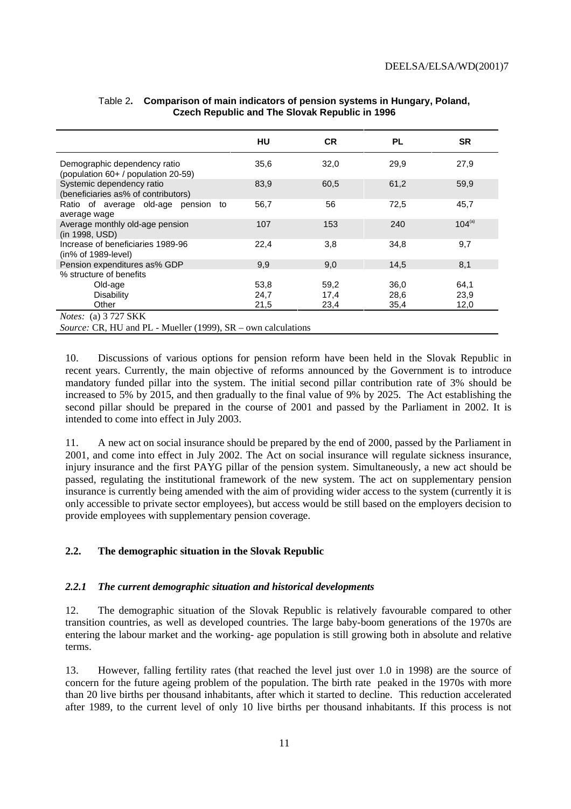|                                                                      | HU   | <b>CR</b> | <b>PL</b> | <b>SR</b>   |
|----------------------------------------------------------------------|------|-----------|-----------|-------------|
| Demographic dependency ratio<br>(population 60+ / population 20-59)  | 35,6 | 32,0      | 29,9      | 27,9        |
| Systemic dependency ratio<br>(beneficiaries as% of contributors)     | 83,9 | 60,5      | 61,2      | 59,9        |
| Ratio of average old-age pension to<br>average wage                  | 56,7 | 56        | 72,5      | 45,7        |
| Average monthly old-age pension<br>(in 1998, USD)                    | 107  | 153       | 240       | $104^{(a)}$ |
| Increase of beneficiaries 1989-96<br>$(in\% of 1989-level)$          | 22,4 | 3,8       | 34,8      | 9,7         |
| Pension expenditures as% GDP                                         | 9,9  | 9,0       | 14,5      | 8,1         |
| % structure of benefits                                              |      |           |           |             |
| Old-age                                                              | 53,8 | 59,2      | 36,0      | 64,1        |
| Disability                                                           | 24,7 | 17,4      | 28,6      | 23,9        |
| Other                                                                | 21,5 | 23,4      | 35,4      | 12,0        |
| <i>Notes:</i> (a) 3 727 SKK                                          |      |           |           |             |
| <i>Source:</i> CR, HU and PL - Mueller (1999), SR – own calculations |      |           |           |             |

#### Table 2**. Comparison of main indicators of pension systems in Hungary, Poland, Czech Republic and The Slovak Republic in 1996**

10. Discussions of various options for pension reform have been held in the Slovak Republic in recent years. Currently, the main objective of reforms announced by the Government is to introduce mandatory funded pillar into the system. The initial second pillar contribution rate of 3% should be increased to 5% by 2015, and then gradually to the final value of 9% by 2025. The Act establishing the second pillar should be prepared in the course of 2001 and passed by the Parliament in 2002. It is intended to come into effect in July 2003.

11. A new act on social insurance should be prepared by the end of 2000, passed by the Parliament in 2001, and come into effect in July 2002. The Act on social insurance will regulate sickness insurance, injury insurance and the first PAYG pillar of the pension system. Simultaneously, a new act should be passed, regulating the institutional framework of the new system. The act on supplementary pension insurance is currently being amended with the aim of providing wider access to the system (currently it is only accessible to private sector employees), but access would be still based on the employers decision to provide employees with supplementary pension coverage.

#### **2.2. The demographic situation in the Slovak Republic**

#### *2.2.1 The current demographic situation and historical developments*

12. The demographic situation of the Slovak Republic is relatively favourable compared to other transition countries, as well as developed countries. The large baby-boom generations of the 1970s are entering the labour market and the working- age population is still growing both in absolute and relative terms.

13. However, falling fertility rates (that reached the level just over 1.0 in 1998) are the source of concern for the future ageing problem of the population. The birth rate peaked in the 1970s with more than 20 live births per thousand inhabitants, after which it started to decline. This reduction accelerated after 1989, to the current level of only 10 live births per thousand inhabitants. If this process is not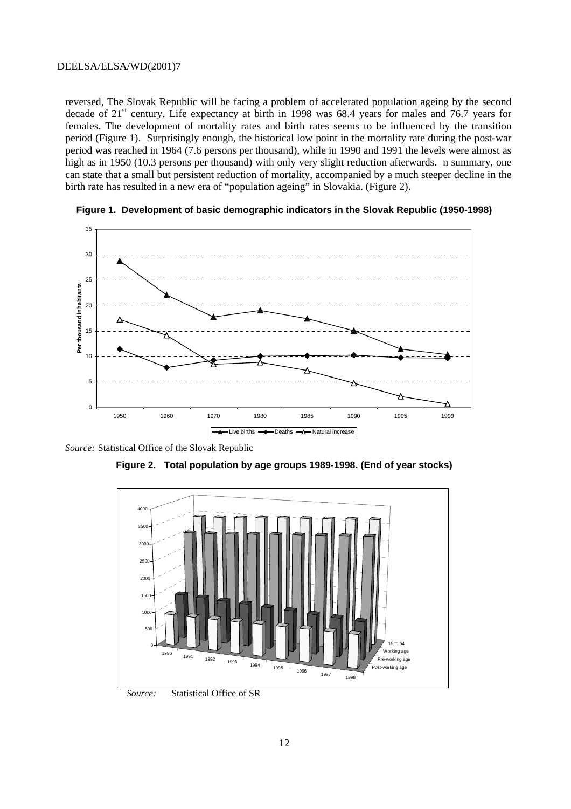reversed, The Slovak Republic will be facing a problem of accelerated population ageing by the second decade of  $21<sup>st</sup>$  century. Life expectancy at birth in 1998 was 68.4 years for males and 76.7 years for females. The development of mortality rates and birth rates seems to be influenced by the transition period (Figure 1). Surprisingly enough, the historical low point in the mortality rate during the post-war period was reached in 1964 (7.6 persons per thousand), while in 1990 and 1991 the levels were almost as high as in 1950 (10.3 persons per thousand) with only very slight reduction afterwards. n summary, one can state that a small but persistent reduction of mortality, accompanied by a much steeper decline in the birth rate has resulted in a new era of "population ageing" in Slovakia. (Figure 2).





*Source:* Statistical Office of the Slovak Republic





*Source:* Statistical Office of SR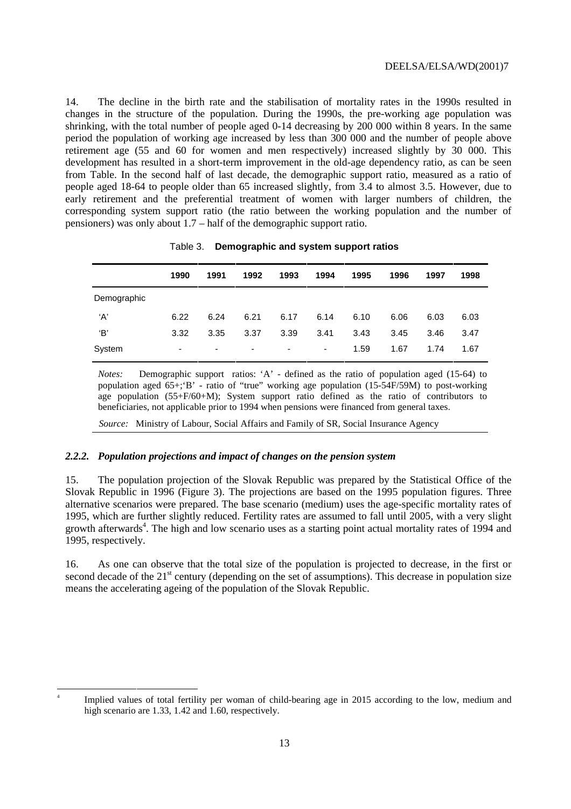14. The decline in the birth rate and the stabilisation of mortality rates in the 1990s resulted in changes in the structure of the population. During the 1990s, the pre-working age population was shrinking, with the total number of people aged 0-14 decreasing by 200 000 within 8 years. In the same period the population of working age increased by less than 300 000 and the number of people above retirement age (55 and 60 for women and men respectively) increased slightly by 30 000. This development has resulted in a short-term improvement in the old-age dependency ratio, as can be seen from Table. In the second half of last decade, the demographic support ratio, measured as a ratio of people aged 18-64 to people older than 65 increased slightly, from 3.4 to almost 3.5. However, due to early retirement and the preferential treatment of women with larger numbers of children, the corresponding system support ratio (the ratio between the working population and the number of pensioners) was only about 1.7 – half of the demographic support ratio.

|             | 1990 | 1991 | 1992 | 1993 | 1994 | 1995 | 1996 | 1997 | 1998 |
|-------------|------|------|------|------|------|------|------|------|------|
| Demographic |      |      |      |      |      |      |      |      |      |
| ʻA'         | 6.22 | 6.24 | 6.21 | 6.17 | 6.14 | 6.10 | 6.06 | 6.03 | 6.03 |
| 'В'         | 3.32 | 3.35 | 3.37 | 3.39 | 3.41 | 3.43 | 3.45 | 3.46 | 3.47 |
| System      | ۰    | ٠    | ٠    | ٠    | ۰    | 1.59 | 1.67 | 1.74 | 1.67 |

| Table 3. | Demographic and system support ratios |  |  |
|----------|---------------------------------------|--|--|
|----------|---------------------------------------|--|--|

*Notes:* Demographic support ratios: 'A' - defined as the ratio of population aged (15-64) to population aged  $65+:$ <sup>4</sup> $B'$  - ratio of "true" working age population  $(15-54F/59M)$  to post-working age population  $(55+F/60+M)$ ; System support ratio defined as the ratio of contributors to beneficiaries, not applicable prior to 1994 when pensions were financed from general taxes.

 *Source:* Ministry of Labour, Social Affairs and Family of SR, Social Insurance Agency

#### *2.2.2. Population projections and impact of changes on the pension system*

 $\frac{1}{4}$ 

15. The population projection of the Slovak Republic was prepared by the Statistical Office of the Slovak Republic in 1996 (Figure 3). The projections are based on the 1995 population figures. Three alternative scenarios were prepared. The base scenario (medium) uses the age-specific mortality rates of 1995, which are further slightly reduced. Fertility rates are assumed to fall until 2005, with a very slight growth afterwards<sup>4</sup>. The high and low scenario uses as a starting point actual mortality rates of 1994 and 1995, respectively.

16. As one can observe that the total size of the population is projected to decrease, in the first or second decade of the  $21<sup>st</sup>$  century (depending on the set of assumptions). This decrease in population size means the accelerating ageing of the population of the Slovak Republic.

Implied values of total fertility per woman of child-bearing age in 2015 according to the low, medium and high scenario are 1.33, 1.42 and 1.60, respectively.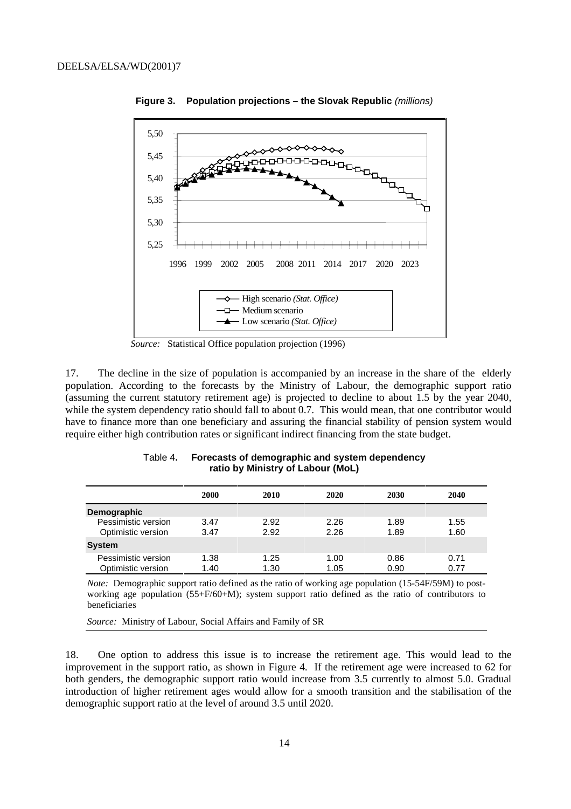

**Figure 3. Population projections – the Slovak Republic** (millions)

*Source:* Statistical Office population projection (1996)

17. The decline in the size of population is accompanied by an increase in the share of the elderly population. According to the forecasts by the Ministry of Labour, the demographic support ratio (assuming the current statutory retirement age) is projected to decline to about 1.5 by the year 2040, while the system dependency ratio should fall to about 0.7. This would mean, that one contributor would have to finance more than one beneficiary and assuring the financial stability of pension system would require either high contribution rates or significant indirect financing from the state budget.

|                                           | 2000         | 2010         | 2020         | 2030         | 2040         |
|-------------------------------------------|--------------|--------------|--------------|--------------|--------------|
| Demographic                               |              |              |              |              |              |
| Pessimistic version<br>Optimistic version | 3.47<br>3.47 | 2.92<br>2.92 | 2.26<br>2.26 | 1.89<br>1.89 | 1.55<br>1.60 |
| <b>System</b>                             |              |              |              |              |              |
| Pessimistic version<br>Optimistic version | 1.38<br>1.40 | 1.25<br>1.30 | 1.00<br>1.05 | 0.86<br>0.90 | 0.71<br>0.77 |

Table 4**. Forecasts of demographic and system dependency ratio by Ministry of Labour (MoL)**

*Note:* Demographic support ratio defined as the ratio of working age population (15-54F/59M) to postworking age population (55+F/60+M); system support ratio defined as the ratio of contributors to beneficiaries

*Source:* Ministry of Labour, Social Affairs and Family of SR

18. One option to address this issue is to increase the retirement age. This would lead to the improvement in the support ratio, as shown in Figure 4. If the retirement age were increased to 62 for both genders, the demographic support ratio would increase from 3.5 currently to almost 5.0. Gradual introduction of higher retirement ages would allow for a smooth transition and the stabilisation of the demographic support ratio at the level of around 3.5 until 2020.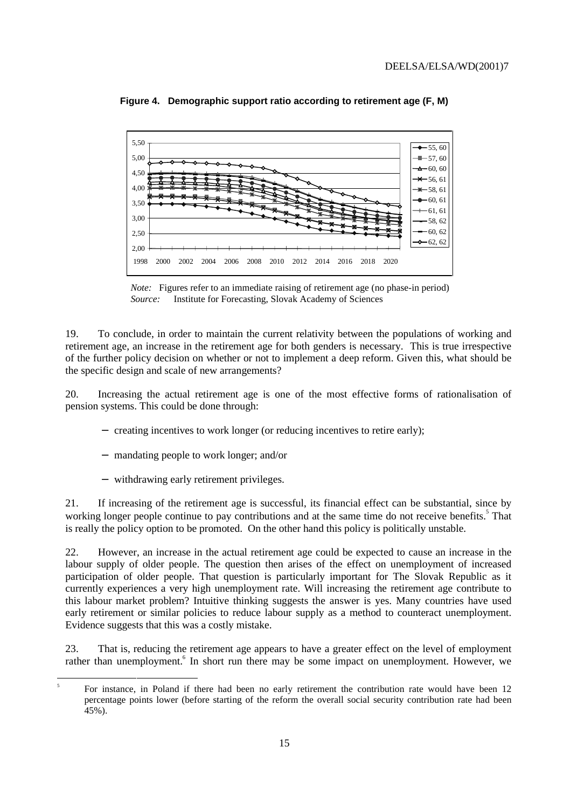

**Figure 4. Demographic support ratio according to retirement age (F, M)**

*Note:* Figures refer to an immediate raising of retirement age (no phase-in period) *Source:* Institute for Forecasting, Slovak Academy of Sciences

19. To conclude, in order to maintain the current relativity between the populations of working and retirement age, an increase in the retirement age for both genders is necessary. This is true irrespective of the further policy decision on whether or not to implement a deep reform. Given this, what should be the specific design and scale of new arrangements?

20. Increasing the actual retirement age is one of the most effective forms of rationalisation of pension systems. This could be done through:

- − creating incentives to work longer (or reducing incentives to retire early);
- − mandating people to work longer; and/or
- − withdrawing early retirement privileges.

21. If increasing of the retirement age is successful, its financial effect can be substantial, since by working longer people continue to pay contributions and at the same time do not receive benefits.<sup>5</sup> That is really the policy option to be promoted. On the other hand this policy is politically unstable.

22. However, an increase in the actual retirement age could be expected to cause an increase in the labour supply of older people. The question then arises of the effect on unemployment of increased participation of older people. That question is particularly important for The Slovak Republic as it currently experiences a very high unemployment rate. Will increasing the retirement age contribute to this labour market problem? Intuitive thinking suggests the answer is yes. Many countries have used early retirement or similar policies to reduce labour supply as a method to counteract unemployment. Evidence suggests that this was a costly mistake.

23. That is, reducing the retirement age appears to have a greater effect on the level of employment rather than unemployment.<sup>6</sup> In short run there may be some impact on unemployment. However, we

<sup>-&</sup>lt;br>5 For instance, in Poland if there had been no early retirement the contribution rate would have been 12 percentage points lower (before starting of the reform the overall social security contribution rate had been 45%).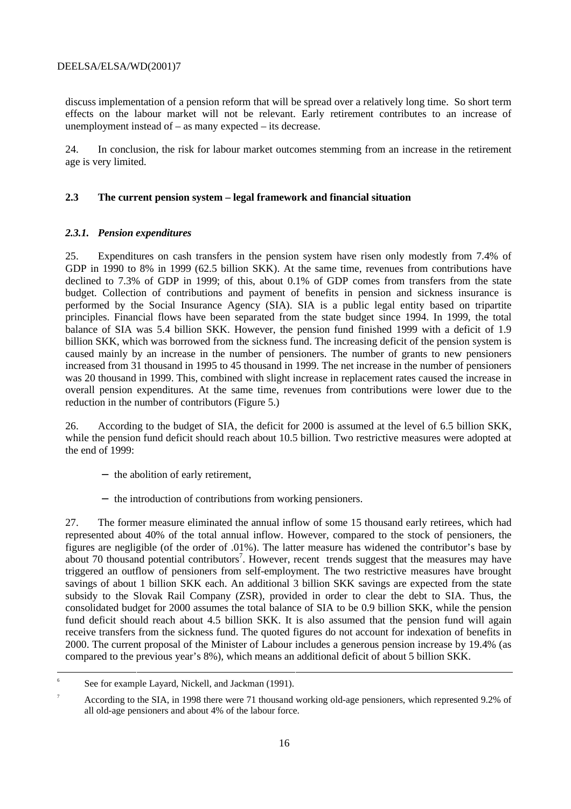discuss implementation of a pension reform that will be spread over a relatively long time. So short term effects on the labour market will not be relevant. Early retirement contributes to an increase of unemployment instead of – as many expected – its decrease.

24. In conclusion, the risk for labour market outcomes stemming from an increase in the retirement age is very limited.

#### **2.3 The current pension system – legal framework and financial situation**

#### *2.3.1. Pension expenditures*

25. Expenditures on cash transfers in the pension system have risen only modestly from 7.4% of GDP in 1990 to 8% in 1999 (62.5 billion SKK). At the same time, revenues from contributions have declined to 7.3% of GDP in 1999; of this, about 0.1% of GDP comes from transfers from the state budget. Collection of contributions and payment of benefits in pension and sickness insurance is performed by the Social Insurance Agency (SIA). SIA is a public legal entity based on tripartite principles. Financial flows have been separated from the state budget since 1994. In 1999, the total balance of SIA was 5.4 billion SKK. However, the pension fund finished 1999 with a deficit of 1.9 billion SKK, which was borrowed from the sickness fund. The increasing deficit of the pension system is caused mainly by an increase in the number of pensioners. The number of grants to new pensioners increased from 31 thousand in 1995 to 45 thousand in 1999. The net increase in the number of pensioners was 20 thousand in 1999. This, combined with slight increase in replacement rates caused the increase in overall pension expenditures. At the same time, revenues from contributions were lower due to the reduction in the number of contributors (Figure 5.)

26. According to the budget of SIA, the deficit for 2000 is assumed at the level of 6.5 billion SKK, while the pension fund deficit should reach about 10.5 billion. Two restrictive measures were adopted at the end of 1999:

- − the abolition of early retirement,
- − the introduction of contributions from working pensioners.

27. The former measure eliminated the annual inflow of some 15 thousand early retirees, which had represented about 40% of the total annual inflow. However, compared to the stock of pensioners, the figures are negligible (of the order of .01%). The latter measure has widened the contributor's base by about 70 thousand potential contributors<sup>7</sup>. However, recent trends suggest that the measures may have triggered an outflow of pensioners from self-employment. The two restrictive measures have brought savings of about 1 billion SKK each. An additional 3 billion SKK savings are expected from the state subsidy to the Slovak Rail Company (ZSR), provided in order to clear the debt to SIA. Thus, the consolidated budget for 2000 assumes the total balance of SIA to be 0.9 billion SKK, while the pension fund deficit should reach about 4.5 billion SKK. It is also assumed that the pension fund will again receive transfers from the sickness fund. The quoted figures do not account for indexation of benefits in 2000. The current proposal of the Minister of Labour includes a generous pension increase by 19.4% (as compared to the previous year's 8%), which means an additional deficit of about 5 billion SKK.

<sup>-&</sup>lt;br>6  $\delta$  See for example Layard, Nickell, and Jackman (1991).

<sup>7</sup> According to the SIA, in 1998 there were 71 thousand working old-age pensioners, which represented 9.2% of all old-age pensioners and about 4% of the labour force.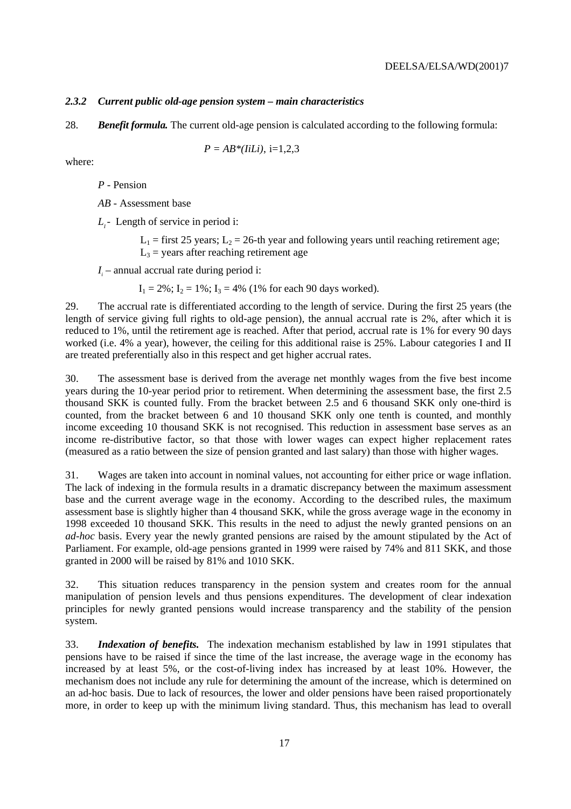#### *2.3.2 Current public old-age pension system – main characteristics*

28. *Benefit formula.* The current old-age pension is calculated according to the following formula:

$$
P = AB^*(IiLi), i=1,2,3
$$

where:

*P* - Pension

*AB* - Assessment base

*L<sub>i</sub>*- Length of service in period i:

 $L_1$  = first 25 years;  $L_2$  = 26-th year and following years until reaching retirement age;  $L_3$  = years after reaching retirement age

*I* – annual accrual rate during period i:

 $I_1 = 2\%$ ;  $I_2 = 1\%$ ;  $I_3 = 4\%$  (1% for each 90 days worked).

29. The accrual rate is differentiated according to the length of service. During the first 25 years (the length of service giving full rights to old-age pension), the annual accrual rate is 2%, after which it is reduced to 1%, until the retirement age is reached. After that period, accrual rate is 1% for every 90 days worked (i.e. 4% a year), however, the ceiling for this additional raise is 25%. Labour categories I and II are treated preferentially also in this respect and get higher accrual rates.

30. The assessment base is derived from the average net monthly wages from the five best income years during the 10-year period prior to retirement. When determining the assessment base, the first 2.5 thousand SKK is counted fully. From the bracket between 2.5 and 6 thousand SKK only one-third is counted, from the bracket between 6 and 10 thousand SKK only one tenth is counted, and monthly income exceeding 10 thousand SKK is not recognised. This reduction in assessment base serves as an income re-distributive factor, so that those with lower wages can expect higher replacement rates (measured as a ratio between the size of pension granted and last salary) than those with higher wages.

31. Wages are taken into account in nominal values, not accounting for either price or wage inflation. The lack of indexing in the formula results in a dramatic discrepancy between the maximum assessment base and the current average wage in the economy. According to the described rules, the maximum assessment base is slightly higher than 4 thousand SKK, while the gross average wage in the economy in 1998 exceeded 10 thousand SKK. This results in the need to adjust the newly granted pensions on an *ad-hoc* basis. Every year the newly granted pensions are raised by the amount stipulated by the Act of Parliament. For example, old-age pensions granted in 1999 were raised by 74% and 811 SKK, and those granted in 2000 will be raised by 81% and 1010 SKK.

32. This situation reduces transparency in the pension system and creates room for the annual manipulation of pension levels and thus pensions expenditures. The development of clear indexation principles for newly granted pensions would increase transparency and the stability of the pension system.

33. *Indexation of benefits.* The indexation mechanism established by law in 1991 stipulates that pensions have to be raised if since the time of the last increase, the average wage in the economy has increased by at least 5%, or the cost-of-living index has increased by at least 10%. However, the mechanism does not include any rule for determining the amount of the increase, which is determined on an ad-hoc basis. Due to lack of resources, the lower and older pensions have been raised proportionately more, in order to keep up with the minimum living standard. Thus, this mechanism has lead to overall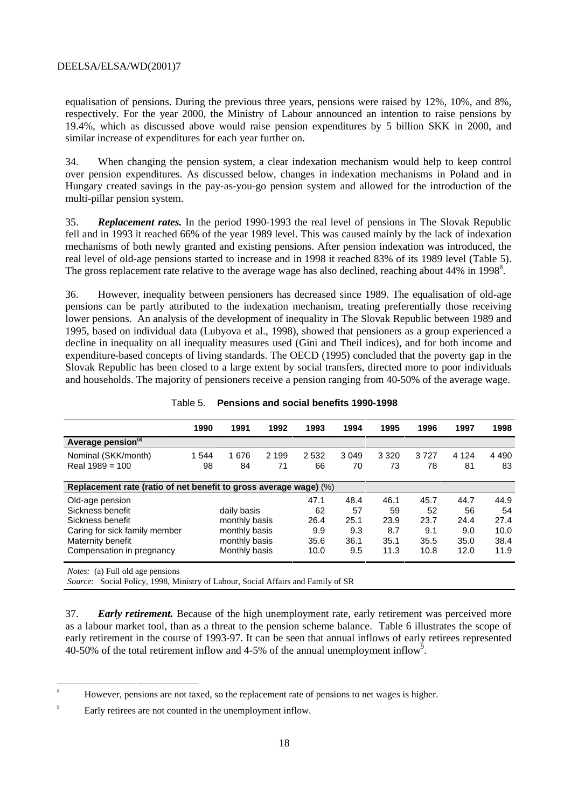equalisation of pensions. During the previous three years, pensions were raised by 12%, 10%, and 8%, respectively. For the year 2000, the Ministry of Labour announced an intention to raise pensions by 19.4%, which as discussed above would raise pension expenditures by 5 billion SKK in 2000, and similar increase of expenditures for each year further on.

34. When changing the pension system, a clear indexation mechanism would help to keep control over pension expenditures. As discussed below, changes in indexation mechanisms in Poland and in Hungary created savings in the pay-as-you-go pension system and allowed for the introduction of the multi-pillar pension system.

35. *Replacement rates.* In the period 1990-1993 the real level of pensions in The Slovak Republic fell and in 1993 it reached 66% of the year 1989 level. This was caused mainly by the lack of indexation mechanisms of both newly granted and existing pensions. After pension indexation was introduced, the real level of old-age pensions started to increase and in 1998 it reached 83% of its 1989 level (Table 5). The gross replacement rate relative to the average wage has also declined, reaching about 44% in 1998<sup>8</sup>.

36. However, inequality between pensioners has decreased since 1989. The equalisation of old-age pensions can be partly attributed to the indexation mechanism, treating preferentially those receiving lower pensions. An analysis of the development of inequality in The Slovak Republic between 1989 and 1995, based on individual data (Lubyova et al., 1998), showed that pensioners as a group experienced a decline in inequality on all inequality measures used (Gini and Theil indices), and for both income and expenditure-based concepts of living standards. The OECD (1995) concluded that the poverty gap in the Slovak Republic has been closed to a large extent by social transfers, directed more to poor individuals and households. The majority of pensioners receive a pension ranging from 40-50% of the average wage.

|                                                                   | 1990  | 1991          | 1992    | 1993 | 1994    | 1995    | 1996 | 1997    | 1998    |
|-------------------------------------------------------------------|-------|---------------|---------|------|---------|---------|------|---------|---------|
| Average pension <sup>(a)</sup>                                    |       |               |         |      |         |         |      |         |         |
| Nominal (SKK/month)                                               | 1 544 | 1676          | 2 1 9 9 | 2532 | 3 0 4 9 | 3 3 2 0 | 3727 | 4 1 2 4 | 4 4 9 0 |
| Real $1989 = 100$                                                 | 98    | 84            | 71      | 66   | 70      | 73      | 78   | 81      | 83      |
|                                                                   |       |               |         |      |         |         |      |         |         |
| Replacement rate (ratio of net benefit to gross average wage) (%) |       |               |         |      |         |         |      |         |         |
| Old-age pension                                                   |       |               |         | 47.1 | 48.4    | 46.1    | 45.7 | 44.7    | 44.9    |
| Sickness benefit                                                  |       | daily basis   |         | 62   | 57      | 59      | 52   | 56      | 54      |
| Sickness benefit                                                  |       | monthly basis |         | 26.4 | 25.1    | 23.9    | 23.7 | 24.4    | 27.4    |
| Caring for sick family member                                     |       | monthly basis |         | 9.9  | 9.3     | 8.7     | 9.1  | 9.0     | 10.0    |
| Maternity benefit                                                 |       | monthly basis |         | 35.6 | 36.1    | 35.1    | 35.5 | 35.0    | 38.4    |
| Compensation in pregnancy                                         |       | Monthly basis |         | 10.0 | 9.5     | 11.3    | 10.8 | 12.0    | 11.9    |
| $M_{\odot}$ (a) $\Gamma_{\rm m}$ 11 and a second second           |       |               |         |      |         |         |      |         |         |

Table 5. **Pensions and social benefits 1990-1998**

*Notes:* (a) Full old age pensions

*Source*: Social Policy, 1998, Ministry of Labour, Social Affairs and Family of SR

37. *Early retirement.* Because of the high unemployment rate, early retirement was perceived more as a labour market tool, than as a threat to the pension scheme balance. Table 6 illustrates the scope of early retirement in the course of 1993-97. It can be seen that annual inflows of early retirees represented 40-50% of the total retirement inflow and 4-5% of the annual unemployment inflow<sup>9</sup>.

<sup>-&</sup>lt;br>8 However, pensions are not taxed, so the replacement rate of pensions to net wages is higher.

<sup>9</sup> Early retirees are not counted in the unemployment inflow.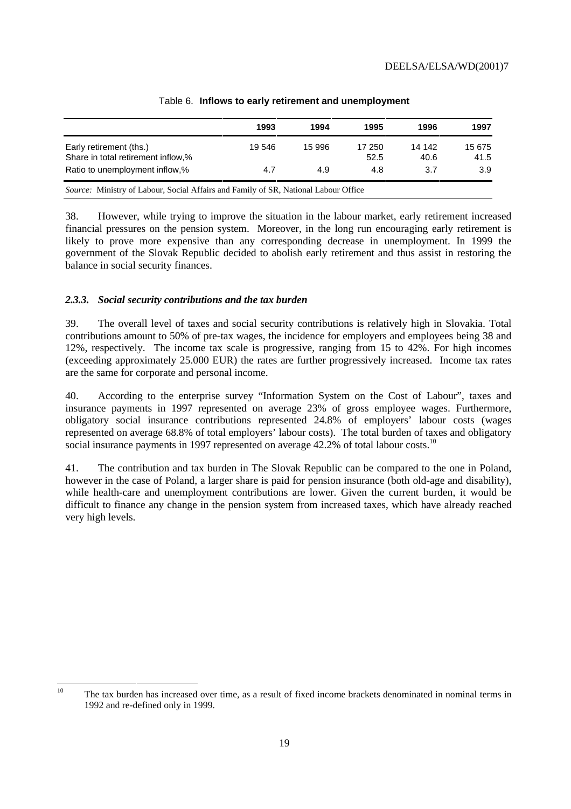|                                                                                            | 1993   | 1994   | 1995           | 1996            | 1997           |
|--------------------------------------------------------------------------------------------|--------|--------|----------------|-----------------|----------------|
| Early retirement (ths.)<br>Share in total retirement inflow,%                              | 19 546 | 15 996 | 17 250<br>52.5 | 14 14 2<br>40.6 | 15 675<br>41.5 |
| Ratio to unemployment inflow,%                                                             | 4.7    | 4.9    | 4.8            | 3.7             | 3.9            |
| <i>Source:</i> Ministry of Labour, Social Affairs and Family of SR, National Labour Office |        |        |                |                 |                |

#### Table 6. **Inflows to early retirement and unemployment**

38. However, while trying to improve the situation in the labour market, early retirement increased financial pressures on the pension system. Moreover, in the long run encouraging early retirement is likely to prove more expensive than any corresponding decrease in unemployment. In 1999 the government of the Slovak Republic decided to abolish early retirement and thus assist in restoring the balance in social security finances.

#### *2.3.3. Social security contributions and the tax burden*

39. The overall level of taxes and social security contributions is relatively high in Slovakia. Total contributions amount to 50% of pre-tax wages, the incidence for employers and employees being 38 and 12%, respectively. The income tax scale is progressive, ranging from 15 to 42%. For high incomes (exceeding approximately 25.000 EUR) the rates are further progressively increased. Income tax rates are the same for corporate and personal income.

40. According to the enterprise survey "Information System on the Cost of Labour", taxes and insurance payments in 1997 represented on average 23% of gross employee wages. Furthermore, obligatory social insurance contributions represented 24.8% of employers' labour costs (wages represented on average 68.8% of total employers' labour costs). The total burden of taxes and obligatory social insurance payments in 1997 represented on average 42.2% of total labour costs.<sup>10</sup>

41. The contribution and tax burden in The Slovak Republic can be compared to the one in Poland, however in the case of Poland, a larger share is paid for pension insurance (both old-age and disability), while health-care and unemployment contributions are lower. Given the current burden, it would be difficult to finance any change in the pension system from increased taxes, which have already reached very high levels.

<sup>&</sup>lt;sup>10</sup> The tax burden has increased over time, as a result of fixed income brackets denominated in nominal terms in 1992 and re-defined only in 1999.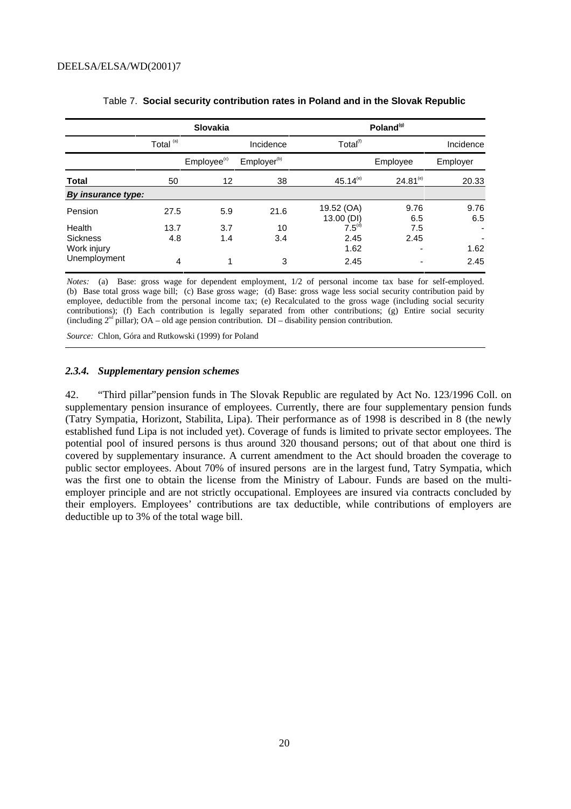|                    |                      | <b>Slovakia</b>         |                         |                          | Poland <sup>(g)</sup> |             |
|--------------------|----------------------|-------------------------|-------------------------|--------------------------|-----------------------|-------------|
|                    | Total <sup>(a)</sup> |                         | Incidence               | Total <sup>(f)</sup>     |                       | Incidence   |
|                    |                      | Employee <sup>(c)</sup> | Employer <sup>(b)</sup> |                          | Employee              | Employer    |
| <b>Total</b>       | 50                   | 12                      | 38                      | $45.14^{(e)}$            | $24.81^{(e)}$         | 20.33       |
| By insurance type: |                      |                         |                         |                          |                       |             |
| Pension            | 27.5                 | 5.9                     | 21.6                    | 19.52 (OA)<br>13.00 (DI) | 9.76<br>6.5           | 9.76<br>6.5 |
| Health             | 13.7                 | 3.7                     | 10                      | $7.5^{(d)}$              | 7.5                   |             |
| <b>Sickness</b>    | 4.8                  | 1.4                     | 3.4                     | 2.45                     | 2.45                  | ٠           |
| Work injury        |                      |                         |                         | 1.62                     | ٠                     | 1.62        |
| Unemployment       | 4                    | 4                       | 3                       | 2.45                     |                       | 2.45        |

#### Table 7. **Social security contribution rates in Poland and in the Slovak Republic**

*Notes:* (a) Base: gross wage for dependent employment, 1/2 of personal income tax base for self-employed. (b) Base total gross wage bill; (c) Base gross wage; (d) Base: gross wage less social security contribution paid by employee, deductible from the personal income tax; (e) Recalculated to the gross wage (including social security contributions); (f) Each contribution is legally separated from other contributions; (g) Entire social security (including  $2<sup>nd</sup>$  pillar); OA – old age pension contribution. DI – disability pension contribution.

*Source:* Chlon, Góra and Rutkowski (1999) for Poland

#### *2.3.4. Supplementary pension schemes*

42. "Third pillar"pension funds in The Slovak Republic are regulated by Act No. 123/1996 Coll. on supplementary pension insurance of employees. Currently, there are four supplementary pension funds (Tatry Sympatia, Horizont, Stabilita, Lipa). Their performance as of 1998 is described in 8 (the newly established fund Lipa is not included yet). Coverage of funds is limited to private sector employees. The potential pool of insured persons is thus around 320 thousand persons; out of that about one third is covered by supplementary insurance. A current amendment to the Act should broaden the coverage to public sector employees. About 70% of insured persons are in the largest fund, Tatry Sympatia, which was the first one to obtain the license from the Ministry of Labour. Funds are based on the multiemployer principle and are not strictly occupational. Employees are insured via contracts concluded by their employers. Employees' contributions are tax deductible, while contributions of employers are deductible up to 3% of the total wage bill.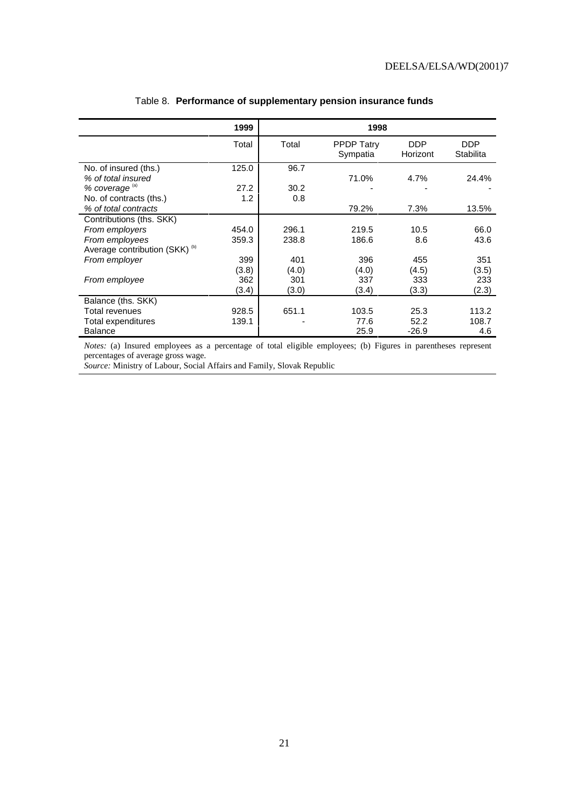|                                           | 1999  |       | 1998                          |                        |                         |
|-------------------------------------------|-------|-------|-------------------------------|------------------------|-------------------------|
|                                           | Total | Total | <b>PPDP Tatry</b><br>Sympatia | <b>DDP</b><br>Horizont | <b>DDP</b><br>Stabilita |
| No. of insured (ths.)                     | 125.0 | 96.7  |                               |                        |                         |
| % of total insured                        |       |       | 71.0%                         | 4.7%                   | 24.4%                   |
| % coverage <sup>(a)</sup>                 | 27.2  | 30.2  |                               |                        |                         |
| No. of contracts (ths.)                   | 1.2   | 0.8   |                               |                        |                         |
| % of total contracts                      |       |       | 79.2%                         | 7.3%                   | 13.5%                   |
| Contributions (ths. SKK)                  |       |       |                               |                        |                         |
| From employers                            | 454.0 | 296.1 | 219.5                         | 10.5                   | 66.0                    |
| From employees                            | 359.3 | 238.8 | 186.6                         | 8.6                    | 43.6                    |
| Average contribution (SKK) <sup>(b)</sup> |       |       |                               |                        |                         |
| From employer                             | 399   | 401   | 396                           | 455                    | 351                     |
|                                           | (3.8) | (4.0) | (4.0)                         | (4.5)                  | (3.5)                   |
| From employee                             | 362   | 301   | 337                           | 333                    | 233                     |
|                                           | (3.4) | (3.0) | (3.4)                         | (3.3)                  | (2.3)                   |
| Balance (ths. SKK)                        |       |       |                               |                        |                         |
| Total revenues                            | 928.5 | 651.1 | 103.5                         | 25.3                   | 113.2                   |
| Total expenditures                        | 139.1 |       | 77.6                          | 52.2                   | 108.7                   |
| Balance                                   |       |       | 25.9                          | $-26.9$                | 4.6                     |

#### Table 8. **Performance of supplementary pension insurance funds**

*Notes:* (a) Insured employees as a percentage of total eligible employees; (b) Figures in parentheses represent percentages of average gross wage.

*Source:* Ministry of Labour, Social Affairs and Family, Slovak Republic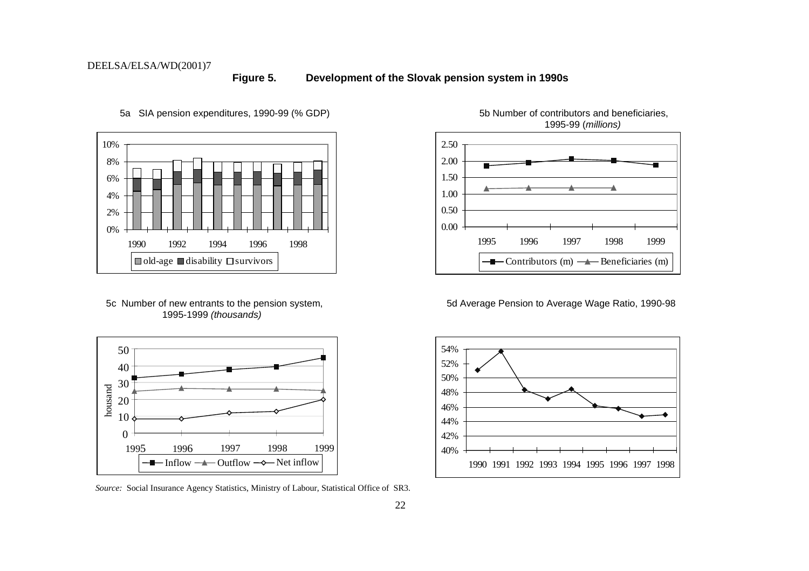**Figure 5. Development of the Slovak pension system in 1990s**



1995-1999 (thousands)



*Source:* Social Insurance Agency Statistics, Ministry of Labour, Statistical Office of SR3.



5a SIA pension expenditures, 1990-99 (% GDP) 5b Number of contributors and beneficiaries, 1995-99 (millions)

5c Number of new entrants to the pension system, 5d Average Pension to Average Wage Ratio, 1990-98

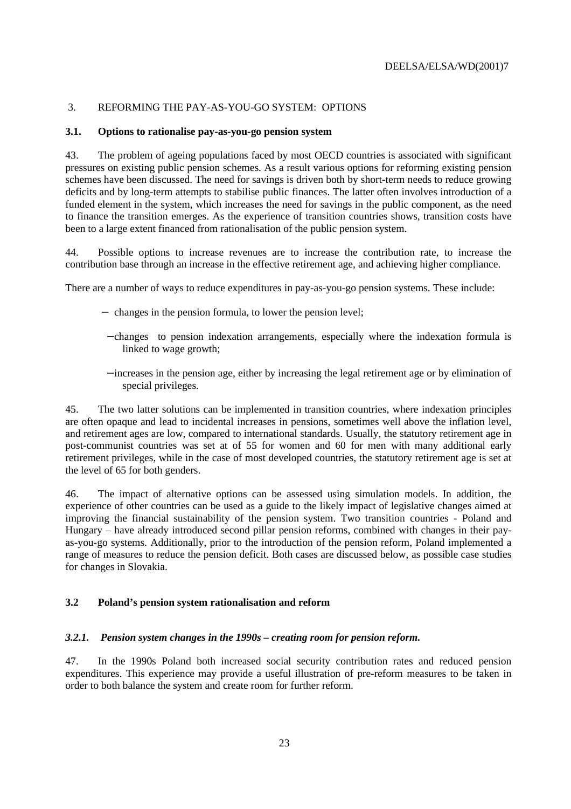#### 3. REFORMING THE PAY-AS-YOU-GO SYSTEM: OPTIONS

#### **3.1. Options to rationalise pay-as-you-go pension system**

43. The problem of ageing populations faced by most OECD countries is associated with significant pressures on existing public pension schemes. As a result various options for reforming existing pension schemes have been discussed. The need for savings is driven both by short-term needs to reduce growing deficits and by long-term attempts to stabilise public finances. The latter often involves introduction of a funded element in the system, which increases the need for savings in the public component, as the need to finance the transition emerges. As the experience of transition countries shows, transition costs have been to a large extent financed from rationalisation of the public pension system.

44. Possible options to increase revenues are to increase the contribution rate, to increase the contribution base through an increase in the effective retirement age, and achieving higher compliance.

There are a number of ways to reduce expenditures in pay-as-you-go pension systems. These include:

- − changes in the pension formula, to lower the pension level;
- − changes to pension indexation arrangements, especially where the indexation formula is linked to wage growth;
- − increases in the pension age, either by increasing the legal retirement age or by elimination of special privileges.

45. The two latter solutions can be implemented in transition countries, where indexation principles are often opaque and lead to incidental increases in pensions, sometimes well above the inflation level, and retirement ages are low, compared to international standards. Usually, the statutory retirement age in post-communist countries was set at of 55 for women and 60 for men with many additional early retirement privileges, while in the case of most developed countries, the statutory retirement age is set at the level of 65 for both genders.

46. The impact of alternative options can be assessed using simulation models. In addition, the experience of other countries can be used as a guide to the likely impact of legislative changes aimed at improving the financial sustainability of the pension system. Two transition countries - Poland and Hungary – have already introduced second pillar pension reforms, combined with changes in their payas-you-go systems. Additionally, prior to the introduction of the pension reform, Poland implemented a range of measures to reduce the pension deficit. Both cases are discussed below, as possible case studies for changes in Slovakia.

#### **3.2 Poland's pension system rationalisation and reform**

#### *3.2.1. Pension system changes in the 1990s – creating room for pension reform.*

47. In the 1990s Poland both increased social security contribution rates and reduced pension expenditures. This experience may provide a useful illustration of pre-reform measures to be taken in order to both balance the system and create room for further reform.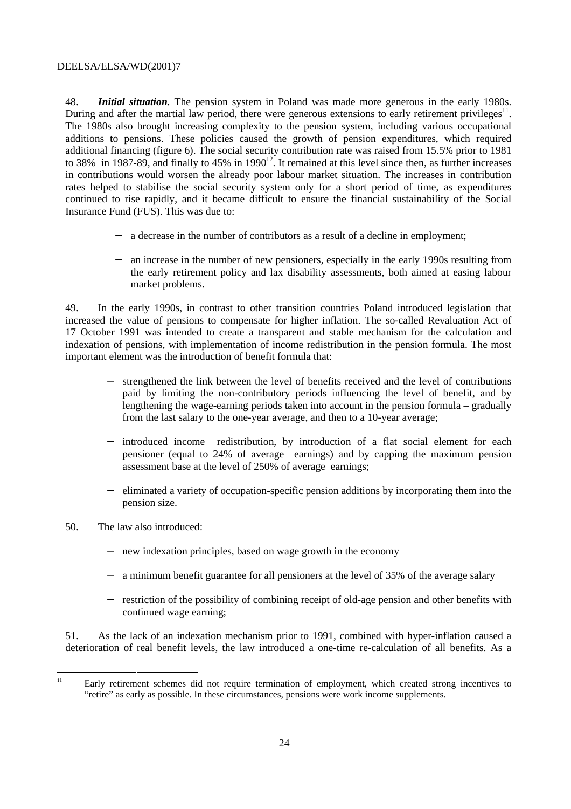48. *Initial situation.* The pension system in Poland was made more generous in the early 1980s. During and after the martial law period, there were generous extensions to early retirement privileges $11$ . The 1980s also brought increasing complexity to the pension system, including various occupational additions to pensions. These policies caused the growth of pension expenditures, which required additional financing (figure 6). The social security contribution rate was raised from 15.5% prior to 1981 to 38% in 1987-89, and finally to 45% in 1990 $12$ . It remained at this level since then, as further increases in contributions would worsen the already poor labour market situation. The increases in contribution rates helped to stabilise the social security system only for a short period of time, as expenditures continued to rise rapidly, and it became difficult to ensure the financial sustainability of the Social Insurance Fund (FUS). This was due to:

- − a decrease in the number of contributors as a result of a decline in employment;
- − an increase in the number of new pensioners, especially in the early 1990s resulting from the early retirement policy and lax disability assessments, both aimed at easing labour market problems.

49. In the early 1990s, in contrast to other transition countries Poland introduced legislation that increased the value of pensions to compensate for higher inflation. The so-called Revaluation Act of 17 October 1991 was intended to create a transparent and stable mechanism for the calculation and indexation of pensions, with implementation of income redistribution in the pension formula. The most important element was the introduction of benefit formula that:

- − strengthened the link between the level of benefits received and the level of contributions paid by limiting the non-contributory periods influencing the level of benefit, and by lengthening the wage-earning periods taken into account in the pension formula – gradually from the last salary to the one-year average, and then to a 10-year average;
- − introduced income redistribution, by introduction of a flat social element for each pensioner (equal to 24% of average earnings) and by capping the maximum pension assessment base at the level of 250% of average earnings;
- − eliminated a variety of occupation-specific pension additions by incorporating them into the pension size.
- 50. The law also introduced:
	- − new indexation principles, based on wage growth in the economy
	- − a minimum benefit guarantee for all pensioners at the level of 35% of the average salary
	- − restriction of the possibility of combining receipt of old-age pension and other benefits with continued wage earning;

51. As the lack of an indexation mechanism prior to 1991, combined with hyper-inflation caused a deterioration of real benefit levels, the law introduced a one-time re-calculation of all benefits. As a

<sup>&</sup>lt;sup>11</sup> Early retirement schemes did not require termination of employment, which created strong incentives to "retire" as early as possible. In these circumstances, pensions were work income supplements.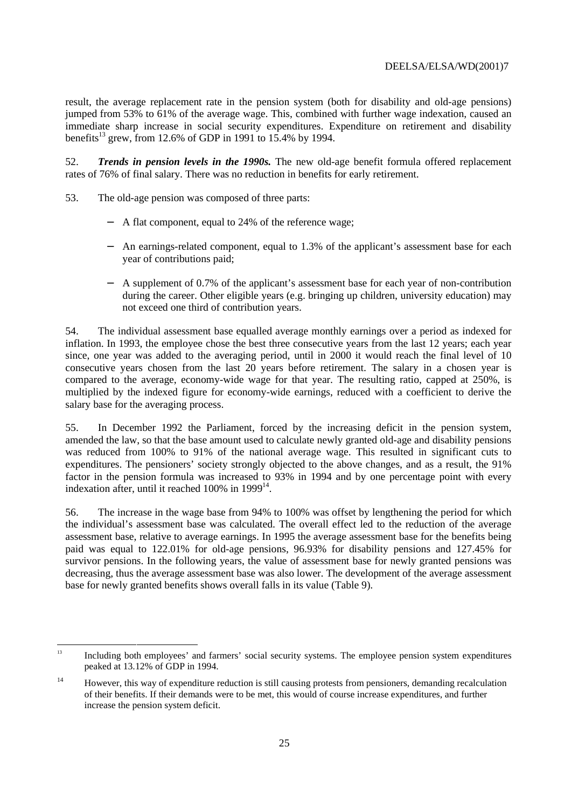result, the average replacement rate in the pension system (both for disability and old-age pensions) jumped from 53% to 61% of the average wage. This, combined with further wage indexation, caused an immediate sharp increase in social security expenditures. Expenditure on retirement and disability benefits<sup>13</sup> grew, from 12.6% of GDP in 1991 to 15.4% by 1994.

52. *Trends in pension levels in the 1990s.* The new old-age benefit formula offered replacement rates of 76% of final salary. There was no reduction in benefits for early retirement.

- 53. The old-age pension was composed of three parts:
	- − A flat component, equal to 24% of the reference wage;
	- − An earnings-related component, equal to 1.3% of the applicant's assessment base for each year of contributions paid;
	- − A supplement of 0.7% of the applicant's assessment base for each year of non-contribution during the career. Other eligible years (e.g. bringing up children, university education) may not exceed one third of contribution years.

54. The individual assessment base equalled average monthly earnings over a period as indexed for inflation. In 1993, the employee chose the best three consecutive years from the last 12 years; each year since, one year was added to the averaging period, until in 2000 it would reach the final level of 10 consecutive years chosen from the last 20 years before retirement. The salary in a chosen year is compared to the average, economy-wide wage for that year. The resulting ratio, capped at 250%, is multiplied by the indexed figure for economy-wide earnings, reduced with a coefficient to derive the salary base for the averaging process.

55. In December 1992 the Parliament, forced by the increasing deficit in the pension system, amended the law, so that the base amount used to calculate newly granted old-age and disability pensions was reduced from 100% to 91% of the national average wage. This resulted in significant cuts to expenditures. The pensioners' society strongly objected to the above changes, and as a result, the 91% factor in the pension formula was increased to 93% in 1994 and by one percentage point with every indexation after, until it reached  $100\%$  in  $1999^{14}$ .

56. The increase in the wage base from 94% to 100% was offset by lengthening the period for which the individual's assessment base was calculated. The overall effect led to the reduction of the average assessment base, relative to average earnings. In 1995 the average assessment base for the benefits being paid was equal to 122.01% for old-age pensions, 96.93% for disability pensions and 127.45% for survivor pensions. In the following years, the value of assessment base for newly granted pensions was decreasing, thus the average assessment base was also lower. The development of the average assessment base for newly granted benefits shows overall falls in its value (Table 9).

<sup>&</sup>lt;sup>13</sup> Including both employees' and farmers' social security systems. The employee pension system expenditures peaked at 13.12% of GDP in 1994.

<sup>&</sup>lt;sup>14</sup> However, this way of expenditure reduction is still causing protests from pensioners, demanding recalculation of their benefits. If their demands were to be met, this would of course increase expenditures, and further increase the pension system deficit.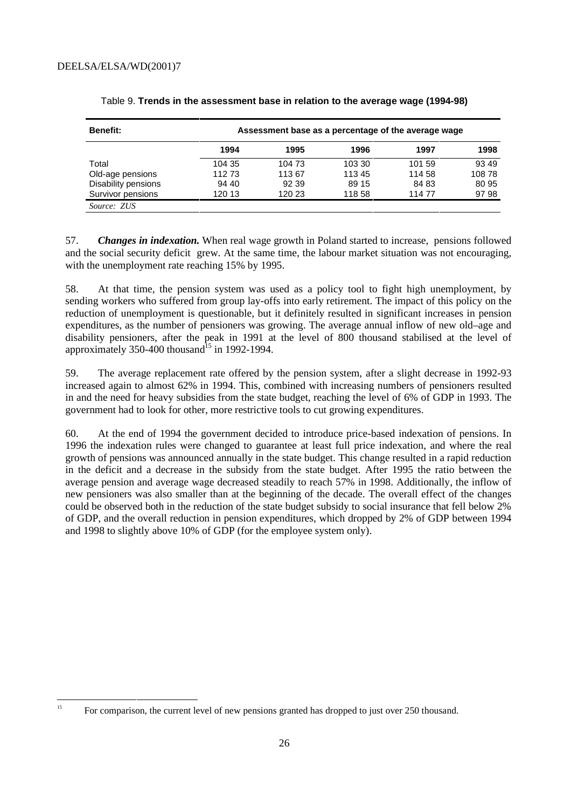| <b>Benefit:</b>     |        | Assessment base as a percentage of the average wage |        |        |        |
|---------------------|--------|-----------------------------------------------------|--------|--------|--------|
|                     | 1994   | 1995                                                | 1996   | 1997   | 1998   |
| Total               | 104 35 | 104 73                                              | 103 30 | 101 59 | 93 49  |
| Old-age pensions    | 112 73 | 11367                                               | 11345  | 114 58 | 108 78 |
| Disability pensions | 94 40  | 92 39                                               | 89 15  | 84 83  | 80 95  |
| Survivor pensions   | 120 13 | 120 23                                              | 118 58 | 11477  | 9798   |
| Source: ZUS         |        |                                                     |        |        |        |

Table 9. **Trends in the assessment base in relation to the average wage (1994-98)**

57. *Changes in indexation.* When real wage growth in Poland started to increase, pensions followed and the social security deficit grew. At the same time, the labour market situation was not encouraging, with the unemployment rate reaching 15% by 1995.

58. At that time, the pension system was used as a policy tool to fight high unemployment, by sending workers who suffered from group lay-offs into early retirement. The impact of this policy on the reduction of unemployment is questionable, but it definitely resulted in significant increases in pension expenditures, as the number of pensioners was growing. The average annual inflow of new old–age and disability pensioners, after the peak in 1991 at the level of 800 thousand stabilised at the level of approximately 350-400 thousand<sup>15</sup> in 1992-1994.

59. The average replacement rate offered by the pension system, after a slight decrease in 1992-93 increased again to almost 62% in 1994. This, combined with increasing numbers of pensioners resulted in and the need for heavy subsidies from the state budget, reaching the level of 6% of GDP in 1993. The government had to look for other, more restrictive tools to cut growing expenditures.

60. At the end of 1994 the government decided to introduce price-based indexation of pensions. In 1996 the indexation rules were changed to guarantee at least full price indexation, and where the real growth of pensions was announced annually in the state budget. This change resulted in a rapid reduction in the deficit and a decrease in the subsidy from the state budget. After 1995 the ratio between the average pension and average wage decreased steadily to reach 57% in 1998. Additionally, the inflow of new pensioners was also smaller than at the beginning of the decade. The overall effect of the changes could be observed both in the reduction of the state budget subsidy to social insurance that fell below 2% of GDP, and the overall reduction in pension expenditures, which dropped by 2% of GDP between 1994 and 1998 to slightly above 10% of GDP (for the employee system only).

<sup>&</sup>lt;sup>15</sup> For comparison, the current level of new pensions granted has dropped to just over 250 thousand.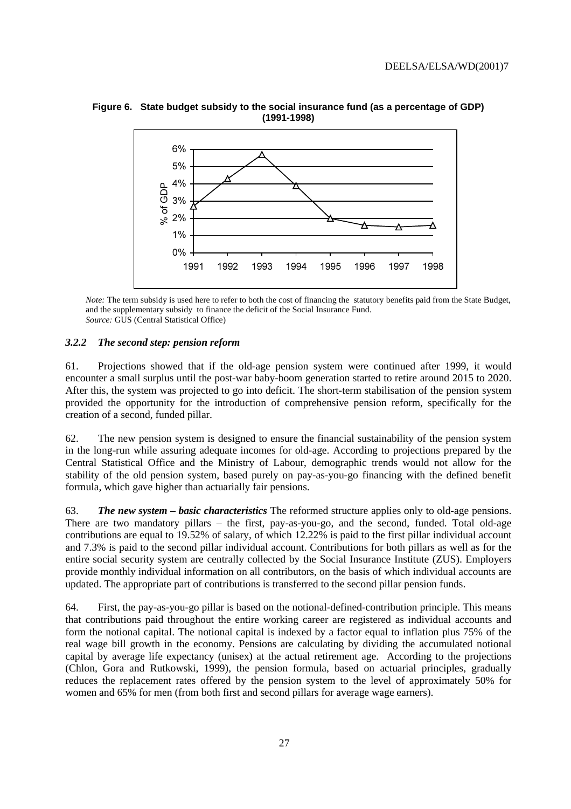

**Figure 6. State budget subsidy to the social insurance fund (as a percentage of GDP) (1991-1998)**

*Note:* The term subsidy is used here to refer to both the cost of financing the statutory benefits paid from the State Budget, and the supplementary subsidy to finance the deficit of the Social Insurance Fund. *Source:* GUS (Central Statistical Office)

#### *3.2.2 The second step: pension reform*

61. Projections showed that if the old-age pension system were continued after 1999, it would encounter a small surplus until the post-war baby-boom generation started to retire around 2015 to 2020. After this, the system was projected to go into deficit. The short-term stabilisation of the pension system provided the opportunity for the introduction of comprehensive pension reform, specifically for the creation of a second, funded pillar.

62. The new pension system is designed to ensure the financial sustainability of the pension system in the long-run while assuring adequate incomes for old-age. According to projections prepared by the Central Statistical Office and the Ministry of Labour, demographic trends would not allow for the stability of the old pension system, based purely on pay-as-you-go financing with the defined benefit formula, which gave higher than actuarially fair pensions.

63. *The new system – basic characteristics* The reformed structure applies only to old-age pensions. There are two mandatory pillars – the first, pay-as-you-go, and the second, funded. Total old-age contributions are equal to 19.52% of salary, of which 12.22% is paid to the first pillar individual account and 7.3% is paid to the second pillar individual account. Contributions for both pillars as well as for the entire social security system are centrally collected by the Social Insurance Institute (ZUS). Employers provide monthly individual information on all contributors, on the basis of which individual accounts are updated. The appropriate part of contributions is transferred to the second pillar pension funds.

64. First, the pay-as-you-go pillar is based on the notional-defined-contribution principle. This means that contributions paid throughout the entire working career are registered as individual accounts and form the notional capital. The notional capital is indexed by a factor equal to inflation plus 75% of the real wage bill growth in the economy. Pensions are calculating by dividing the accumulated notional capital by average life expectancy (unisex) at the actual retirement age. According to the projections (Chlon, Gora and Rutkowski, 1999), the pension formula, based on actuarial principles, gradually reduces the replacement rates offered by the pension system to the level of approximately 50% for women and 65% for men (from both first and second pillars for average wage earners).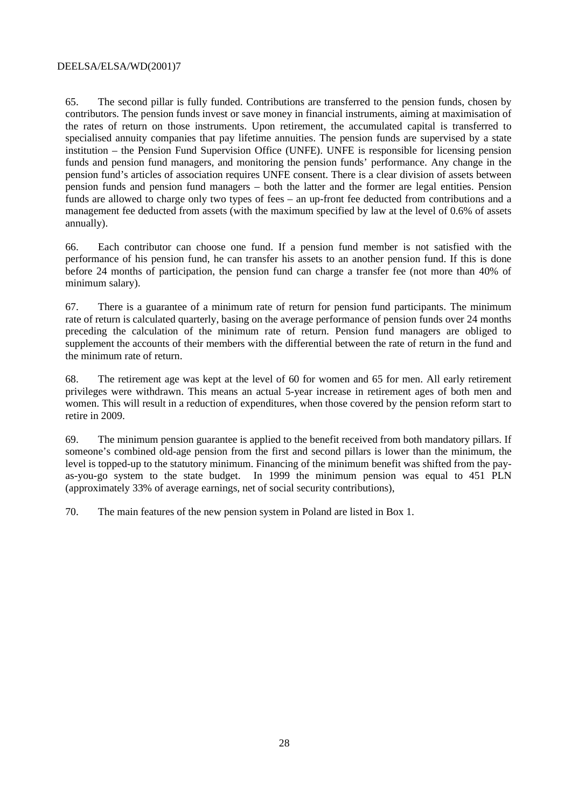65. The second pillar is fully funded. Contributions are transferred to the pension funds, chosen by contributors. The pension funds invest or save money in financial instruments, aiming at maximisation of the rates of return on those instruments. Upon retirement, the accumulated capital is transferred to specialised annuity companies that pay lifetime annuities. The pension funds are supervised by a state institution – the Pension Fund Supervision Office (UNFE). UNFE is responsible for licensing pension funds and pension fund managers, and monitoring the pension funds' performance. Any change in the pension fund's articles of association requires UNFE consent. There is a clear division of assets between pension funds and pension fund managers – both the latter and the former are legal entities. Pension funds are allowed to charge only two types of fees – an up-front fee deducted from contributions and a management fee deducted from assets (with the maximum specified by law at the level of 0.6% of assets annually).

66. Each contributor can choose one fund. If a pension fund member is not satisfied with the performance of his pension fund, he can transfer his assets to an another pension fund. If this is done before 24 months of participation, the pension fund can charge a transfer fee (not more than 40% of minimum salary).

67. There is a guarantee of a minimum rate of return for pension fund participants. The minimum rate of return is calculated quarterly, basing on the average performance of pension funds over 24 months preceding the calculation of the minimum rate of return. Pension fund managers are obliged to supplement the accounts of their members with the differential between the rate of return in the fund and the minimum rate of return.

68. The retirement age was kept at the level of 60 for women and 65 for men. All early retirement privileges were withdrawn. This means an actual 5-year increase in retirement ages of both men and women. This will result in a reduction of expenditures, when those covered by the pension reform start to retire in 2009.

69. The minimum pension guarantee is applied to the benefit received from both mandatory pillars. If someone's combined old-age pension from the first and second pillars is lower than the minimum, the level is topped-up to the statutory minimum. Financing of the minimum benefit was shifted from the payas-you-go system to the state budget. In 1999 the minimum pension was equal to 451 PLN (approximately 33% of average earnings, net of social security contributions),

70. The main features of the new pension system in Poland are listed in Box 1.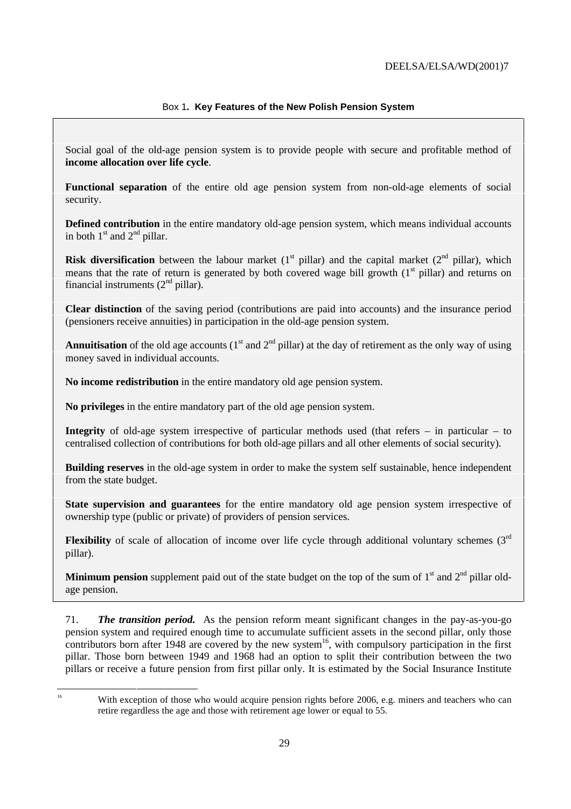#### Box 1**. Key Features of the New Polish Pension System**

Social goal of the old-age pension system is to provide people with secure and profitable method of **income allocation over life cycle**.

**Functional separation** of the entire old age pension system from non-old-age elements of social security.

**Defined contribution** in the entire mandatory old-age pension system, which means individual accounts in both  $1<sup>st</sup>$  and  $2<sup>nd</sup>$  pillar.

**Risk diversification** between the labour market  $(1<sup>st</sup> pillar)$  and the capital market  $(2<sup>nd</sup> pillar)$ , which means that the rate of return is generated by both covered wage bill growth  $(1<sup>st</sup>$  pillar) and returns on financial instruments  $(2<sup>nd</sup>$  pillar).

**Clear distinction** of the saving period (contributions are paid into accounts) and the insurance period (pensioners receive annuities) in participation in the old-age pension system.

**Annuitisation** of the old age accounts ( $1<sup>st</sup>$  and  $2<sup>nd</sup>$  pillar) at the day of retirement as the only way of using money saved in individual accounts.

**No income redistribution** in the entire mandatory old age pension system.

**No privileges** in the entire mandatory part of the old age pension system.

**Integrity** of old-age system irrespective of particular methods used (that refers – in particular – to centralised collection of contributions for both old-age pillars and all other elements of social security).

**Building reserves** in the old-age system in order to make the system self sustainable, hence independent from the state budget.

**State supervision and guarantees** for the entire mandatory old age pension system irrespective of ownership type (public or private) of providers of pension services.

**Flexibility** of scale of allocation of income over life cycle through additional voluntary schemes  $(3<sup>rd</sup>)$ pillar).

**Minimum pension** supplement paid out of the state budget on the top of the sum of  $1<sup>st</sup>$  and  $2<sup>nd</sup>$  pillar oldage pension.

71. *The transition period.* As the pension reform meant significant changes in the pay-as-you-go pension system and required enough time to accumulate sufficient assets in the second pillar, only those contributors born after 1948 are covered by the new system<sup>16</sup>, with compulsory participation in the first pillar. Those born between 1949 and 1968 had an option to split their contribution between the two pillars or receive a future pension from first pillar only. It is estimated by the Social Insurance Institute

<sup>&</sup>lt;sup>16</sup> With exception of those who would acquire pension rights before 2006, e.g. miners and teachers who can retire regardless the age and those with retirement age lower or equal to 55.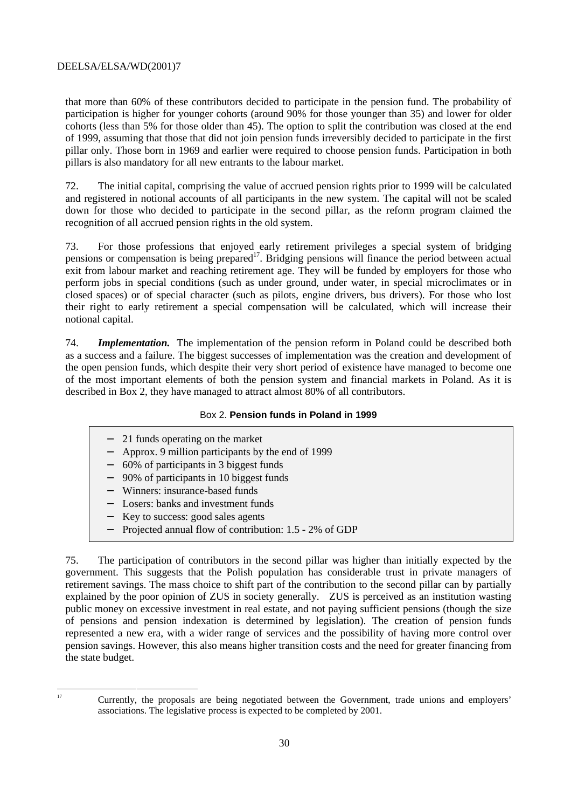that more than 60% of these contributors decided to participate in the pension fund. The probability of participation is higher for younger cohorts (around 90% for those younger than 35) and lower for older cohorts (less than 5% for those older than 45). The option to split the contribution was closed at the end of 1999, assuming that those that did not join pension funds irreversibly decided to participate in the first pillar only. Those born in 1969 and earlier were required to choose pension funds. Participation in both pillars is also mandatory for all new entrants to the labour market.

72. The initial capital, comprising the value of accrued pension rights prior to 1999 will be calculated and registered in notional accounts of all participants in the new system. The capital will not be scaled down for those who decided to participate in the second pillar, as the reform program claimed the recognition of all accrued pension rights in the old system.

73. For those professions that enjoyed early retirement privileges a special system of bridging pensions or compensation is being prepared<sup>17</sup>. Bridging pensions will finance the period between actual exit from labour market and reaching retirement age. They will be funded by employers for those who perform jobs in special conditions (such as under ground, under water, in special microclimates or in closed spaces) or of special character (such as pilots, engine drivers, bus drivers). For those who lost their right to early retirement a special compensation will be calculated, which will increase their notional capital.

74. *Implementation.* The implementation of the pension reform in Poland could be described both as a success and a failure. The biggest successes of implementation was the creation and development of the open pension funds, which despite their very short period of existence have managed to become one of the most important elements of both the pension system and financial markets in Poland. As it is described in Box 2, they have managed to attract almost 80% of all contributors.

#### Box 2. **Pension funds in Poland in 1999**

- 21 funds operating on the market
- − Approx. 9 million participants by the end of 1999
- − 60% of participants in 3 biggest funds
- − 90% of participants in 10 biggest funds
- − Winners: insurance-based funds
- − Losers: banks and investment funds
- − Key to success: good sales agents
- − Projected annual flow of contribution: 1.5 2% of GDP

75. The participation of contributors in the second pillar was higher than initially expected by the government. This suggests that the Polish population has considerable trust in private managers of retirement savings. The mass choice to shift part of the contribution to the second pillar can by partially explained by the poor opinion of ZUS in society generally. ZUS is perceived as an institution wasting public money on excessive investment in real estate, and not paying sufficient pensions (though the size of pensions and pension indexation is determined by legislation). The creation of pension funds represented a new era, with a wider range of services and the possibility of having more control over pension savings. However, this also means higher transition costs and the need for greater financing from the state budget.

<sup>&</sup>lt;sup>17</sup> Currently, the proposals are being negotiated between the Government, trade unions and employers' associations. The legislative process is expected to be completed by 2001.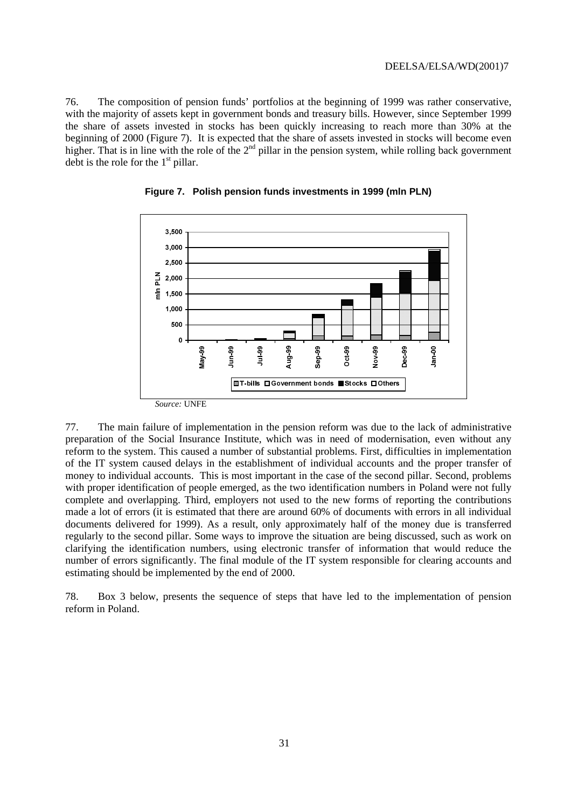76. The composition of pension funds' portfolios at the beginning of 1999 was rather conservative, with the majority of assets kept in government bonds and treasury bills. However, since September 1999 the share of assets invested in stocks has been quickly increasing to reach more than 30% at the beginning of 2000 (Figure 7). It is expected that the share of assets invested in stocks will become even higher. That is in line with the role of the 2<sup>nd</sup> pillar in the pension system, while rolling back government debt is the role for the  $1<sup>st</sup>$  pillar.



**Figure 7. Polish pension funds investments in 1999 (mln PLN)**

77. The main failure of implementation in the pension reform was due to the lack of administrative preparation of the Social Insurance Institute, which was in need of modernisation, even without any reform to the system. This caused a number of substantial problems. First, difficulties in implementation of the IT system caused delays in the establishment of individual accounts and the proper transfer of money to individual accounts. This is most important in the case of the second pillar. Second, problems with proper identification of people emerged, as the two identification numbers in Poland were not fully complete and overlapping. Third, employers not used to the new forms of reporting the contributions made a lot of errors (it is estimated that there are around 60% of documents with errors in all individual documents delivered for 1999). As a result, only approximately half of the money due is transferred regularly to the second pillar. Some ways to improve the situation are being discussed, such as work on clarifying the identification numbers, using electronic transfer of information that would reduce the number of errors significantly. The final module of the IT system responsible for clearing accounts and estimating should be implemented by the end of 2000.

78. Box 3 below, presents the sequence of steps that have led to the implementation of pension reform in Poland.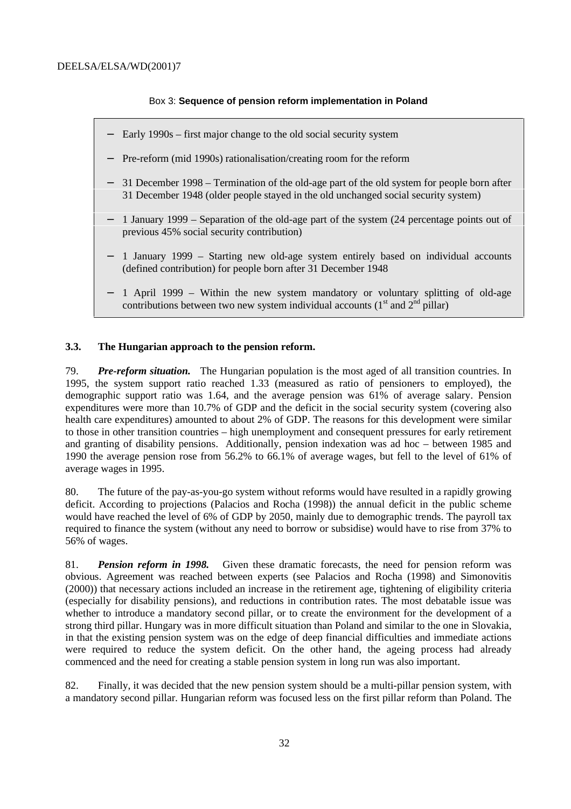#### Box 3: **Sequence of pension reform implementation in Poland**

- − Early 1990s first major change to the old social security system
- − Pre-reform (mid 1990s) rationalisation/creating room for the reform
- 31 December 1998 Termination of the old-age part of the old system for people born after 31 December 1948 (older people stayed in the old unchanged social security system)
- − 1 January 1999 Separation of the old-age part of the system (24 percentage points out of previous 45% social security contribution)
- 1 January 1999 Starting new old-age system entirely based on individual accounts (defined contribution) for people born after 31 December 1948
- − 1 April 1999 Within the new system mandatory or voluntary splitting of old-age contributions between two new system individual accounts  $(1<sup>st</sup>$  and  $2<sup>nd</sup>$  pillar)

#### **3.3. The Hungarian approach to the pension reform.**

79. *Pre-reform situation.* The Hungarian population is the most aged of all transition countries. In 1995, the system support ratio reached 1.33 (measured as ratio of pensioners to employed), the demographic support ratio was 1.64, and the average pension was 61% of average salary. Pension expenditures were more than 10.7% of GDP and the deficit in the social security system (covering also health care expenditures) amounted to about 2% of GDP. The reasons for this development were similar to those in other transition countries – high unemployment and consequent pressures for early retirement and granting of disability pensions. Additionally, pension indexation was ad hoc – between 1985 and 1990 the average pension rose from 56.2% to 66.1% of average wages, but fell to the level of 61% of average wages in 1995.

80. The future of the pay-as-you-go system without reforms would have resulted in a rapidly growing deficit. According to projections (Palacios and Rocha (1998)) the annual deficit in the public scheme would have reached the level of 6% of GDP by 2050, mainly due to demographic trends. The payroll tax required to finance the system (without any need to borrow or subsidise) would have to rise from 37% to 56% of wages.

81. *Pension reform in 1998.* Given these dramatic forecasts, the need for pension reform was obvious. Agreement was reached between experts (see Palacios and Rocha (1998) and Simonovitis (2000)) that necessary actions included an increase in the retirement age, tightening of eligibility criteria (especially for disability pensions), and reductions in contribution rates. The most debatable issue was whether to introduce a mandatory second pillar, or to create the environment for the development of a strong third pillar. Hungary was in more difficult situation than Poland and similar to the one in Slovakia, in that the existing pension system was on the edge of deep financial difficulties and immediate actions were required to reduce the system deficit. On the other hand, the ageing process had already commenced and the need for creating a stable pension system in long run was also important.

82. Finally, it was decided that the new pension system should be a multi-pillar pension system, with a mandatory second pillar. Hungarian reform was focused less on the first pillar reform than Poland. The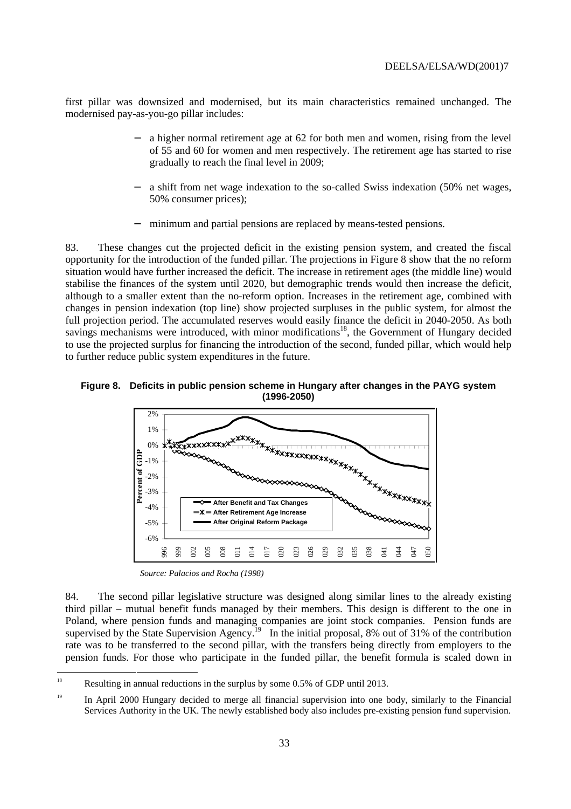first pillar was downsized and modernised, but its main characteristics remained unchanged. The modernised pay-as-you-go pillar includes:

- a higher normal retirement age at 62 for both men and women, rising from the level of 55 and 60 for women and men respectively. The retirement age has started to rise gradually to reach the final level in 2009;
- a shift from net wage indexation to the so-called Swiss indexation (50% net wages, 50% consumer prices);
- minimum and partial pensions are replaced by means-tested pensions.

83. These changes cut the projected deficit in the existing pension system, and created the fiscal opportunity for the introduction of the funded pillar. The projections in Figure 8 show that the no reform situation would have further increased the deficit. The increase in retirement ages (the middle line) would stabilise the finances of the system until 2020, but demographic trends would then increase the deficit, although to a smaller extent than the no-reform option. Increases in the retirement age, combined with changes in pension indexation (top line) show projected surpluses in the public system, for almost the full projection period. The accumulated reserves would easily finance the deficit in 2040-2050. As both savings mechanisms were introduced, with minor modifications<sup>18</sup>, the Government of Hungary decided to use the projected surplus for financing the introduction of the second, funded pillar, which would help to further reduce public system expenditures in the future.





*Source: Palacios and Rocha (1998)*

84. The second pillar legislative structure was designed along similar lines to the already existing third pillar – mutual benefit funds managed by their members. This design is different to the one in Poland, where pension funds and managing companies are joint stock companies. Pension funds are supervised by the State Supervision Agency.<sup>19</sup> In the initial proposal, 8% out of 31% of the contribution rate was to be transferred to the second pillar, with the transfers being directly from employers to the pension funds. For those who participate in the funded pillar, the benefit formula is scaled down in

<sup>&</sup>lt;sup>18</sup> Resulting in annual reductions in the surplus by some  $0.5\%$  of GDP until 2013.

<sup>&</sup>lt;sup>19</sup> In April 2000 Hungary decided to merge all financial supervision into one body, similarly to the Financial Services Authority in the UK. The newly established body also includes pre-existing pension fund supervision.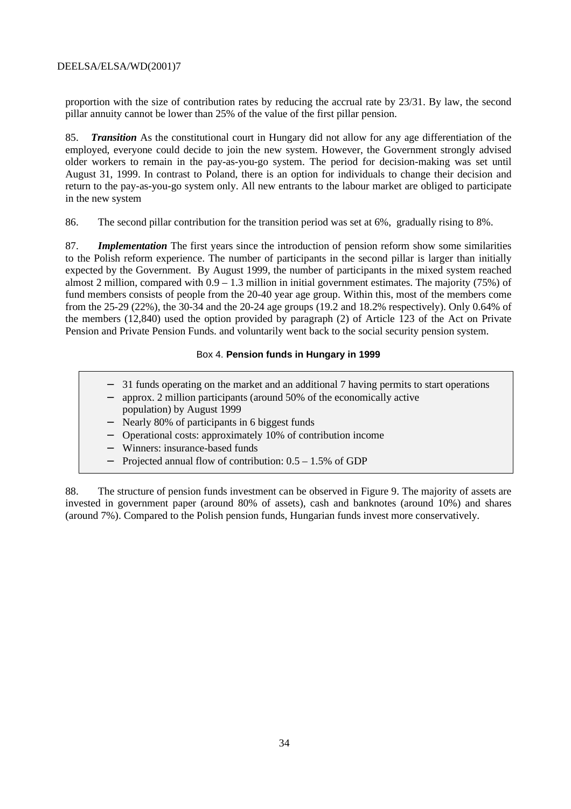proportion with the size of contribution rates by reducing the accrual rate by 23/31. By law, the second pillar annuity cannot be lower than 25% of the value of the first pillar pension.

85. *Transition* As the constitutional court in Hungary did not allow for any age differentiation of the employed, everyone could decide to join the new system. However, the Government strongly advised older workers to remain in the pay-as-you-go system. The period for decision-making was set until August 31, 1999. In contrast to Poland, there is an option for individuals to change their decision and return to the pay-as-you-go system only. All new entrants to the labour market are obliged to participate in the new system

86. The second pillar contribution for the transition period was set at 6%, gradually rising to 8%.

87. *Implementation* The first years since the introduction of pension reform show some similarities to the Polish reform experience. The number of participants in the second pillar is larger than initially expected by the Government. By August 1999, the number of participants in the mixed system reached almost 2 million, compared with 0.9 – 1.3 million in initial government estimates. The majority (75%) of fund members consists of people from the 20-40 year age group. Within this, most of the members come from the 25-29 (22%), the 30-34 and the 20-24 age groups (19.2 and 18.2% respectively). Only 0.64% of the members (12,840) used the option provided by paragraph (2) of Article 123 of the Act on Private Pension and Private Pension Funds. and voluntarily went back to the social security pension system.

#### Box 4. **Pension funds in Hungary in 1999**

| - 31 funds operating on the market and an additional 7 having permits to start operations<br>approx. 2 million participants (around 50% of the economically active<br>population) by August 1999 |
|--------------------------------------------------------------------------------------------------------------------------------------------------------------------------------------------------|
| - Nearly 80% of participants in 6 biggest funds                                                                                                                                                  |
| - Operational costs: approximately 10% of contribution income                                                                                                                                    |
| - Winners: insurance-based funds                                                                                                                                                                 |
| - Projected annual flow of contribution: $0.5 - 1.5\%$ of GDP                                                                                                                                    |
|                                                                                                                                                                                                  |

88. The structure of pension funds investment can be observed in Figure 9. The majority of assets are invested in government paper (around 80% of assets), cash and banknotes (around 10%) and shares (around 7%). Compared to the Polish pension funds, Hungarian funds invest more conservatively.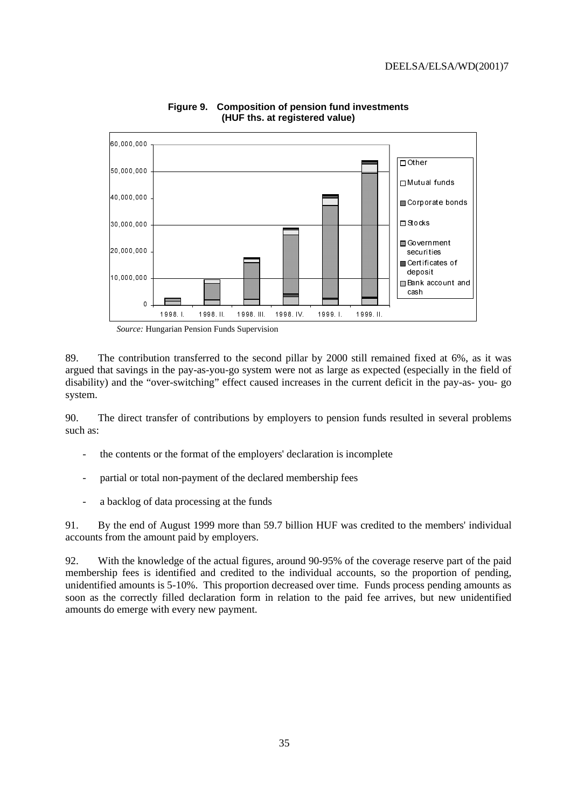

**Figure 9. Composition of pension fund investments (HUF ths. at registered value)**

*Source:* Hungarian Pension Funds Supervision

89. The contribution transferred to the second pillar by 2000 still remained fixed at 6%, as it was argued that savings in the pay-as-you-go system were not as large as expected (especially in the field of disability) and the "over-switching" effect caused increases in the current deficit in the pay-as- you- go system.

90. The direct transfer of contributions by employers to pension funds resulted in several problems such as:

- the contents or the format of the employers' declaration is incomplete
- partial or total non-payment of the declared membership fees
- a backlog of data processing at the funds

91. By the end of August 1999 more than 59.7 billion HUF was credited to the members' individual accounts from the amount paid by employers.

92. With the knowledge of the actual figures, around 90-95% of the coverage reserve part of the paid membership fees is identified and credited to the individual accounts, so the proportion of pending, unidentified amounts is 5-10%. This proportion decreased over time. Funds process pending amounts as soon as the correctly filled declaration form in relation to the paid fee arrives, but new unidentified amounts do emerge with every new payment.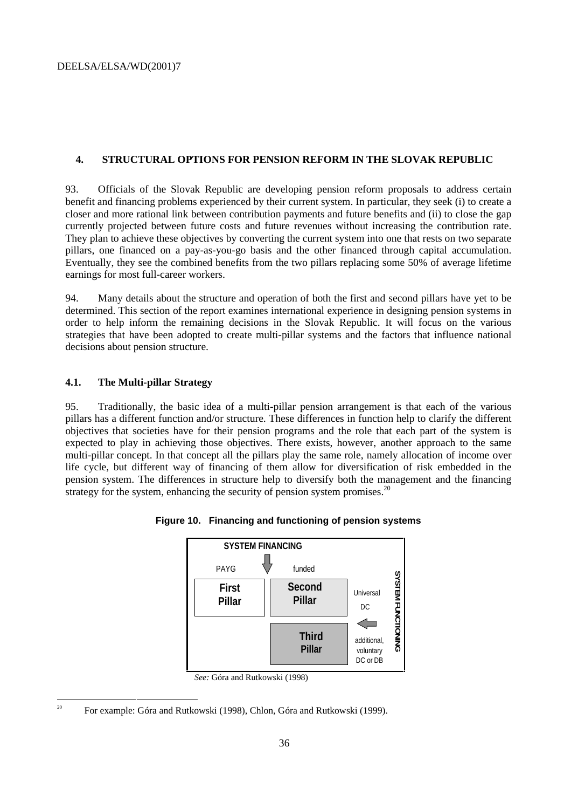#### **4. STRUCTURAL OPTIONS FOR PENSION REFORM IN THE SLOVAK REPUBLIC**

93. Officials of the Slovak Republic are developing pension reform proposals to address certain benefit and financing problems experienced by their current system. In particular, they seek (i) to create a closer and more rational link between contribution payments and future benefits and (ii) to close the gap currently projected between future costs and future revenues without increasing the contribution rate. They plan to achieve these objectives by converting the current system into one that rests on two separate pillars, one financed on a pay-as-you-go basis and the other financed through capital accumulation. Eventually, they see the combined benefits from the two pillars replacing some 50% of average lifetime earnings for most full-career workers.

94. Many details about the structure and operation of both the first and second pillars have yet to be determined. This section of the report examines international experience in designing pension systems in order to help inform the remaining decisions in the Slovak Republic. It will focus on the various strategies that have been adopted to create multi-pillar systems and the factors that influence national decisions about pension structure.

#### **4.1. The Multi-pillar Strategy**

95. Traditionally, the basic idea of a multi-pillar pension arrangement is that each of the various pillars has a different function and/or structure. These differences in function help to clarify the different objectives that societies have for their pension programs and the role that each part of the system is expected to play in achieving those objectives. There exists, however, another approach to the same multi-pillar concept. In that concept all the pillars play the same role, namely allocation of income over life cycle, but different way of financing of them allow for diversification of risk embedded in the pension system. The differences in structure help to diversify both the management and the financing strategy for the system, enhancing the security of pension system promises.<sup>20</sup>





*See:* Góra and Rutkowski (1998)

<sup>&</sup>lt;sup>20</sup> For example: Góra and Rutkowski (1998), Chlon, Góra and Rutkowski (1999).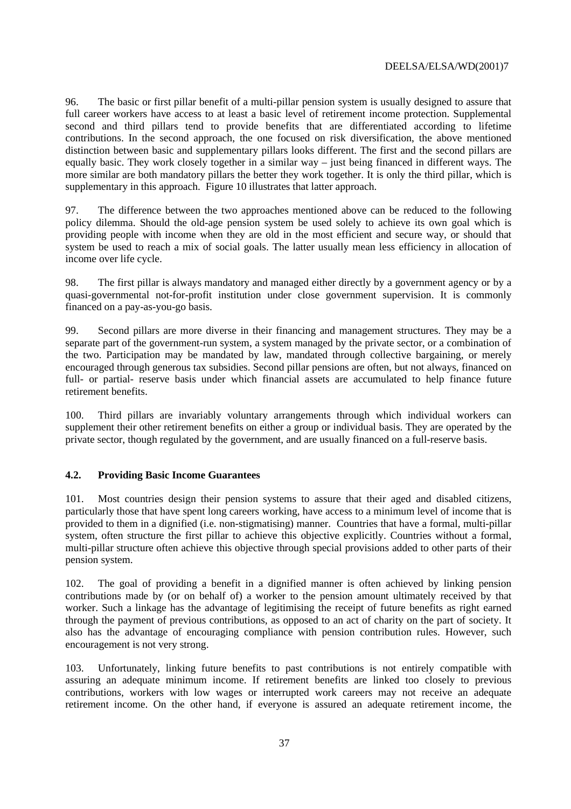96. The basic or first pillar benefit of a multi-pillar pension system is usually designed to assure that full career workers have access to at least a basic level of retirement income protection. Supplemental second and third pillars tend to provide benefits that are differentiated according to lifetime contributions. In the second approach, the one focused on risk diversification, the above mentioned distinction between basic and supplementary pillars looks different. The first and the second pillars are equally basic. They work closely together in a similar way – just being financed in different ways. The more similar are both mandatory pillars the better they work together. It is only the third pillar, which is supplementary in this approach. Figure 10 illustrates that latter approach.

97. The difference between the two approaches mentioned above can be reduced to the following policy dilemma. Should the old-age pension system be used solely to achieve its own goal which is providing people with income when they are old in the most efficient and secure way, or should that system be used to reach a mix of social goals. The latter usually mean less efficiency in allocation of income over life cycle.

98. The first pillar is always mandatory and managed either directly by a government agency or by a quasi-governmental not-for-profit institution under close government supervision. It is commonly financed on a pay-as-you-go basis.

99. Second pillars are more diverse in their financing and management structures. They may be a separate part of the government-run system, a system managed by the private sector, or a combination of the two. Participation may be mandated by law, mandated through collective bargaining, or merely encouraged through generous tax subsidies. Second pillar pensions are often, but not always, financed on full- or partial- reserve basis under which financial assets are accumulated to help finance future retirement benefits.

100. Third pillars are invariably voluntary arrangements through which individual workers can supplement their other retirement benefits on either a group or individual basis. They are operated by the private sector, though regulated by the government, and are usually financed on a full-reserve basis.

# **4.2. Providing Basic Income Guarantees**

101. Most countries design their pension systems to assure that their aged and disabled citizens, particularly those that have spent long careers working, have access to a minimum level of income that is provided to them in a dignified (i.e. non-stigmatising) manner. Countries that have a formal, multi-pillar system, often structure the first pillar to achieve this objective explicitly. Countries without a formal, multi-pillar structure often achieve this objective through special provisions added to other parts of their pension system.

102. The goal of providing a benefit in a dignified manner is often achieved by linking pension contributions made by (or on behalf of) a worker to the pension amount ultimately received by that worker. Such a linkage has the advantage of legitimising the receipt of future benefits as right earned through the payment of previous contributions, as opposed to an act of charity on the part of society. It also has the advantage of encouraging compliance with pension contribution rules. However, such encouragement is not very strong.

103. Unfortunately, linking future benefits to past contributions is not entirely compatible with assuring an adequate minimum income. If retirement benefits are linked too closely to previous contributions, workers with low wages or interrupted work careers may not receive an adequate retirement income. On the other hand, if everyone is assured an adequate retirement income, the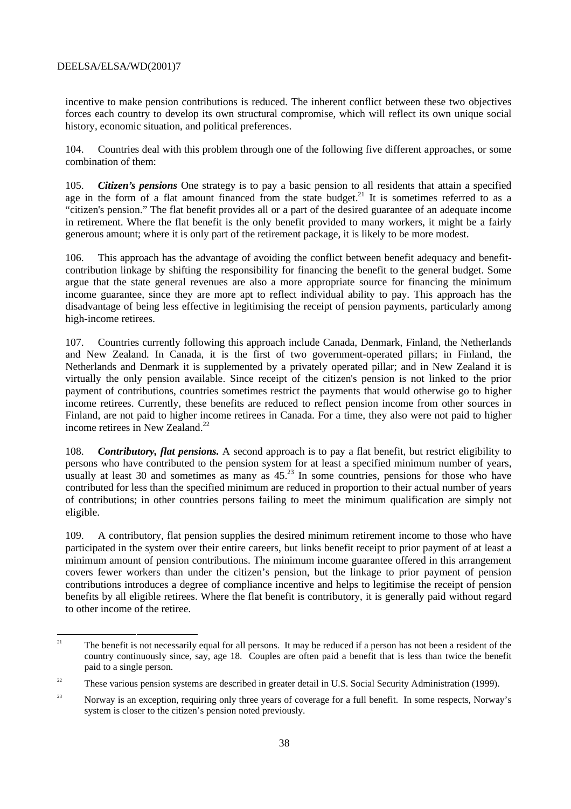incentive to make pension contributions is reduced. The inherent conflict between these two objectives forces each country to develop its own structural compromise, which will reflect its own unique social history, economic situation, and political preferences.

104. Countries deal with this problem through one of the following five different approaches, or some combination of them:

105. *Citizen's pensions* One strategy is to pay a basic pension to all residents that attain a specified age in the form of a flat amount financed from the state budget.<sup>21</sup> It is sometimes referred to as a "citizen's pension." The flat benefit provides all or a part of the desired guarantee of an adequate income in retirement. Where the flat benefit is the only benefit provided to many workers, it might be a fairly generous amount; where it is only part of the retirement package, it is likely to be more modest.

106. This approach has the advantage of avoiding the conflict between benefit adequacy and benefitcontribution linkage by shifting the responsibility for financing the benefit to the general budget. Some argue that the state general revenues are also a more appropriate source for financing the minimum income guarantee, since they are more apt to reflect individual ability to pay. This approach has the disadvantage of being less effective in legitimising the receipt of pension payments, particularly among high-income retirees.

107. Countries currently following this approach include Canada, Denmark, Finland, the Netherlands and New Zealand. In Canada, it is the first of two government-operated pillars; in Finland, the Netherlands and Denmark it is supplemented by a privately operated pillar; and in New Zealand it is virtually the only pension available. Since receipt of the citizen's pension is not linked to the prior payment of contributions, countries sometimes restrict the payments that would otherwise go to higher income retirees. Currently, these benefits are reduced to reflect pension income from other sources in Finland, are not paid to higher income retirees in Canada. For a time, they also were not paid to higher income retirees in New Zealand.<sup>22</sup>

108. *Contributory, flat pensions.* A second approach is to pay a flat benefit, but restrict eligibility to persons who have contributed to the pension system for at least a specified minimum number of years, usually at least 30 and sometimes as many as  $45<sup>23</sup>$  In some countries, pensions for those who have contributed for less than the specified minimum are reduced in proportion to their actual number of years of contributions; in other countries persons failing to meet the minimum qualification are simply not eligible.

109. A contributory, flat pension supplies the desired minimum retirement income to those who have participated in the system over their entire careers, but links benefit receipt to prior payment of at least a minimum amount of pension contributions. The minimum income guarantee offered in this arrangement covers fewer workers than under the citizen's pension, but the linkage to prior payment of pension contributions introduces a degree of compliance incentive and helps to legitimise the receipt of pension benefits by all eligible retirees. Where the flat benefit is contributory, it is generally paid without regard to other income of the retiree.

<sup>&</sup>lt;sup>21</sup> The benefit is not necessarily equal for all persons. It may be reduced if a person has not been a resident of the country continuously since, say, age 18. Couples are often paid a benefit that is less than twice the benefit paid to a single person.

<sup>&</sup>lt;sup>22</sup> These various pension systems are described in greater detail in U.S. Social Security Administration (1999).

<sup>&</sup>lt;sup>23</sup> Norway is an exception, requiring only three years of coverage for a full benefit. In some respects, Norway's system is closer to the citizen's pension noted previously.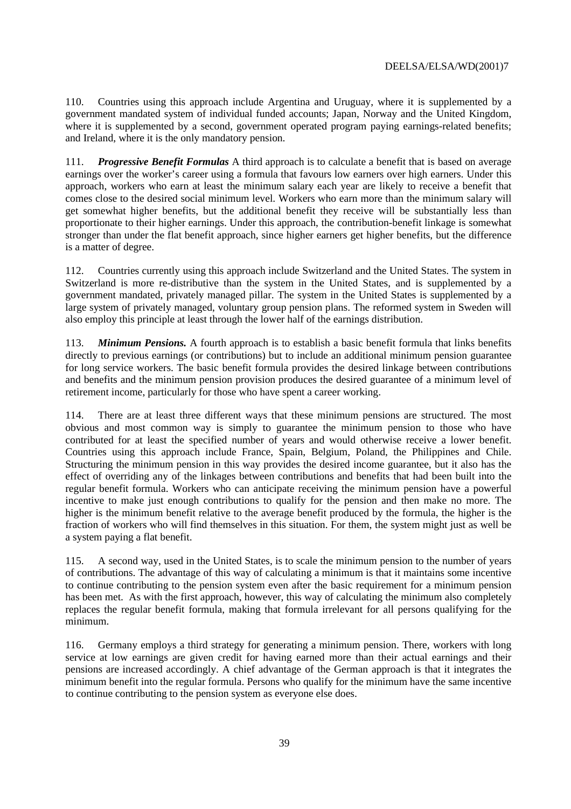110. Countries using this approach include Argentina and Uruguay, where it is supplemented by a government mandated system of individual funded accounts; Japan, Norway and the United Kingdom, where it is supplemented by a second, government operated program paying earnings-related benefits; and Ireland, where it is the only mandatory pension.

111. *Progressive Benefit Formulas* A third approach is to calculate a benefit that is based on average earnings over the worker's career using a formula that favours low earners over high earners. Under this approach, workers who earn at least the minimum salary each year are likely to receive a benefit that comes close to the desired social minimum level. Workers who earn more than the minimum salary will get somewhat higher benefits, but the additional benefit they receive will be substantially less than proportionate to their higher earnings. Under this approach, the contribution-benefit linkage is somewhat stronger than under the flat benefit approach, since higher earners get higher benefits, but the difference is a matter of degree.

112. Countries currently using this approach include Switzerland and the United States. The system in Switzerland is more re-distributive than the system in the United States, and is supplemented by a government mandated, privately managed pillar. The system in the United States is supplemented by a large system of privately managed, voluntary group pension plans. The reformed system in Sweden will also employ this principle at least through the lower half of the earnings distribution.

113. *Minimum Pensions.* A fourth approach is to establish a basic benefit formula that links benefits directly to previous earnings (or contributions) but to include an additional minimum pension guarantee for long service workers. The basic benefit formula provides the desired linkage between contributions and benefits and the minimum pension provision produces the desired guarantee of a minimum level of retirement income, particularly for those who have spent a career working.

114. There are at least three different ways that these minimum pensions are structured. The most obvious and most common way is simply to guarantee the minimum pension to those who have contributed for at least the specified number of years and would otherwise receive a lower benefit. Countries using this approach include France, Spain, Belgium, Poland, the Philippines and Chile. Structuring the minimum pension in this way provides the desired income guarantee, but it also has the effect of overriding any of the linkages between contributions and benefits that had been built into the regular benefit formula. Workers who can anticipate receiving the minimum pension have a powerful incentive to make just enough contributions to qualify for the pension and then make no more. The higher is the minimum benefit relative to the average benefit produced by the formula, the higher is the fraction of workers who will find themselves in this situation. For them, the system might just as well be a system paying a flat benefit.

115. A second way, used in the United States, is to scale the minimum pension to the number of years of contributions. The advantage of this way of calculating a minimum is that it maintains some incentive to continue contributing to the pension system even after the basic requirement for a minimum pension has been met. As with the first approach, however, this way of calculating the minimum also completely replaces the regular benefit formula, making that formula irrelevant for all persons qualifying for the minimum.

116. Germany employs a third strategy for generating a minimum pension. There, workers with long service at low earnings are given credit for having earned more than their actual earnings and their pensions are increased accordingly. A chief advantage of the German approach is that it integrates the minimum benefit into the regular formula. Persons who qualify for the minimum have the same incentive to continue contributing to the pension system as everyone else does.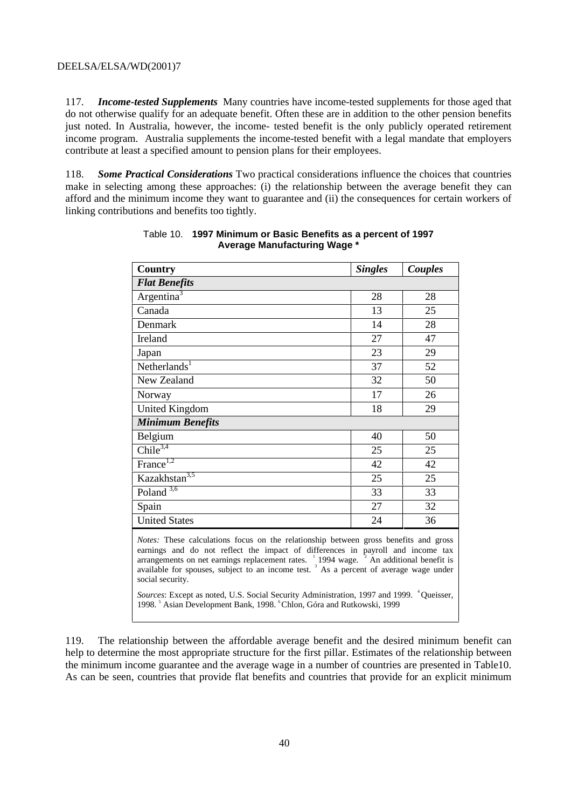117. *Income-tested Supplements* Many countries have income-tested supplements for those aged that do not otherwise qualify for an adequate benefit. Often these are in addition to the other pension benefits just noted. In Australia, however, the income- tested benefit is the only publicly operated retirement income program. Australia supplements the income-tested benefit with a legal mandate that employers contribute at least a specified amount to pension plans for their employees.

118. *Some Practical Considerations* Two practical considerations influence the choices that countries make in selecting among these approaches: (i) the relationship between the average benefit they can afford and the minimum income they want to guarantee and (ii) the consequences for certain workers of linking contributions and benefits too tightly.

| Country                                                                                                                                                                                                                                                                                                                                                                                                           | <b>Singles</b> | Couples |  |  |  |
|-------------------------------------------------------------------------------------------------------------------------------------------------------------------------------------------------------------------------------------------------------------------------------------------------------------------------------------------------------------------------------------------------------------------|----------------|---------|--|--|--|
| <b>Flat Benefits</b>                                                                                                                                                                                                                                                                                                                                                                                              |                |         |  |  |  |
| Argentina <sup>3</sup>                                                                                                                                                                                                                                                                                                                                                                                            | 28             | 28      |  |  |  |
| Canada                                                                                                                                                                                                                                                                                                                                                                                                            | 13             | 25      |  |  |  |
| Denmark                                                                                                                                                                                                                                                                                                                                                                                                           | 14             | 28      |  |  |  |
| Ireland                                                                                                                                                                                                                                                                                                                                                                                                           | 27             | 47      |  |  |  |
| Japan                                                                                                                                                                                                                                                                                                                                                                                                             | 23             | 29      |  |  |  |
| Netherlands <sup>1</sup>                                                                                                                                                                                                                                                                                                                                                                                          | 37             | 52      |  |  |  |
| New Zealand                                                                                                                                                                                                                                                                                                                                                                                                       | 32             | 50      |  |  |  |
| Norway                                                                                                                                                                                                                                                                                                                                                                                                            | 17             | 26      |  |  |  |
| <b>United Kingdom</b>                                                                                                                                                                                                                                                                                                                                                                                             | 18             | 29      |  |  |  |
| <b>Minimum Benefits</b>                                                                                                                                                                                                                                                                                                                                                                                           |                |         |  |  |  |
| Belgium                                                                                                                                                                                                                                                                                                                                                                                                           | 40             | 50      |  |  |  |
| Chile $3,4$                                                                                                                                                                                                                                                                                                                                                                                                       | 25             | 25      |  |  |  |
| France <sup>1,2</sup>                                                                                                                                                                                                                                                                                                                                                                                             | 42             | 42      |  |  |  |
| Kazakhstan <sup>3,5</sup>                                                                                                                                                                                                                                                                                                                                                                                         | 25             | 25      |  |  |  |
| Poland $3,6$                                                                                                                                                                                                                                                                                                                                                                                                      | 33             | 33      |  |  |  |
| Spain                                                                                                                                                                                                                                                                                                                                                                                                             | 27             | 32      |  |  |  |
| <b>United States</b>                                                                                                                                                                                                                                                                                                                                                                                              | 24             | 36      |  |  |  |
| Notes: These calculations focus on the relationship between gross benefits and gross<br>earnings and do not reflect the impact of differences in payroll and income tax<br>arrangements on net earnings replacement rates. <sup>1</sup> 1994 wage. <sup>2</sup> An additional benefit is<br>available for spouses, subject to an income test. <sup>3</sup> As a percent of average wage under<br>social security. |                |         |  |  |  |
| Sources: Except as noted, U.S. Social Security Administration, 1997 and 1999. <sup>4</sup> Queisser,                                                                                                                                                                                                                                                                                                              |                |         |  |  |  |

## Table 10. **1997 Minimum or Basic Benefits as a percent of 1997 Average Manufacturing Wage \***

119. The relationship between the affordable average benefit and the desired minimum benefit can help to determine the most appropriate structure for the first pillar. Estimates of the relationship between the minimum income guarantee and the average wage in a number of countries are presented in Table10. As can be seen, countries that provide flat benefits and countries that provide for an explicit minimum

1998.<sup>5</sup> Asian Development Bank, 1998.<sup>6</sup> Chlon, Góra and Rutkowski, 1999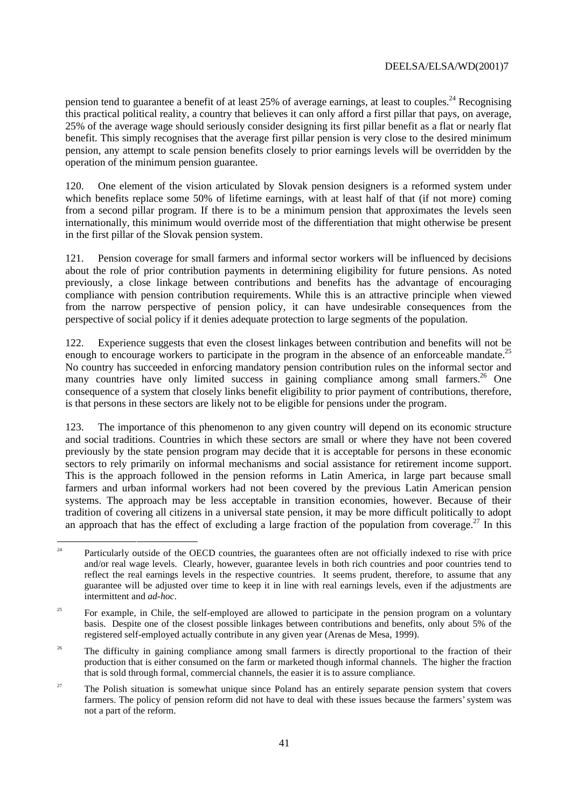pension tend to guarantee a benefit of at least 25% of average earnings, at least to couples.<sup>24</sup> Recognising this practical political reality, a country that believes it can only afford a first pillar that pays, on average, 25% of the average wage should seriously consider designing its first pillar benefit as a flat or nearly flat benefit. This simply recognises that the average first pillar pension is very close to the desired minimum pension, any attempt to scale pension benefits closely to prior earnings levels will be overridden by the operation of the minimum pension guarantee.

120. One element of the vision articulated by Slovak pension designers is a reformed system under which benefits replace some 50% of lifetime earnings, with at least half of that (if not more) coming from a second pillar program. If there is to be a minimum pension that approximates the levels seen internationally, this minimum would override most of the differentiation that might otherwise be present in the first pillar of the Slovak pension system.

121. Pension coverage for small farmers and informal sector workers will be influenced by decisions about the role of prior contribution payments in determining eligibility for future pensions. As noted previously, a close linkage between contributions and benefits has the advantage of encouraging compliance with pension contribution requirements. While this is an attractive principle when viewed from the narrow perspective of pension policy, it can have undesirable consequences from the perspective of social policy if it denies adequate protection to large segments of the population.

Experience suggests that even the closest linkages between contribution and benefits will not be enough to encourage workers to participate in the program in the absence of an enforceable mandate.<sup>25</sup> No country has succeeded in enforcing mandatory pension contribution rules on the informal sector and many countries have only limited success in gaining compliance among small farmers.<sup>26</sup> One consequence of a system that closely links benefit eligibility to prior payment of contributions, therefore, is that persons in these sectors are likely not to be eligible for pensions under the program.

123. The importance of this phenomenon to any given country will depend on its economic structure and social traditions. Countries in which these sectors are small or where they have not been covered previously by the state pension program may decide that it is acceptable for persons in these economic sectors to rely primarily on informal mechanisms and social assistance for retirement income support. This is the approach followed in the pension reforms in Latin America, in large part because small farmers and urban informal workers had not been covered by the previous Latin American pension systems. The approach may be less acceptable in transition economies, however. Because of their tradition of covering all citizens in a universal state pension, it may be more difficult politically to adopt an approach that has the effect of excluding a large fraction of the population from coverage.<sup>27</sup> In this

 $24$  Particularly outside of the OECD countries, the guarantees often are not officially indexed to rise with price and/or real wage levels. Clearly, however, guarantee levels in both rich countries and poor countries tend to reflect the real earnings levels in the respective countries. It seems prudent, therefore, to assume that any guarantee will be adjusted over time to keep it in line with real earnings levels, even if the adjustments are intermittent and *ad-hoc*.

<sup>&</sup>lt;sup>25</sup> For example, in Chile, the self-employed are allowed to participate in the pension program on a voluntary basis. Despite one of the closest possible linkages between contributions and benefits, only about 5% of the registered self-employed actually contribute in any given year (Arenas de Mesa, 1999).

<sup>&</sup>lt;sup>26</sup> The difficulty in gaining compliance among small farmers is directly proportional to the fraction of their production that is either consumed on the farm or marketed though informal channels. The higher the fraction that is sold through formal, commercial channels, the easier it is to assure compliance.

<sup>&</sup>lt;sup>27</sup> The Polish situation is somewhat unique since Poland has an entirely separate pension system that covers farmers. The policy of pension reform did not have to deal with these issues because the farmers' system was not a part of the reform.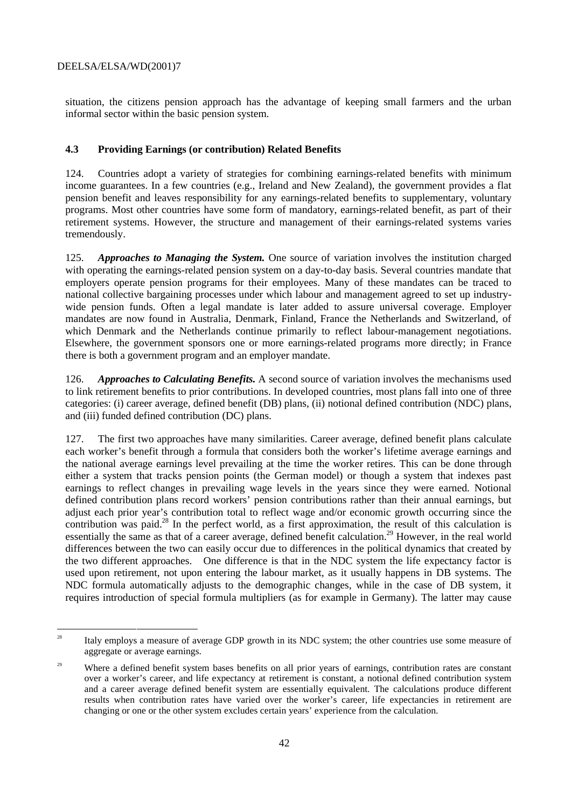situation, the citizens pension approach has the advantage of keeping small farmers and the urban informal sector within the basic pension system.

# **4.3 Providing Earnings (or contribution) Related Benefits**

124. Countries adopt a variety of strategies for combining earnings-related benefits with minimum income guarantees. In a few countries (e.g., Ireland and New Zealand), the government provides a flat pension benefit and leaves responsibility for any earnings-related benefits to supplementary, voluntary programs. Most other countries have some form of mandatory, earnings-related benefit, as part of their retirement systems. However, the structure and management of their earnings-related systems varies tremendously.

125. *Approaches to Managing the System.* One source of variation involves the institution charged with operating the earnings-related pension system on a day-to-day basis. Several countries mandate that employers operate pension programs for their employees. Many of these mandates can be traced to national collective bargaining processes under which labour and management agreed to set up industrywide pension funds. Often a legal mandate is later added to assure universal coverage. Employer mandates are now found in Australia, Denmark, Finland, France the Netherlands and Switzerland, of which Denmark and the Netherlands continue primarily to reflect labour-management negotiations. Elsewhere, the government sponsors one or more earnings-related programs more directly; in France there is both a government program and an employer mandate.

126. *Approaches to Calculating Benefits.* A second source of variation involves the mechanisms used to link retirement benefits to prior contributions. In developed countries, most plans fall into one of three categories: (i) career average, defined benefit (DB) plans, (ii) notional defined contribution (NDC) plans, and (iii) funded defined contribution (DC) plans.

127. The first two approaches have many similarities. Career average, defined benefit plans calculate each worker's benefit through a formula that considers both the worker's lifetime average earnings and the national average earnings level prevailing at the time the worker retires. This can be done through either a system that tracks pension points (the German model) or though a system that indexes past earnings to reflect changes in prevailing wage levels in the years since they were earned. Notional defined contribution plans record workers' pension contributions rather than their annual earnings, but adjust each prior year's contribution total to reflect wage and/or economic growth occurring since the contribution was paid.<sup>28</sup> In the perfect world, as a first approximation, the result of this calculation is essentially the same as that of a career average, defined benefit calculation.<sup>29</sup> However, in the real world differences between the two can easily occur due to differences in the political dynamics that created by the two different approaches. One difference is that in the NDC system the life expectancy factor is used upon retirement, not upon entering the labour market, as it usually happens in DB systems. The NDC formula automatically adjusts to the demographic changes, while in the case of DB system, it requires introduction of special formula multipliers (as for example in Germany). The latter may cause

<sup>&</sup>lt;sup>28</sup> Italy employs a measure of average GDP growth in its NDC system; the other countries use some measure of aggregate or average earnings.

<sup>&</sup>lt;sup>29</sup> Where a defined benefit system bases benefits on all prior years of earnings, contribution rates are constant over a worker's career, and life expectancy at retirement is constant, a notional defined contribution system and a career average defined benefit system are essentially equivalent. The calculations produce different results when contribution rates have varied over the worker's career, life expectancies in retirement are changing or one or the other system excludes certain years' experience from the calculation.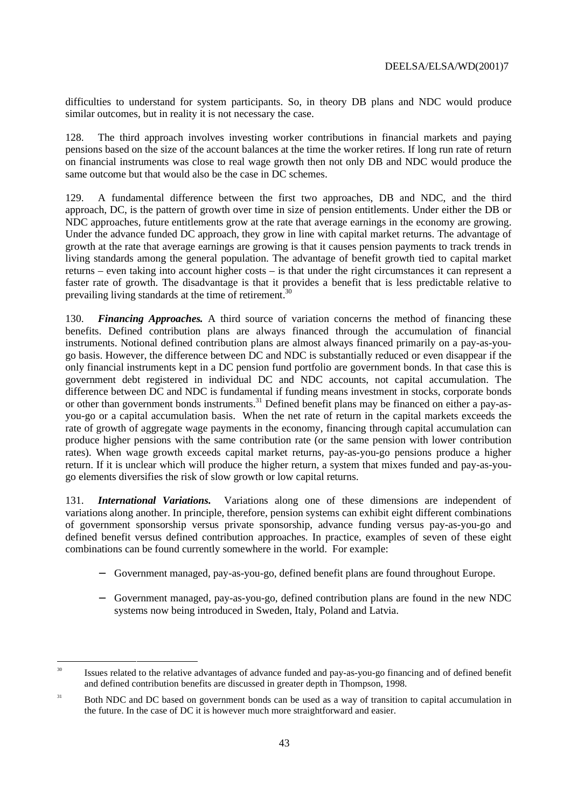difficulties to understand for system participants. So, in theory DB plans and NDC would produce similar outcomes, but in reality it is not necessary the case.

128. The third approach involves investing worker contributions in financial markets and paying pensions based on the size of the account balances at the time the worker retires. If long run rate of return on financial instruments was close to real wage growth then not only DB and NDC would produce the same outcome but that would also be the case in DC schemes.

129. A fundamental difference between the first two approaches, DB and NDC, and the third approach, DC, is the pattern of growth over time in size of pension entitlements. Under either the DB or NDC approaches, future entitlements grow at the rate that average earnings in the economy are growing. Under the advance funded DC approach, they grow in line with capital market returns. The advantage of growth at the rate that average earnings are growing is that it causes pension payments to track trends in living standards among the general population. The advantage of benefit growth tied to capital market returns – even taking into account higher costs – is that under the right circumstances it can represent a faster rate of growth. The disadvantage is that it provides a benefit that is less predictable relative to prevailing living standards at the time of retirement.<sup>30</sup>

130. *Financing Approaches.* A third source of variation concerns the method of financing these benefits. Defined contribution plans are always financed through the accumulation of financial instruments. Notional defined contribution plans are almost always financed primarily on a pay-as-yougo basis. However, the difference between DC and NDC is substantially reduced or even disappear if the only financial instruments kept in a DC pension fund portfolio are government bonds. In that case this is government debt registered in individual DC and NDC accounts, not capital accumulation. The difference between DC and NDC is fundamental if funding means investment in stocks, corporate bonds or other than government bonds instruments.<sup>31</sup> Defined benefit plans may be financed on either a pay-asyou-go or a capital accumulation basis. When the net rate of return in the capital markets exceeds the rate of growth of aggregate wage payments in the economy, financing through capital accumulation can produce higher pensions with the same contribution rate (or the same pension with lower contribution rates). When wage growth exceeds capital market returns, pay-as-you-go pensions produce a higher return. If it is unclear which will produce the higher return, a system that mixes funded and pay-as-yougo elements diversifies the risk of slow growth or low capital returns.

131. *International Variations.* Variations along one of these dimensions are independent of variations along another. In principle, therefore, pension systems can exhibit eight different combinations of government sponsorship versus private sponsorship, advance funding versus pay-as-you-go and defined benefit versus defined contribution approaches. In practice, examples of seven of these eight combinations can be found currently somewhere in the world. For example:

- − Government managed, pay-as-you-go, defined benefit plans are found throughout Europe.
- − Government managed, pay-as-you-go, defined contribution plans are found in the new NDC systems now being introduced in Sweden, Italy, Poland and Latvia.

<sup>&</sup>lt;sup>30</sup> Issues related to the relative advantages of advance funded and pay-as-you-go financing and of defined benefit and defined contribution benefits are discussed in greater depth in Thompson, 1998.

<sup>&</sup>lt;sup>31</sup> Both NDC and DC based on government bonds can be used as a way of transition to capital accumulation in the future. In the case of DC it is however much more straightforward and easier.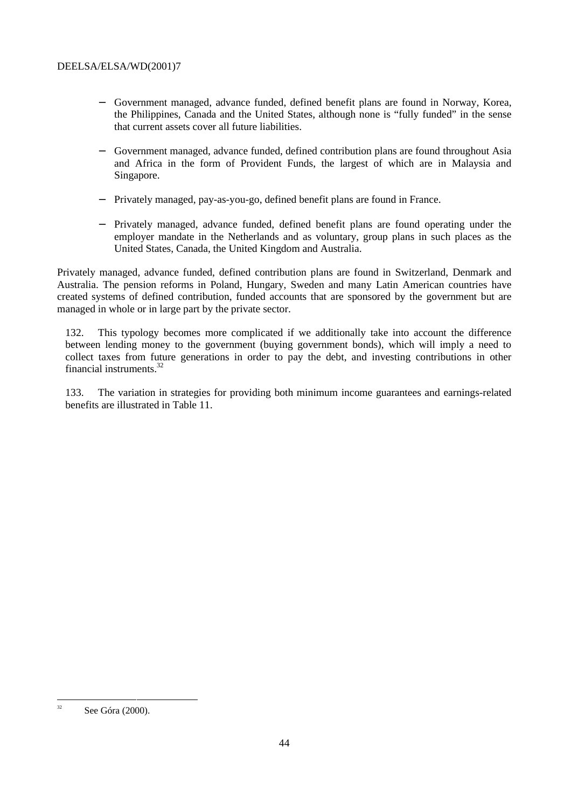- − Government managed, advance funded, defined benefit plans are found in Norway, Korea, the Philippines, Canada and the United States, although none is "fully funded" in the sense that current assets cover all future liabilities.
- Government managed, advance funded, defined contribution plans are found throughout Asia and Africa in the form of Provident Funds, the largest of which are in Malaysia and Singapore.
- − Privately managed, pay-as-you-go, defined benefit plans are found in France.
- − Privately managed, advance funded, defined benefit plans are found operating under the employer mandate in the Netherlands and as voluntary, group plans in such places as the United States, Canada, the United Kingdom and Australia.

Privately managed, advance funded, defined contribution plans are found in Switzerland, Denmark and Australia. The pension reforms in Poland, Hungary, Sweden and many Latin American countries have created systems of defined contribution, funded accounts that are sponsored by the government but are managed in whole or in large part by the private sector.

132. This typology becomes more complicated if we additionally take into account the difference between lending money to the government (buying government bonds), which will imply a need to collect taxes from future generations in order to pay the debt, and investing contributions in other financial instruments.32

133. The variation in strategies for providing both minimum income guarantees and earnings-related benefits are illustrated in Table 11.

 $32$  See Góra (2000).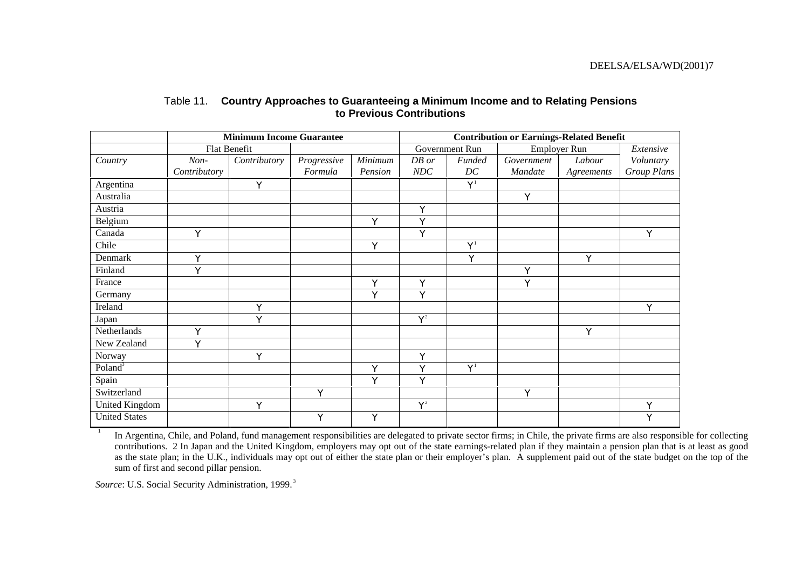|                       | <b>Minimum Income Guarantee</b> |              |             | <b>Contribution or Earnings-Related Benefit</b> |             |                         |              |            |             |
|-----------------------|---------------------------------|--------------|-------------|-------------------------------------------------|-------------|-------------------------|--------------|------------|-------------|
|                       | Flat Benefit                    |              |             |                                                 |             | Government Run          | Employer Run |            | Extensive   |
| Country               | $Non-$                          | Contributory | Progressive | Minimum                                         | DB or       | Funded                  | Government   | Labour     | Voluntary   |
|                       | Contributory                    |              | Formula     | Pension                                         | NDC         | DC                      | Mandate      | Agreements | Group Plans |
| Argentina             |                                 | Y            |             |                                                 |             | $\mathbf{Y}^{\text{1}}$ |              |            |             |
| Australia             |                                 |              |             |                                                 |             |                         | Y            |            |             |
| Austria               |                                 |              |             |                                                 | Y           |                         |              |            |             |
| Belgium               |                                 |              |             | Y                                               | $\mathbf Y$ |                         |              |            |             |
| Canada                | Y                               |              |             |                                                 | Y           |                         |              |            | Y           |
| Chile                 |                                 |              |             | Y                                               |             | $\mathbf{Y}^1$          |              |            |             |
| Denmark               | Y                               |              |             |                                                 |             | Y                       |              | Y          |             |
| Finland               | Y                               |              |             |                                                 |             |                         | $\mathbf Y$  |            |             |
| France                |                                 |              |             | Y                                               | Y           |                         | Y            |            |             |
| Germany               |                                 |              |             | Y                                               | Y           |                         |              |            |             |
| Ireland               |                                 | Y            |             |                                                 |             |                         |              |            | Y           |
| Japan                 |                                 | Y            |             |                                                 | ${\bf Y}^2$ |                         |              |            |             |
| Netherlands           | Y                               |              |             |                                                 |             |                         |              | Y          |             |
| New Zealand           | Y                               |              |             |                                                 |             |                         |              |            |             |
| Norway                |                                 | Y            |             |                                                 | Y           |                         |              |            |             |
| Poland <sup>3</sup>   |                                 |              |             | Y                                               | Y           | $Y^1$                   |              |            |             |
| Spain                 |                                 |              |             | Y                                               | Y           |                         |              |            |             |
| Switzerland           |                                 |              | Y           |                                                 |             |                         | Y            |            |             |
| <b>United Kingdom</b> |                                 | $\mathbf Y$  |             |                                                 | ${\bf Y}^2$ |                         |              |            | $\mathbf Y$ |
| <b>United States</b>  |                                 |              | Y           | Y                                               |             |                         |              |            | Y           |

# Table 11. **Country Approaches to Guaranteeing a Minimum Income and to Relating Pensions to Previous Contributions**

<sup>1</sup> In Argentina, Chile, and Poland, fund management responsibilities are delegated to private sector firms; in Chile, the private firms are also responsible for collecting contributions. 2 In Japan and the United Kingdom, employers may opt out of the state earnings-related plan if they maintain a pension plan that is at least as good as the state plan; in the U.K., individuals may opt out of either the state plan or their employer's plan. A supplement paid out of the state budget on the top of the sum of first and second pillar pension.

Source: U.S. Social Security Administration, 1999.<sup>3</sup>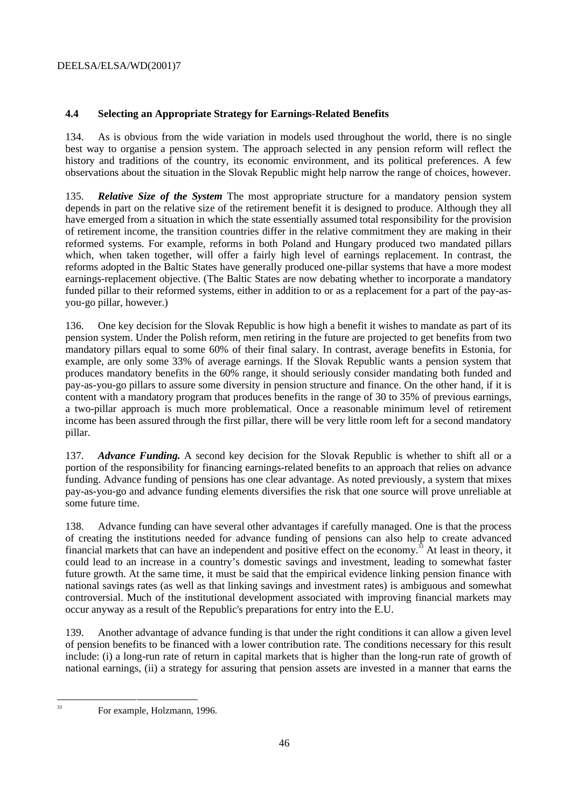# **4.4 Selecting an Appropriate Strategy for Earnings-Related Benefits**

134. As is obvious from the wide variation in models used throughout the world, there is no single best way to organise a pension system. The approach selected in any pension reform will reflect the history and traditions of the country, its economic environment, and its political preferences. A few observations about the situation in the Slovak Republic might help narrow the range of choices, however.

135. *Relative Size of the System* The most appropriate structure for a mandatory pension system depends in part on the relative size of the retirement benefit it is designed to produce. Although they all have emerged from a situation in which the state essentially assumed total responsibility for the provision of retirement income, the transition countries differ in the relative commitment they are making in their reformed systems. For example, reforms in both Poland and Hungary produced two mandated pillars which, when taken together, will offer a fairly high level of earnings replacement. In contrast, the reforms adopted in the Baltic States have generally produced one-pillar systems that have a more modest earnings-replacement objective. (The Baltic States are now debating whether to incorporate a mandatory funded pillar to their reformed systems, either in addition to or as a replacement for a part of the pay-asyou-go pillar, however.)

136. One key decision for the Slovak Republic is how high a benefit it wishes to mandate as part of its pension system. Under the Polish reform, men retiring in the future are projected to get benefits from two mandatory pillars equal to some 60% of their final salary. In contrast, average benefits in Estonia, for example, are only some 33% of average earnings. If the Slovak Republic wants a pension system that produces mandatory benefits in the 60% range, it should seriously consider mandating both funded and pay-as-you-go pillars to assure some diversity in pension structure and finance. On the other hand, if it is content with a mandatory program that produces benefits in the range of 30 to 35% of previous earnings, a two-pillar approach is much more problematical. Once a reasonable minimum level of retirement income has been assured through the first pillar, there will be very little room left for a second mandatory pillar.

137. *Advance Funding.* A second key decision for the Slovak Republic is whether to shift all or a portion of the responsibility for financing earnings-related benefits to an approach that relies on advance funding. Advance funding of pensions has one clear advantage. As noted previously, a system that mixes pay-as-you-go and advance funding elements diversifies the risk that one source will prove unreliable at some future time.

138. Advance funding can have several other advantages if carefully managed. One is that the process of creating the institutions needed for advance funding of pensions can also help to create advanced financial markets that can have an independent and positive effect on the economy.<sup>33</sup> At least in theory, it could lead to an increase in a country's domestic savings and investment, leading to somewhat faster future growth. At the same time, it must be said that the empirical evidence linking pension finance with national savings rates (as well as that linking savings and investment rates) is ambiguous and somewhat controversial. Much of the institutional development associated with improving financial markets may occur anyway as a result of the Republic's preparations for entry into the E.U.

139. Another advantage of advance funding is that under the right conditions it can allow a given level of pension benefits to be financed with a lower contribution rate. The conditions necessary for this result include: (i) a long-run rate of return in capital markets that is higher than the long-run rate of growth of national earnings, (ii) a strategy for assuring that pension assets are invested in a manner that earns the

<sup>&</sup>lt;sup>33</sup> For example, Holzmann, 1996.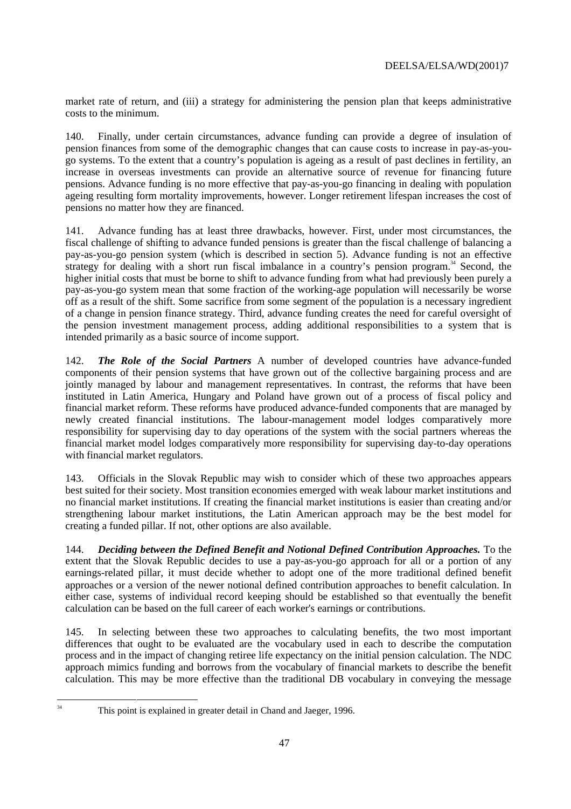market rate of return, and (iii) a strategy for administering the pension plan that keeps administrative costs to the minimum.

140. Finally, under certain circumstances, advance funding can provide a degree of insulation of pension finances from some of the demographic changes that can cause costs to increase in pay-as-yougo systems. To the extent that a country's population is ageing as a result of past declines in fertility, an increase in overseas investments can provide an alternative source of revenue for financing future pensions. Advance funding is no more effective that pay-as-you-go financing in dealing with population ageing resulting form mortality improvements, however. Longer retirement lifespan increases the cost of pensions no matter how they are financed.

141. Advance funding has at least three drawbacks, however. First, under most circumstances, the fiscal challenge of shifting to advance funded pensions is greater than the fiscal challenge of balancing a pay-as-you-go pension system (which is described in section 5). Advance funding is not an effective strategy for dealing with a short run fiscal imbalance in a country's pension program.<sup>34</sup> Second, the higher initial costs that must be borne to shift to advance funding from what had previously been purely a pay-as-you-go system mean that some fraction of the working-age population will necessarily be worse off as a result of the shift. Some sacrifice from some segment of the population is a necessary ingredient of a change in pension finance strategy. Third, advance funding creates the need for careful oversight of the pension investment management process, adding additional responsibilities to a system that is intended primarily as a basic source of income support.

142. *The Role of the Social Partners* A number of developed countries have advance-funded components of their pension systems that have grown out of the collective bargaining process and are jointly managed by labour and management representatives. In contrast, the reforms that have been instituted in Latin America, Hungary and Poland have grown out of a process of fiscal policy and financial market reform. These reforms have produced advance-funded components that are managed by newly created financial institutions. The labour-management model lodges comparatively more responsibility for supervising day to day operations of the system with the social partners whereas the financial market model lodges comparatively more responsibility for supervising day-to-day operations with financial market regulators.

143. Officials in the Slovak Republic may wish to consider which of these two approaches appears best suited for their society. Most transition economies emerged with weak labour market institutions and no financial market institutions. If creating the financial market institutions is easier than creating and/or strengthening labour market institutions, the Latin American approach may be the best model for creating a funded pillar. If not, other options are also available.

144. *Deciding between the Defined Benefit and Notional Defined Contribution Approaches.* To the extent that the Slovak Republic decides to use a pay-as-you-go approach for all or a portion of any earnings-related pillar, it must decide whether to adopt one of the more traditional defined benefit approaches or a version of the newer notional defined contribution approaches to benefit calculation. In either case, systems of individual record keeping should be established so that eventually the benefit calculation can be based on the full career of each worker's earnings or contributions.

145. In selecting between these two approaches to calculating benefits, the two most important differences that ought to be evaluated are the vocabulary used in each to describe the computation process and in the impact of changing retiree life expectancy on the initial pension calculation. The NDC approach mimics funding and borrows from the vocabulary of financial markets to describe the benefit calculation. This may be more effective than the traditional DB vocabulary in conveying the message

<sup>&</sup>lt;sup>34</sup> This point is explained in greater detail in Chand and Jaeger, 1996.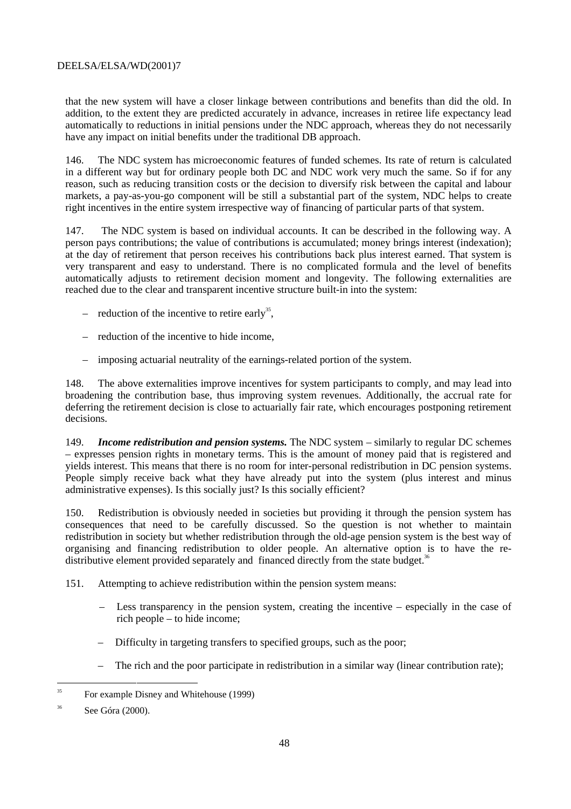that the new system will have a closer linkage between contributions and benefits than did the old. In addition, to the extent they are predicted accurately in advance, increases in retiree life expectancy lead automatically to reductions in initial pensions under the NDC approach, whereas they do not necessarily have any impact on initial benefits under the traditional DB approach.

146. The NDC system has microeconomic features of funded schemes. Its rate of return is calculated in a different way but for ordinary people both DC and NDC work very much the same. So if for any reason, such as reducing transition costs or the decision to diversify risk between the capital and labour markets, a pay-as-you-go component will be still a substantial part of the system, NDC helps to create right incentives in the entire system irrespective way of financing of particular parts of that system.

147. The NDC system is based on individual accounts. It can be described in the following way. A person pays contributions; the value of contributions is accumulated; money brings interest (indexation); at the day of retirement that person receives his contributions back plus interest earned. That system is very transparent and easy to understand. There is no complicated formula and the level of benefits automatically adjusts to retirement decision moment and longevity. The following externalities are reached due to the clear and transparent incentive structure built-in into the system:

- reduction of the incentive to retire early<sup>35</sup>,
- reduction of the incentive to hide income,
- imposing actuarial neutrality of the earnings-related portion of the system.

148. The above externalities improve incentives for system participants to comply, and may lead into broadening the contribution base, thus improving system revenues. Additionally, the accrual rate for deferring the retirement decision is close to actuarially fair rate, which encourages postponing retirement decisions.

149. *Income redistribution and pension systems.* The NDC system – similarly to regular DC schemes – expresses pension rights in monetary terms. This is the amount of money paid that is registered and yields interest. This means that there is no room for inter-personal redistribution in DC pension systems. People simply receive back what they have already put into the system (plus interest and minus administrative expenses). Is this socially just? Is this socially efficient?

150. Redistribution is obviously needed in societies but providing it through the pension system has consequences that need to be carefully discussed. So the question is not whether to maintain redistribution in society but whether redistribution through the old-age pension system is the best way of organising and financing redistribution to older people. An alternative option is to have the redistributive element provided separately and financed directly from the state budget.<sup>36</sup>

- 151. Attempting to achieve redistribution within the pension system means:
	- Less transparency in the pension system, creating the incentive especially in the case of rich people – to hide income;
	- Difficulty in targeting transfers to specified groups, such as the poor;
	- The rich and the poor participate in redistribution in a similar way (linear contribution rate);

<sup>&</sup>lt;sup>35</sup> For example Disney and Whitehouse (1999)

<sup>36</sup> See Góra (2000).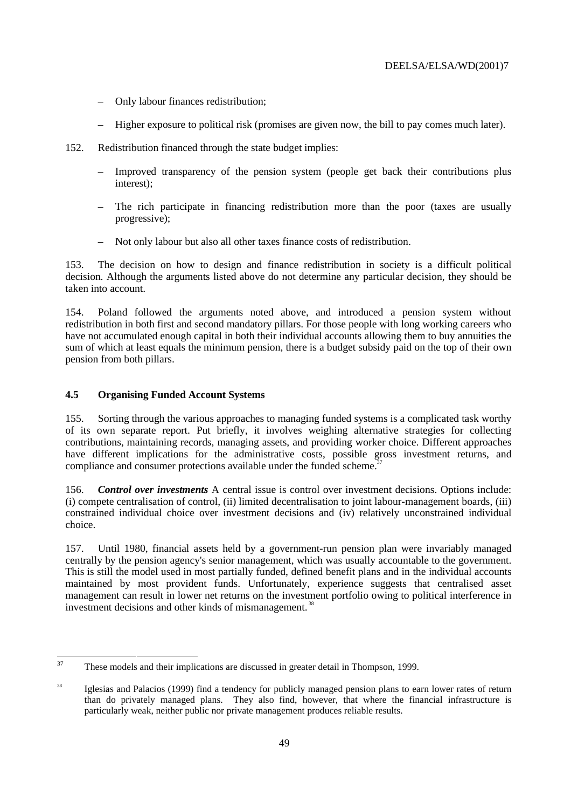- Only labour finances redistribution;
- Higher exposure to political risk (promises are given now, the bill to pay comes much later).
- 152. Redistribution financed through the state budget implies:
	- Improved transparency of the pension system (people get back their contributions plus interest);
	- The rich participate in financing redistribution more than the poor (taxes are usually progressive);
	- Not only labour but also all other taxes finance costs of redistribution.

153. The decision on how to design and finance redistribution in society is a difficult political decision. Although the arguments listed above do not determine any particular decision, they should be taken into account.

154. Poland followed the arguments noted above, and introduced a pension system without redistribution in both first and second mandatory pillars. For those people with long working careers who have not accumulated enough capital in both their individual accounts allowing them to buy annuities the sum of which at least equals the minimum pension, there is a budget subsidy paid on the top of their own pension from both pillars.

# **4.5 Organising Funded Account Systems**

155. Sorting through the various approaches to managing funded systems is a complicated task worthy of its own separate report. Put briefly, it involves weighing alternative strategies for collecting contributions, maintaining records, managing assets, and providing worker choice. Different approaches have different implications for the administrative costs, possible gross investment returns, and compliance and consumer protections available under the funded scheme.<sup>37</sup>

156. *Control over investments* A central issue is control over investment decisions. Options include: (i) compete centralisation of control, (ii) limited decentralisation to joint labour-management boards, (iii) constrained individual choice over investment decisions and (iv) relatively unconstrained individual choice.

157. Until 1980, financial assets held by a government-run pension plan were invariably managed centrally by the pension agency's senior management, which was usually accountable to the government. This is still the model used in most partially funded, defined benefit plans and in the individual accounts maintained by most provident funds. Unfortunately, experience suggests that centralised asset management can result in lower net returns on the investment portfolio owing to political interference in investment decisions and other kinds of mismanagement. 38

<sup>&</sup>lt;sup>37</sup> These models and their implications are discussed in greater detail in Thompson, 1999.

<sup>&</sup>lt;sup>38</sup> Iglesias and Palacios (1999) find a tendency for publicly managed pension plans to earn lower rates of return than do privately managed plans. They also find, however, that where the financial infrastructure is particularly weak, neither public nor private management produces reliable results.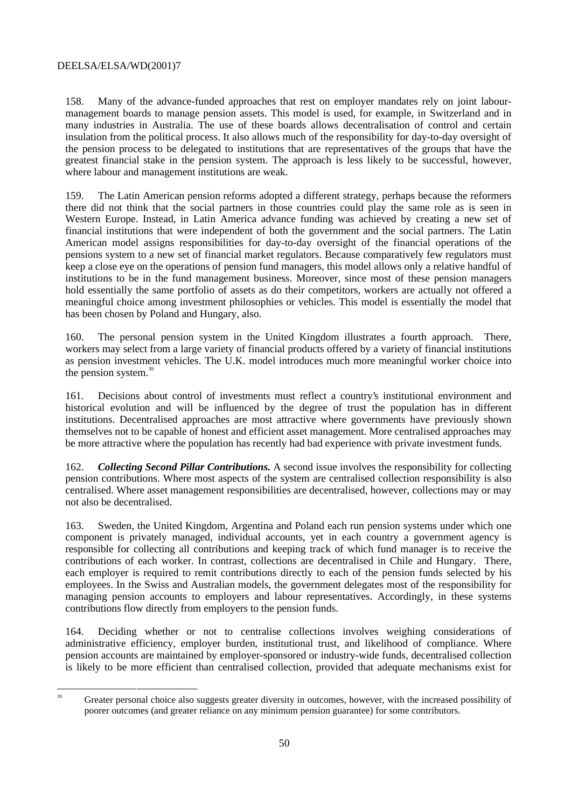158. Many of the advance-funded approaches that rest on employer mandates rely on joint labourmanagement boards to manage pension assets. This model is used, for example, in Switzerland and in many industries in Australia. The use of these boards allows decentralisation of control and certain insulation from the political process. It also allows much of the responsibility for day-to-day oversight of the pension process to be delegated to institutions that are representatives of the groups that have the greatest financial stake in the pension system. The approach is less likely to be successful, however, where labour and management institutions are weak.

159. The Latin American pension reforms adopted a different strategy, perhaps because the reformers there did not think that the social partners in those countries could play the same role as is seen in Western Europe. Instead, in Latin America advance funding was achieved by creating a new set of financial institutions that were independent of both the government and the social partners. The Latin American model assigns responsibilities for day-to-day oversight of the financial operations of the pensions system to a new set of financial market regulators. Because comparatively few regulators must keep a close eye on the operations of pension fund managers, this model allows only a relative handful of institutions to be in the fund management business. Moreover, since most of these pension managers hold essentially the same portfolio of assets as do their competitors, workers are actually not offered a meaningful choice among investment philosophies or vehicles. This model is essentially the model that has been chosen by Poland and Hungary, also.

160. The personal pension system in the United Kingdom illustrates a fourth approach. There, workers may select from a large variety of financial products offered by a variety of financial institutions as pension investment vehicles. The U.K. model introduces much more meaningful worker choice into the pension system.<sup>39</sup>

161. Decisions about control of investments must reflect a country's institutional environment and historical evolution and will be influenced by the degree of trust the population has in different institutions. Decentralised approaches are most attractive where governments have previously shown themselves not to be capable of honest and efficient asset management. More centralised approaches may be more attractive where the population has recently had bad experience with private investment funds.

162. *Collecting Second Pillar Contributions.* A second issue involves the responsibility for collecting pension contributions. Where most aspects of the system are centralised collection responsibility is also centralised. Where asset management responsibilities are decentralised, however, collections may or may not also be decentralised.

163. Sweden, the United Kingdom, Argentina and Poland each run pension systems under which one component is privately managed, individual accounts, yet in each country a government agency is responsible for collecting all contributions and keeping track of which fund manager is to receive the contributions of each worker. In contrast, collections are decentralised in Chile and Hungary. There, each employer is required to remit contributions directly to each of the pension funds selected by his employees. In the Swiss and Australian models, the government delegates most of the responsibility for managing pension accounts to employers and labour representatives. Accordingly, in these systems contributions flow directly from employers to the pension funds.

164. Deciding whether or not to centralise collections involves weighing considerations of administrative efficiency, employer burden, institutional trust, and likelihood of compliance. Where pension accounts are maintained by employer-sponsored or industry-wide funds, decentralised collection is likely to be more efficient than centralised collection, provided that adequate mechanisms exist for

<sup>&</sup>lt;sup>39</sup> Greater personal choice also suggests greater diversity in outcomes, however, with the increased possibility of poorer outcomes (and greater reliance on any minimum pension guarantee) for some contributors.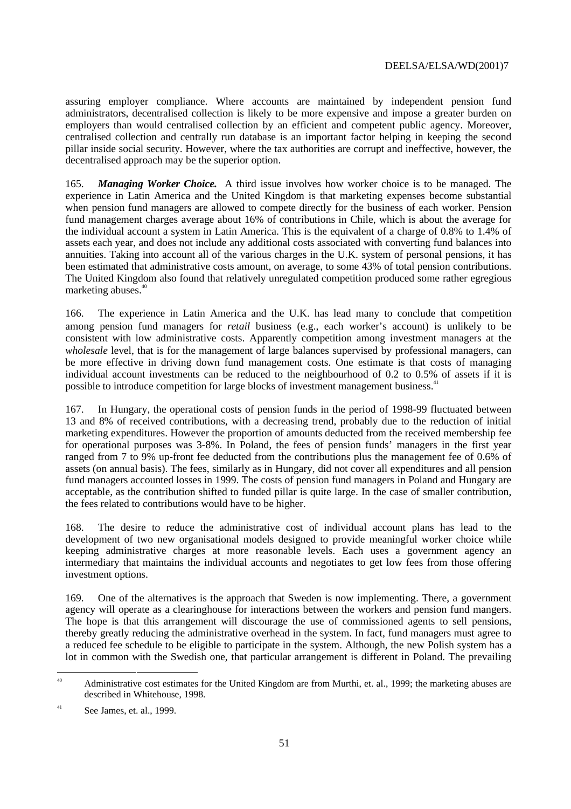assuring employer compliance. Where accounts are maintained by independent pension fund administrators, decentralised collection is likely to be more expensive and impose a greater burden on employers than would centralised collection by an efficient and competent public agency. Moreover, centralised collection and centrally run database is an important factor helping in keeping the second pillar inside social security. However, where the tax authorities are corrupt and ineffective, however, the decentralised approach may be the superior option.

165. *Managing Worker Choice.* A third issue involves how worker choice is to be managed. The experience in Latin America and the United Kingdom is that marketing expenses become substantial when pension fund managers are allowed to compete directly for the business of each worker. Pension fund management charges average about 16% of contributions in Chile, which is about the average for the individual account a system in Latin America. This is the equivalent of a charge of 0.8% to 1.4% of assets each year, and does not include any additional costs associated with converting fund balances into annuities. Taking into account all of the various charges in the U.K. system of personal pensions, it has been estimated that administrative costs amount, on average, to some 43% of total pension contributions. The United Kingdom also found that relatively unregulated competition produced some rather egregious marketing abuses.<sup>40</sup>

166. The experience in Latin America and the U.K. has lead many to conclude that competition among pension fund managers for *retail* business (e.g., each worker's account) is unlikely to be consistent with low administrative costs. Apparently competition among investment managers at the *wholesale* level, that is for the management of large balances supervised by professional managers, can be more effective in driving down fund management costs. One estimate is that costs of managing individual account investments can be reduced to the neighbourhood of 0.2 to 0.5% of assets if it is possible to introduce competition for large blocks of investment management business.<sup>41</sup>

167. In Hungary, the operational costs of pension funds in the period of 1998-99 fluctuated between 13 and 8% of received contributions, with a decreasing trend, probably due to the reduction of initial marketing expenditures. However the proportion of amounts deducted from the received membership fee for operational purposes was 3-8%. In Poland, the fees of pension funds' managers in the first year ranged from 7 to 9% up-front fee deducted from the contributions plus the management fee of 0.6% of assets (on annual basis). The fees, similarly as in Hungary, did not cover all expenditures and all pension fund managers accounted losses in 1999. The costs of pension fund managers in Poland and Hungary are acceptable, as the contribution shifted to funded pillar is quite large. In the case of smaller contribution, the fees related to contributions would have to be higher.

168. The desire to reduce the administrative cost of individual account plans has lead to the development of two new organisational models designed to provide meaningful worker choice while keeping administrative charges at more reasonable levels. Each uses a government agency an intermediary that maintains the individual accounts and negotiates to get low fees from those offering investment options.

169. One of the alternatives is the approach that Sweden is now implementing. There, a government agency will operate as a clearinghouse for interactions between the workers and pension fund mangers. The hope is that this arrangement will discourage the use of commissioned agents to sell pensions, thereby greatly reducing the administrative overhead in the system. In fact, fund managers must agree to a reduced fee schedule to be eligible to participate in the system. Although, the new Polish system has a lot in common with the Swedish one, that particular arrangement is different in Poland. The prevailing

<sup>&</sup>lt;sup>40</sup> Administrative cost estimates for the United Kingdom are from Murthi, et. al., 1999; the marketing abuses are described in Whitehouse, 1998.

 $\frac{41}{10}$  See James, et. al., 1999.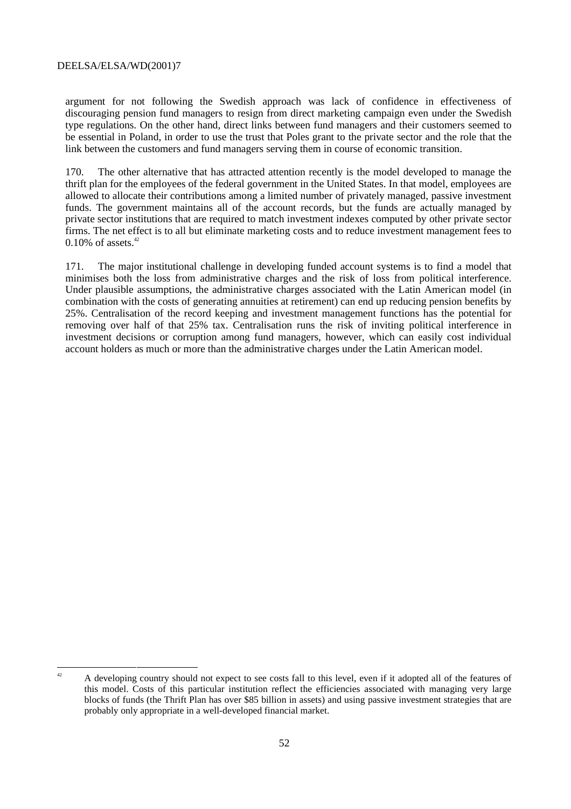argument for not following the Swedish approach was lack of confidence in effectiveness of discouraging pension fund managers to resign from direct marketing campaign even under the Swedish type regulations. On the other hand, direct links between fund managers and their customers seemed to be essential in Poland, in order to use the trust that Poles grant to the private sector and the role that the link between the customers and fund managers serving them in course of economic transition.

170. The other alternative that has attracted attention recently is the model developed to manage the thrift plan for the employees of the federal government in the United States. In that model, employees are allowed to allocate their contributions among a limited number of privately managed, passive investment funds. The government maintains all of the account records, but the funds are actually managed by private sector institutions that are required to match investment indexes computed by other private sector firms. The net effect is to all but eliminate marketing costs and to reduce investment management fees to  $0.10\%$  of assets.<sup>42</sup>

171. The major institutional challenge in developing funded account systems is to find a model that minimises both the loss from administrative charges and the risk of loss from political interference. Under plausible assumptions, the administrative charges associated with the Latin American model (in combination with the costs of generating annuities at retirement) can end up reducing pension benefits by 25%. Centralisation of the record keeping and investment management functions has the potential for removing over half of that 25% tax. Centralisation runs the risk of inviting political interference in investment decisions or corruption among fund managers, however, which can easily cost individual account holders as much or more than the administrative charges under the Latin American model.

 $42$  A developing country should not expect to see costs fall to this level, even if it adopted all of the features of this model. Costs of this particular institution reflect the efficiencies associated with managing very large blocks of funds (the Thrift Plan has over \$85 billion in assets) and using passive investment strategies that are probably only appropriate in a well-developed financial market.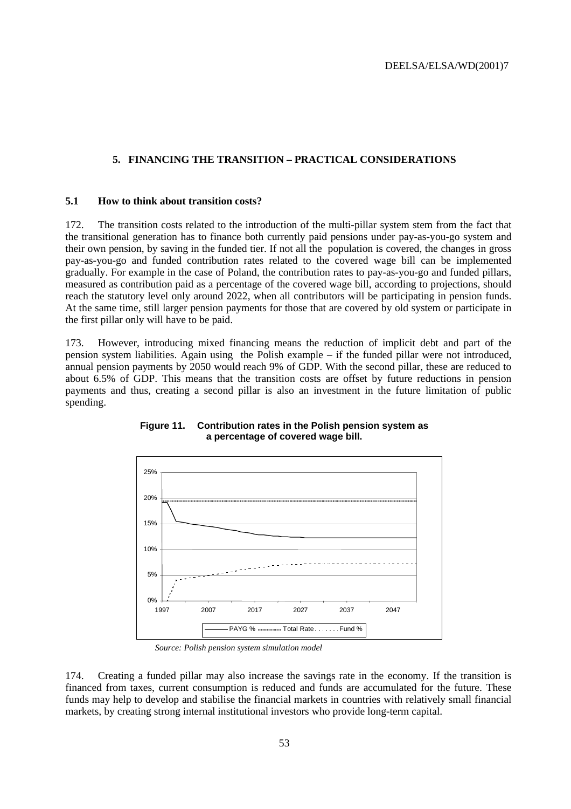# **5. FINANCING THE TRANSITION – PRACTICAL CONSIDERATIONS**

#### **5.1 How to think about transition costs?**

172. The transition costs related to the introduction of the multi-pillar system stem from the fact that the transitional generation has to finance both currently paid pensions under pay-as-you-go system and their own pension, by saving in the funded tier. If not all the population is covered, the changes in gross pay-as-you-go and funded contribution rates related to the covered wage bill can be implemented gradually. For example in the case of Poland, the contribution rates to pay-as-you-go and funded pillars, measured as contribution paid as a percentage of the covered wage bill, according to projections, should reach the statutory level only around 2022, when all contributors will be participating in pension funds. At the same time, still larger pension payments for those that are covered by old system or participate in the first pillar only will have to be paid.

173. However, introducing mixed financing means the reduction of implicit debt and part of the pension system liabilities. Again using the Polish example – if the funded pillar were not introduced, annual pension payments by 2050 would reach 9% of GDP. With the second pillar, these are reduced to about 6.5% of GDP. This means that the transition costs are offset by future reductions in pension payments and thus, creating a second pillar is also an investment in the future limitation of public spending.



**Figure 11. Contribution rates in the Polish pension system as a percentage of covered wage bill.**

*Source: Polish pension system simulation model*

174. Creating a funded pillar may also increase the savings rate in the economy. If the transition is financed from taxes, current consumption is reduced and funds are accumulated for the future. These funds may help to develop and stabilise the financial markets in countries with relatively small financial markets, by creating strong internal institutional investors who provide long-term capital.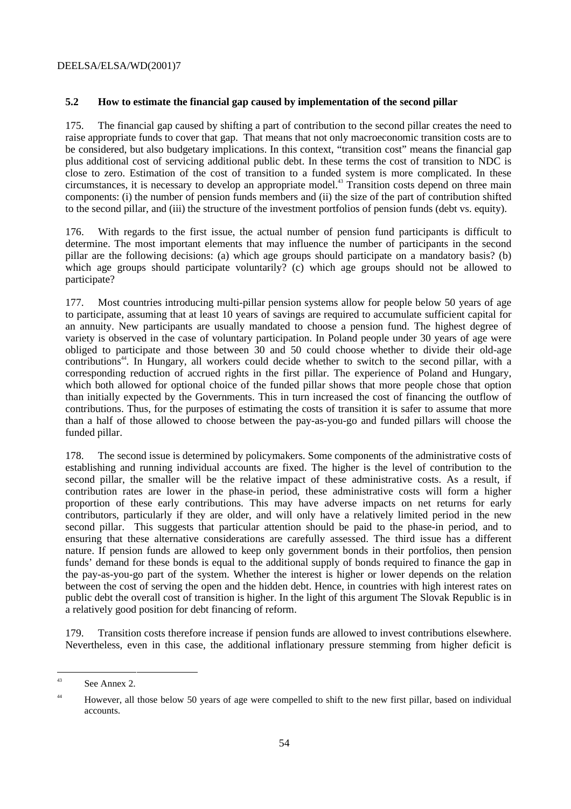# **5.2 How to estimate the financial gap caused by implementation of the second pillar**

175. The financial gap caused by shifting a part of contribution to the second pillar creates the need to raise appropriate funds to cover that gap. That means that not only macroeconomic transition costs are to be considered, but also budgetary implications. In this context, "transition cost" means the financial gap plus additional cost of servicing additional public debt. In these terms the cost of transition to NDC is close to zero. Estimation of the cost of transition to a funded system is more complicated. In these circumstances, it is necessary to develop an appropriate model.43 Transition costs depend on three main components: (i) the number of pension funds members and (ii) the size of the part of contribution shifted to the second pillar, and (iii) the structure of the investment portfolios of pension funds (debt vs. equity).

176. With regards to the first issue, the actual number of pension fund participants is difficult to determine. The most important elements that may influence the number of participants in the second pillar are the following decisions: (a) which age groups should participate on a mandatory basis? (b) which age groups should participate voluntarily? (c) which age groups should not be allowed to participate?

177. Most countries introducing multi-pillar pension systems allow for people below 50 years of age to participate, assuming that at least 10 years of savings are required to accumulate sufficient capital for an annuity. New participants are usually mandated to choose a pension fund. The highest degree of variety is observed in the case of voluntary participation. In Poland people under 30 years of age were obliged to participate and those between 30 and 50 could choose whether to divide their old-age contributions<sup>44</sup>. In Hungary, all workers could decide whether to switch to the second pillar, with a corresponding reduction of accrued rights in the first pillar. The experience of Poland and Hungary, which both allowed for optional choice of the funded pillar shows that more people chose that option than initially expected by the Governments. This in turn increased the cost of financing the outflow of contributions. Thus, for the purposes of estimating the costs of transition it is safer to assume that more than a half of those allowed to choose between the pay-as-you-go and funded pillars will choose the funded pillar.

178. The second issue is determined by policymakers. Some components of the administrative costs of establishing and running individual accounts are fixed. The higher is the level of contribution to the second pillar, the smaller will be the relative impact of these administrative costs. As a result, if contribution rates are lower in the phase-in period, these administrative costs will form a higher proportion of these early contributions. This may have adverse impacts on net returns for early contributors, particularly if they are older, and will only have a relatively limited period in the new second pillar. This suggests that particular attention should be paid to the phase-in period, and to ensuring that these alternative considerations are carefully assessed. The third issue has a different nature. If pension funds are allowed to keep only government bonds in their portfolios, then pension funds' demand for these bonds is equal to the additional supply of bonds required to finance the gap in the pay-as-you-go part of the system. Whether the interest is higher or lower depends on the relation between the cost of serving the open and the hidden debt. Hence, in countries with high interest rates on public debt the overall cost of transition is higher. In the light of this argument The Slovak Republic is in a relatively good position for debt financing of reform.

179. Transition costs therefore increase if pension funds are allowed to invest contributions elsewhere. Nevertheless, even in this case, the additional inflationary pressure stemming from higher deficit is

 $43$  See Annex 2.

<sup>&</sup>lt;sup>44</sup> However, all those below 50 years of age were compelled to shift to the new first pillar, based on individual accounts.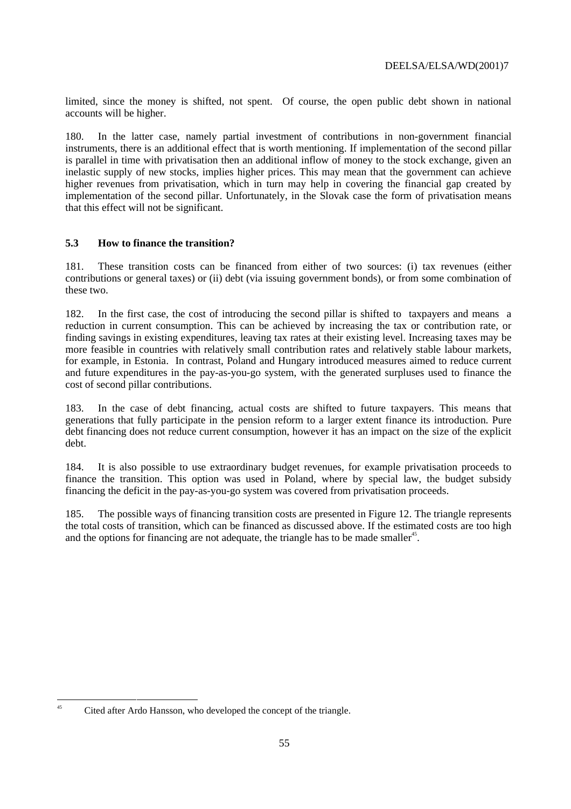limited, since the money is shifted, not spent. Of course, the open public debt shown in national accounts will be higher.

180. In the latter case, namely partial investment of contributions in non-government financial instruments, there is an additional effect that is worth mentioning. If implementation of the second pillar is parallel in time with privatisation then an additional inflow of money to the stock exchange, given an inelastic supply of new stocks, implies higher prices. This may mean that the government can achieve higher revenues from privatisation, which in turn may help in covering the financial gap created by implementation of the second pillar. Unfortunately, in the Slovak case the form of privatisation means that this effect will not be significant.

# **5.3 How to finance the transition?**

181. These transition costs can be financed from either of two sources: (i) tax revenues (either contributions or general taxes) or (ii) debt (via issuing government bonds), or from some combination of these two.

182. In the first case, the cost of introducing the second pillar is shifted to taxpayers and means a reduction in current consumption. This can be achieved by increasing the tax or contribution rate, or finding savings in existing expenditures, leaving tax rates at their existing level. Increasing taxes may be more feasible in countries with relatively small contribution rates and relatively stable labour markets, for example, in Estonia. In contrast, Poland and Hungary introduced measures aimed to reduce current and future expenditures in the pay-as-you-go system, with the generated surpluses used to finance the cost of second pillar contributions.

183. In the case of debt financing, actual costs are shifted to future taxpayers. This means that generations that fully participate in the pension reform to a larger extent finance its introduction. Pure debt financing does not reduce current consumption, however it has an impact on the size of the explicit debt.

184. It is also possible to use extraordinary budget revenues, for example privatisation proceeds to finance the transition. This option was used in Poland, where by special law, the budget subsidy financing the deficit in the pay-as-you-go system was covered from privatisation proceeds.

185. The possible ways of financing transition costs are presented in Figure 12. The triangle represents the total costs of transition, which can be financed as discussed above. If the estimated costs are too high and the options for financing are not adequate, the triangle has to be made smaller<sup>45</sup>.

Cited after Ardo Hansson, who developed the concept of the triangle.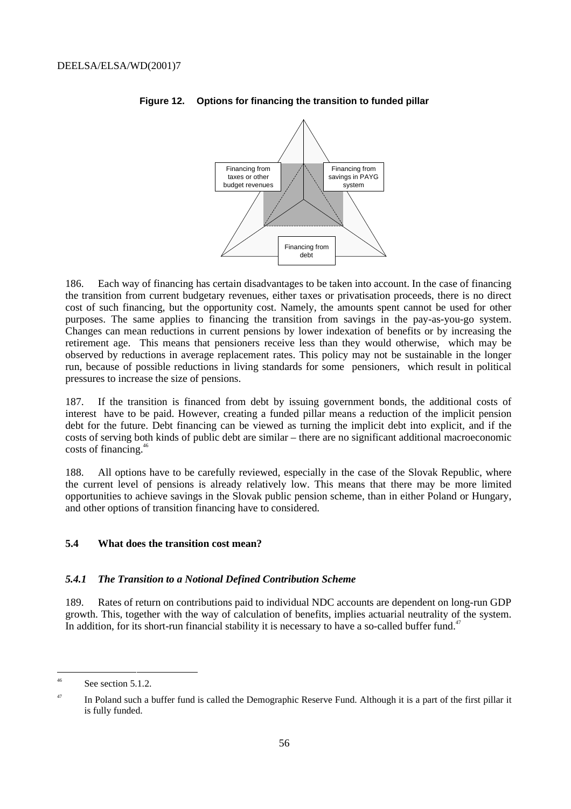

### **Figure 12. Options for financing the transition to funded pillar**

186. Each way of financing has certain disadvantages to be taken into account. In the case of financing the transition from current budgetary revenues, either taxes or privatisation proceeds, there is no direct cost of such financing, but the opportunity cost. Namely, the amounts spent cannot be used for other purposes. The same applies to financing the transition from savings in the pay-as-you-go system. Changes can mean reductions in current pensions by lower indexation of benefits or by increasing the retirement age. This means that pensioners receive less than they would otherwise, which may be observed by reductions in average replacement rates. This policy may not be sustainable in the longer run, because of possible reductions in living standards for some pensioners, which result in political pressures to increase the size of pensions.

187. If the transition is financed from debt by issuing government bonds, the additional costs of interest have to be paid. However, creating a funded pillar means a reduction of the implicit pension debt for the future. Debt financing can be viewed as turning the implicit debt into explicit, and if the costs of serving both kinds of public debt are similar – there are no significant additional macroeconomic costs of financing.46

188. All options have to be carefully reviewed, especially in the case of the Slovak Republic, where the current level of pensions is already relatively low. This means that there may be more limited opportunities to achieve savings in the Slovak public pension scheme, than in either Poland or Hungary, and other options of transition financing have to considered.

# **5.4 What does the transition cost mean?**

#### *5.4.1 The Transition to a Notional Defined Contribution Scheme*

189. Rates of return on contributions paid to individual NDC accounts are dependent on long-run GDP growth. This, together with the way of calculation of benefits, implies actuarial neutrality of the system. In addition, for its short-run financial stability it is necessary to have a so-called buffer fund.<sup>47</sup>

 $^{46}$  See section 5.1.2.

 $47$  In Poland such a buffer fund is called the Demographic Reserve Fund. Although it is a part of the first pillar it is fully funded.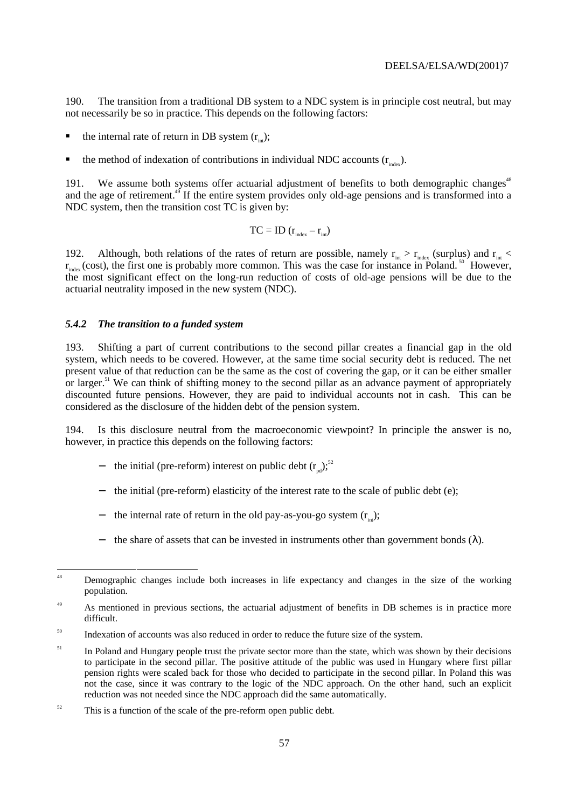190. The transition from a traditional DB system to a NDC system is in principle cost neutral, but may not necessarily be so in practice. This depends on the following factors:

- the internal rate of return in DB system  $(r_{in})$ ;
- the method of indexation of contributions in individual NDC accounts  $(r_{\text{index}})$ .

191. We assume both systems offer actuarial adjustment of benefits to both demographic changes<sup>48</sup> and the age of retirement.<sup>49</sup> If the entire system provides only old-age pensions and is transformed into a NDC system, then the transition cost TC is given by:

$$
TC = ID (r_{index} - r_{int})
$$

192. Although, both relations of the rates of return are possible, namely  $r_{int} > r_{index}$  (surplus) and  $r_{int}$  <  $r_{\text{index}}$  (cost), the first one is probably more common. This was the case for instance in Poland.<sup>50</sup> However, the most significant effect on the long-run reduction of costs of old-age pensions will be due to the actuarial neutrality imposed in the new system (NDC).

#### *5.4.2 The transition to a funded system*

193. Shifting a part of current contributions to the second pillar creates a financial gap in the old system, which needs to be covered. However, at the same time social security debt is reduced. The net present value of that reduction can be the same as the cost of covering the gap, or it can be either smaller or larger.<sup>51</sup> We can think of shifting money to the second pillar as an advance payment of appropriately discounted future pensions. However, they are paid to individual accounts not in cash. This can be considered as the disclosure of the hidden debt of the pension system.

194. Is this disclosure neutral from the macroeconomic viewpoint? In principle the answer is no, however, in practice this depends on the following factors:

- the initial (pre-reform) interest on public debt  $(r_{nd})$ ;<sup>52</sup>
- − the initial (pre-reform) elasticity of the interest rate to the scale of public debt (e);
- the internal rate of return in the old pay-as-you-go system  $(r_{in})$ ;
- the share of assets that can be invested in instruments other than government bonds  $(\lambda)$ .

<sup>&</sup>lt;sup>48</sup> Demographic changes include both increases in life expectancy and changes in the size of the working population.

<sup>&</sup>lt;sup>49</sup> As mentioned in previous sections, the actuarial adjustment of benefits in DB schemes is in practice more difficult.

<sup>&</sup>lt;sup>50</sup> Indexation of accounts was also reduced in order to reduce the future size of the system.

<sup>&</sup>lt;sup>51</sup> In Poland and Hungary people trust the private sector more than the state, which was shown by their decisions to participate in the second pillar. The positive attitude of the public was used in Hungary where first pillar pension rights were scaled back for those who decided to participate in the second pillar. In Poland this was not the case, since it was contrary to the logic of the NDC approach. On the other hand, such an explicit reduction was not needed since the NDC approach did the same automatically.

 $52$  This is a function of the scale of the pre-reform open public debt.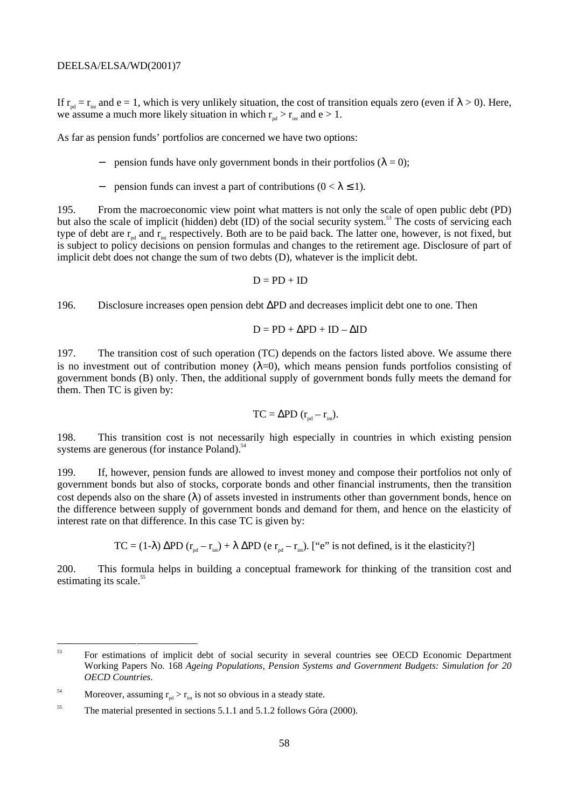If  $r_{nd} = r_{int}$  and e = 1, which is very unlikely situation, the cost of transition equals zero (even if  $\lambda > 0$ ). Here, we assume a much more likely situation in which  $r_{nd} > r_{int}$  and e > 1.

As far as pension funds' portfolios are concerned we have two options:

- pension funds have only government bonds in their portfolios ( $\lambda = 0$ );
- pension funds can invest a part of contributions ( $0 < \lambda \le 1$ ).

195. From the macroeconomic view point what matters is not only the scale of open public debt (PD) but also the scale of implicit (hidden) debt (ID) of the social security system.<sup>53</sup> The costs of servicing each but also the scale of implicit (hidden) debt (ID) of the social security system.<sup>53</sup> The costs of servicing type of debt are  $r_{nd}$  and  $r_{int}$  respectively. Both are to be paid back. The latter one, however, is not fixed, but is subject to policy decisions on pension formulas and changes to the retirement age. Disclosure of part of implicit debt does not change the sum of two debts (D), whatever is the implicit debt.

 $D = PD + ID$ 

196. Disclosure increases open pension debt ∆PD and decreases implicit debt one to one. Then

$$
D = PD + \Delta PD + ID - \Delta ID
$$

197. The transition cost of such operation (TC) depends on the factors listed above. We assume there is no investment out of contribution money ( $\lambda=0$ ), which means pension funds portfolios consisting of government bonds (B) only. Then, the additional supply of government bonds fully meets the demand for them. Then TC is given by:

$$
TC = \Delta PD (r_{\text{pd}} - r_{\text{int}}).
$$

198. This transition cost is not necessarily high especially in countries in which existing pension systems are generous (for instance Poland). $54$ 

199. If, however, pension funds are allowed to invest money and compose their portfolios not only of government bonds but also of stocks, corporate bonds and other financial instruments, then the transition cost depends also on the share  $(\lambda)$  of assets invested in instruments other than government bonds, hence on the difference between supply of government bonds and demand for them, and hence on the elasticity of interest rate on that difference. In this case TC is given by:

TC = (1-λ)  $\Delta$ PD ( $\mathbf{r}_{\text{nd}} - \mathbf{r}_{\text{int}}$ ) + λ  $\Delta$ PD (e  $\mathbf{r}_{\text{pd}} - \mathbf{r}_{\text{int}}$ ). ["e" is not defined, is it the elasticity?]

200. This formula helps in building a conceptual framework for thinking of the transition cost and estimating its scale.<sup>55</sup>

<sup>&</sup>lt;sup>53</sup> For estimations of implicit debt of social security in several countries see OECD Economic Department Working Papers No. 168 *Ageing Populations, Pension Systems and Government Budgets: Simulation for 20 OECD Countries.*

<sup>&</sup>lt;sup>54</sup> Moreover, assuming  $r_{nd} > r_{int}$  is not so obvious in a steady state.

<sup>&</sup>lt;sup>55</sup> The material presented in sections 5.1.1 and 5.1.2 follows Góra (2000).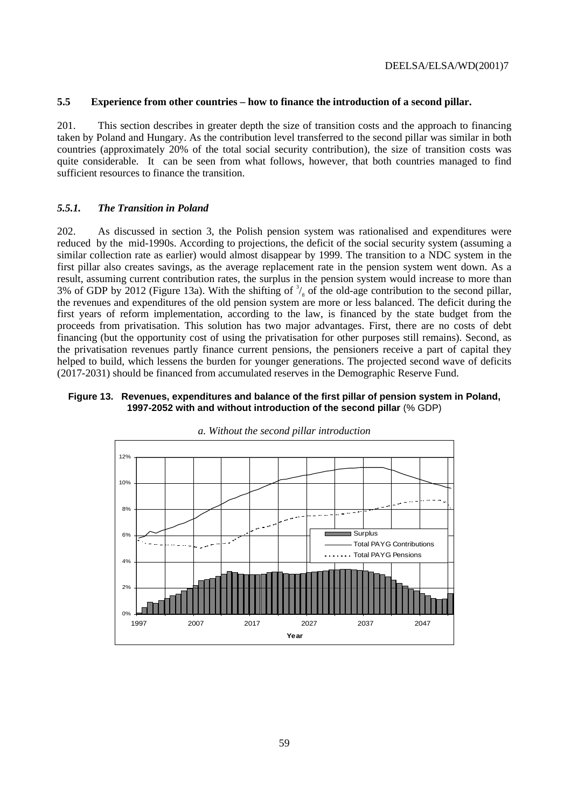#### **5.5 Experience from other countries – how to finance the introduction of a second pillar.**

201. This section describes in greater depth the size of transition costs and the approach to financing taken by Poland and Hungary. As the contribution level transferred to the second pillar was similar in both countries (approximately 20% of the total social security contribution), the size of transition costs was quite considerable. It can be seen from what follows, however, that both countries managed to find sufficient resources to finance the transition.

### *5.5.1. The Transition in Poland*

202. As discussed in section 3, the Polish pension system was rationalised and expenditures were reduced by the mid-1990s. According to projections, the deficit of the social security system (assuming a similar collection rate as earlier) would almost disappear by 1999. The transition to a NDC system in the first pillar also creates savings, as the average replacement rate in the pension system went down. As a result, assuming current contribution rates, the surplus in the pension system would increase to more than 3% of GDP by 2012 (Figure 13a). With the shifting of  $\frac{3}{s}$  of the old-age contribution to the second pillar, the revenues and expenditures of the old pension system are more or less balanced. The deficit during the first years of reform implementation, according to the law, is financed by the state budget from the proceeds from privatisation. This solution has two major advantages. First, there are no costs of debt financing (but the opportunity cost of using the privatisation for other purposes still remains). Second, as the privatisation revenues partly finance current pensions, the pensioners receive a part of capital they helped to build, which lessens the burden for younger generations. The projected second wave of deficits (2017-2031) should be financed from accumulated reserves in the Demographic Reserve Fund.

## **Figure 13. Revenues, expenditures and balance of the first pillar of pension system in Poland, 1997-2052 with and without introduction of the second pillar** (% GDP)



*a. Without the second pillar introduction*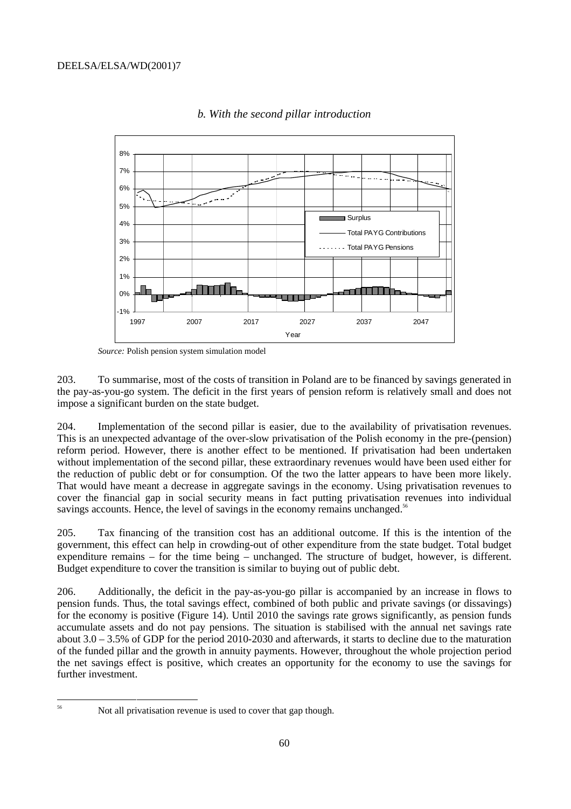

*b. With the second pillar introduction*

*Source:* Polish pension system simulation model

203. To summarise, most of the costs of transition in Poland are to be financed by savings generated in the pay-as-you-go system. The deficit in the first years of pension reform is relatively small and does not impose a significant burden on the state budget.

204. Implementation of the second pillar is easier, due to the availability of privatisation revenues. This is an unexpected advantage of the over-slow privatisation of the Polish economy in the pre-(pension) reform period. However, there is another effect to be mentioned. If privatisation had been undertaken without implementation of the second pillar, these extraordinary revenues would have been used either for the reduction of public debt or for consumption. Of the two the latter appears to have been more likely. That would have meant a decrease in aggregate savings in the economy. Using privatisation revenues to cover the financial gap in social security means in fact putting privatisation revenues into individual savings accounts. Hence, the level of savings in the economy remains unchanged.<sup>56</sup>

205. Tax financing of the transition cost has an additional outcome. If this is the intention of the government, this effect can help in crowding-out of other expenditure from the state budget. Total budget expenditure remains – for the time being – unchanged. The structure of budget, however, is different. Budget expenditure to cover the transition is similar to buying out of public debt.

206. Additionally, the deficit in the pay-as-you-go pillar is accompanied by an increase in flows to pension funds. Thus, the total savings effect, combined of both public and private savings (or dissavings) for the economy is positive (Figure 14). Until 2010 the savings rate grows significantly, as pension funds accumulate assets and do not pay pensions. The situation is stabilised with the annual net savings rate about  $3.0 - 3.5\%$  of GDP for the period 2010-2030 and afterwards, it starts to decline due to the maturation of the funded pillar and the growth in annuity payments. However, throughout the whole projection period the net savings effect is positive, which creates an opportunity for the economy to use the savings for further investment.

 <sup>56</sup> Not all privatisation revenue is used to cover that gap though.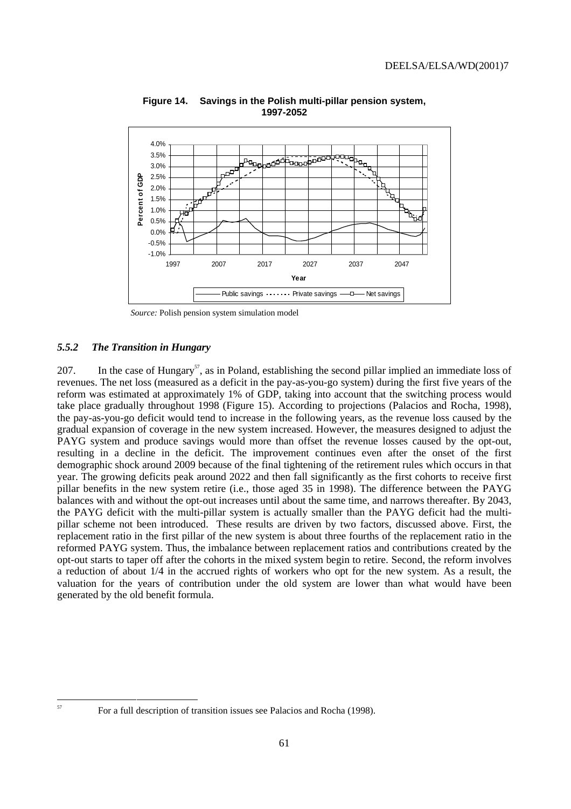

**Figure 14. Savings in the Polish multi-pillar pension system, 1997-2052**

*Source:* Polish pension system simulation model

### *5.5.2 The Transition in Hungary*

207. In the case of Hungary<sup>57</sup>, as in Poland, establishing the second pillar implied an immediate loss of revenues. The net loss (measured as a deficit in the pay-as-you-go system) during the first five years of the reform was estimated at approximately 1% of GDP, taking into account that the switching process would take place gradually throughout 1998 (Figure 15). According to projections (Palacios and Rocha, 1998), the pay-as-you-go deficit would tend to increase in the following years, as the revenue loss caused by the gradual expansion of coverage in the new system increased. However, the measures designed to adjust the PAYG system and produce savings would more than offset the revenue losses caused by the opt-out, resulting in a decline in the deficit. The improvement continues even after the onset of the first demographic shock around 2009 because of the final tightening of the retirement rules which occurs in that year. The growing deficits peak around 2022 and then fall significantly as the first cohorts to receive first pillar benefits in the new system retire (i.e., those aged 35 in 1998). The difference between the PAYG balances with and without the opt-out increases until about the same time, and narrows thereafter. By 2043, the PAYG deficit with the multi-pillar system is actually smaller than the PAYG deficit had the multipillar scheme not been introduced. These results are driven by two factors, discussed above. First, the replacement ratio in the first pillar of the new system is about three fourths of the replacement ratio in the reformed PAYG system. Thus, the imbalance between replacement ratios and contributions created by the opt-out starts to taper off after the cohorts in the mixed system begin to retire. Second, the reform involves a reduction of about 1/4 in the accrued rights of workers who opt for the new system. As a result, the valuation for the years of contribution under the old system are lower than what would have been generated by the old benefit formula.

 $57$  For a full description of transition issues see Palacios and Rocha (1998).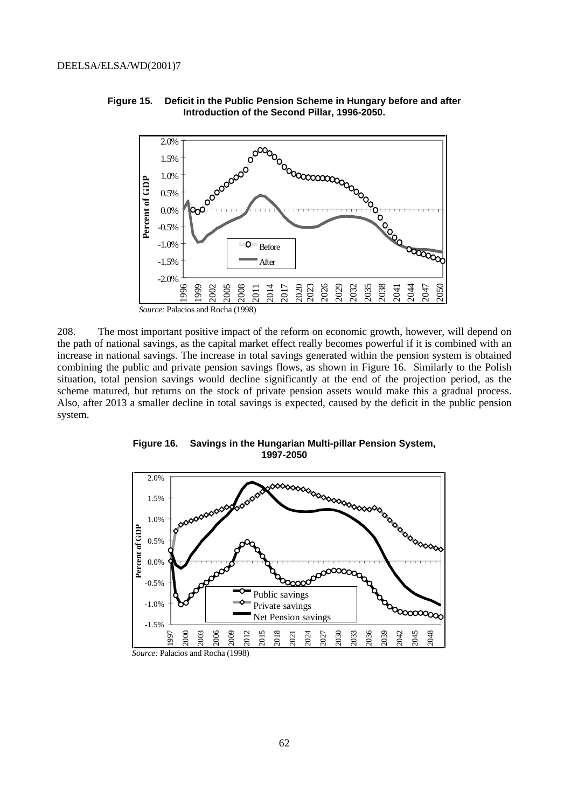

**Figure 15. Deficit in the Public Pension Scheme in Hungary before and after Introduction of the Second Pillar, 1996-2050.**

208. The most important positive impact of the reform on economic growth, however, will depend on the path of national savings, as the capital market effect really becomes powerful if it is combined with an increase in national savings. The increase in total savings generated within the pension system is obtained combining the public and private pension savings flows, as shown in Figure 16. Similarly to the Polish situation, total pension savings would decline significantly at the end of the projection period, as the scheme matured, but returns on the stock of private pension assets would make this a gradual process. Also, after 2013 a smaller decline in total savings is expected, caused by the deficit in the public pension system.



**Figure 16. Savings in the Hungarian Multi-pillar Pension System, 1997-2050**

*Source:* Palacios and Rocha (1998)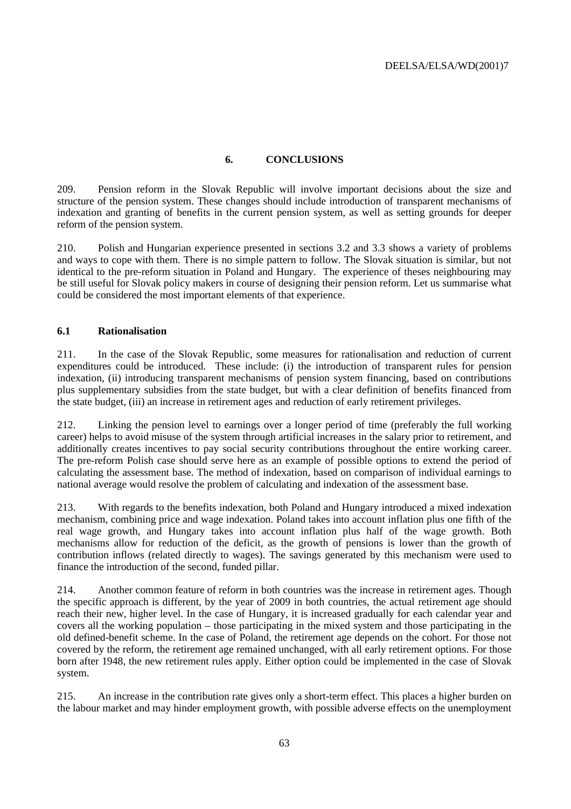# **6. CONCLUSIONS**

209. Pension reform in the Slovak Republic will involve important decisions about the size and structure of the pension system. These changes should include introduction of transparent mechanisms of indexation and granting of benefits in the current pension system, as well as setting grounds for deeper reform of the pension system.

210. Polish and Hungarian experience presented in sections 3.2 and 3.3 shows a variety of problems and ways to cope with them. There is no simple pattern to follow. The Slovak situation is similar, but not identical to the pre-reform situation in Poland and Hungary. The experience of theses neighbouring may be still useful for Slovak policy makers in course of designing their pension reform. Let us summarise what could be considered the most important elements of that experience.

# **6.1 Rationalisation**

211. In the case of the Slovak Republic, some measures for rationalisation and reduction of current expenditures could be introduced. These include: (i) the introduction of transparent rules for pension indexation, (ii) introducing transparent mechanisms of pension system financing, based on contributions plus supplementary subsidies from the state budget, but with a clear definition of benefits financed from the state budget, (iii) an increase in retirement ages and reduction of early retirement privileges.

212. Linking the pension level to earnings over a longer period of time (preferably the full working career) helps to avoid misuse of the system through artificial increases in the salary prior to retirement, and additionally creates incentives to pay social security contributions throughout the entire working career. The pre-reform Polish case should serve here as an example of possible options to extend the period of calculating the assessment base. The method of indexation, based on comparison of individual earnings to national average would resolve the problem of calculating and indexation of the assessment base.

213. With regards to the benefits indexation, both Poland and Hungary introduced a mixed indexation mechanism, combining price and wage indexation. Poland takes into account inflation plus one fifth of the real wage growth, and Hungary takes into account inflation plus half of the wage growth. Both mechanisms allow for reduction of the deficit, as the growth of pensions is lower than the growth of contribution inflows (related directly to wages). The savings generated by this mechanism were used to finance the introduction of the second, funded pillar.

214. Another common feature of reform in both countries was the increase in retirement ages. Though the specific approach is different, by the year of 2009 in both countries, the actual retirement age should reach their new, higher level. In the case of Hungary, it is increased gradually for each calendar year and covers all the working population – those participating in the mixed system and those participating in the old defined-benefit scheme. In the case of Poland, the retirement age depends on the cohort. For those not covered by the reform, the retirement age remained unchanged, with all early retirement options. For those born after 1948, the new retirement rules apply. Either option could be implemented in the case of Slovak system.

215. An increase in the contribution rate gives only a short-term effect. This places a higher burden on the labour market and may hinder employment growth, with possible adverse effects on the unemployment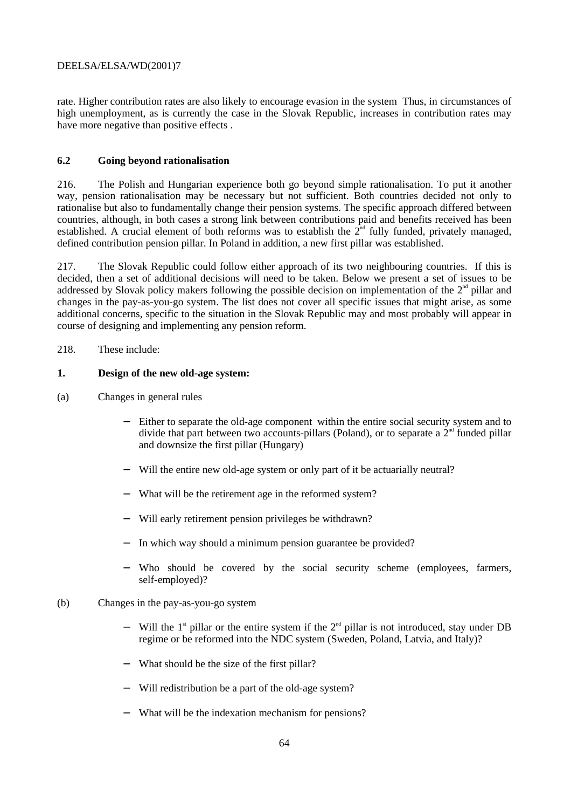rate. Higher contribution rates are also likely to encourage evasion in the system Thus, in circumstances of high unemployment, as is currently the case in the Slovak Republic, increases in contribution rates may have more negative than positive effects .

## **6.2 Going beyond rationalisation**

216. The Polish and Hungarian experience both go beyond simple rationalisation. To put it another way, pension rationalisation may be necessary but not sufficient. Both countries decided not only to rationalise but also to fundamentally change their pension systems. The specific approach differed between countries, although, in both cases a strong link between contributions paid and benefits received has been established. A crucial element of both reforms was to establish the  $2<sup>nd</sup>$  fully funded, privately managed, defined contribution pension pillar. In Poland in addition, a new first pillar was established.

217. The Slovak Republic could follow either approach of its two neighbouring countries. If this is decided, then a set of additional decisions will need to be taken. Below we present a set of issues to be addressed by Slovak policy makers following the possible decision on implementation of the  $2<sup>nd</sup>$  pillar and changes in the pay-as-you-go system. The list does not cover all specific issues that might arise, as some additional concerns, specific to the situation in the Slovak Republic may and most probably will appear in course of designing and implementing any pension reform.

### 218. These include:

#### **1. Design of the new old-age system:**

- (a) Changes in general rules
	- Either to separate the old-age component within the entire social security system and to divide that part between two accounts-pillars (Poland), or to separate a  $2<sup>nd</sup>$  funded pillar and downsize the first pillar (Hungary)
	- − Will the entire new old-age system or only part of it be actuarially neutral?
	- − What will be the retirement age in the reformed system?
	- − Will early retirement pension privileges be withdrawn?
	- − In which way should a minimum pension guarantee be provided?
	- − Who should be covered by the social security scheme (employees, farmers, self-employed)?
- (b) Changes in the pay-as-you-go system
	- − Will the 1<sup>st</sup> pillar or the entire system if the 2<sup>nd</sup> pillar is not introduced, stay under DB regime or be reformed into the NDC system (Sweden, Poland, Latvia, and Italy)?
	- − What should be the size of the first pillar?
	- − Will redistribution be a part of the old-age system?
	- − What will be the indexation mechanism for pensions?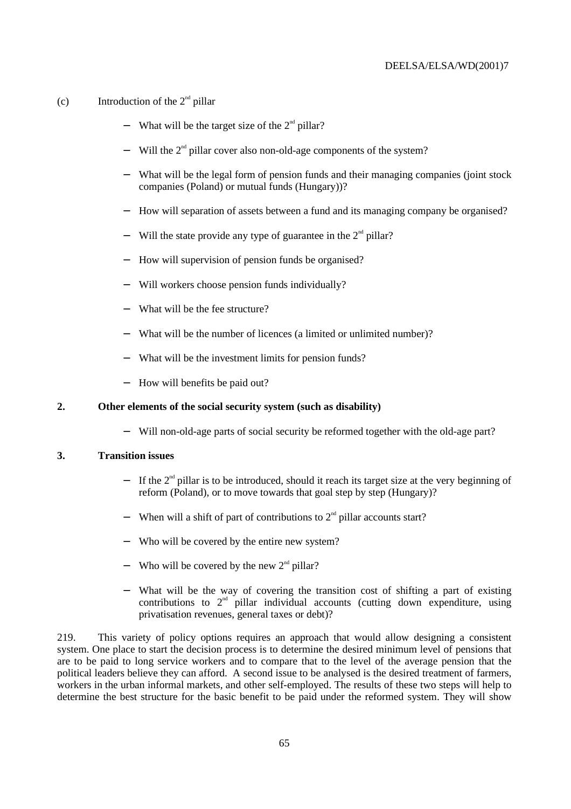- (c) Introduction of the  $2<sup>nd</sup>$  pillar
	- $-$  What will be the target size of the  $2<sup>nd</sup>$  pillar?
	- − Will the 2<sup>nd</sup> pillar cover also non-old-age components of the system?
	- − What will be the legal form of pension funds and their managing companies (joint stock companies (Poland) or mutual funds (Hungary))?
	- − How will separation of assets between a fund and its managing company be organised?
	- Will the state provide any type of guarantee in the  $2<sup>nd</sup>$  pillar?
	- − How will supervision of pension funds be organised?
	- − Will workers choose pension funds individually?
	- − What will be the fee structure?
	- − What will be the number of licences (a limited or unlimited number)?
	- − What will be the investment limits for pension funds?
	- − How will benefits be paid out?

#### **2. Other elements of the social security system (such as disability)**

− Will non-old-age parts of social security be reformed together with the old-age part?

#### **3. Transition issues**

- − If the 2<sup>nd</sup> pillar is to be introduced, should it reach its target size at the very beginning of reform (Poland), or to move towards that goal step by step (Hungary)?
- − When will a shift of part of contributions to 2<sup>nd</sup> pillar accounts start?
- − Who will be covered by the entire new system?
- − Who will be covered by the new 2<sup>nd</sup> pillar?
- − What will be the way of covering the transition cost of shifting a part of existing contributions to  $2<sup>nd</sup>$  pillar individual accounts (cutting down expenditure, using privatisation revenues, general taxes or debt)?

219. This variety of policy options requires an approach that would allow designing a consistent system. One place to start the decision process is to determine the desired minimum level of pensions that are to be paid to long service workers and to compare that to the level of the average pension that the political leaders believe they can afford. A second issue to be analysed is the desired treatment of farmers, workers in the urban informal markets, and other self-employed. The results of these two steps will help to determine the best structure for the basic benefit to be paid under the reformed system. They will show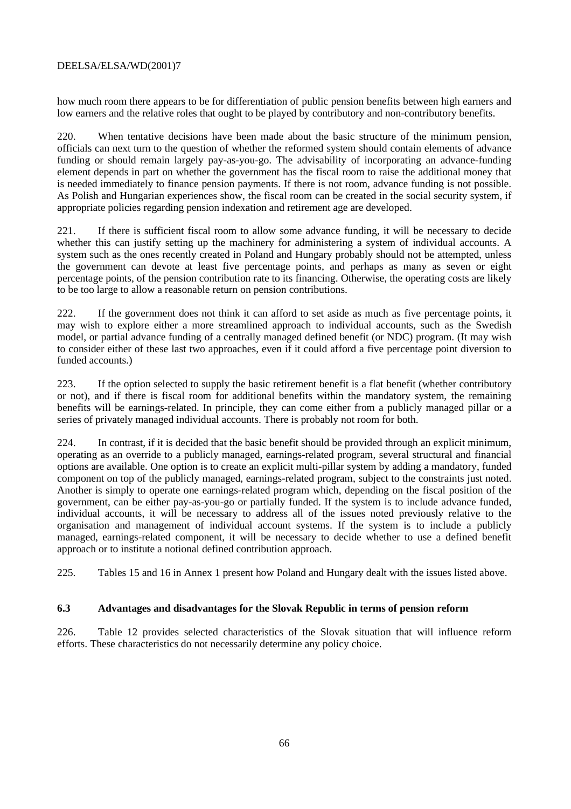how much room there appears to be for differentiation of public pension benefits between high earners and low earners and the relative roles that ought to be played by contributory and non-contributory benefits.

220. When tentative decisions have been made about the basic structure of the minimum pension, officials can next turn to the question of whether the reformed system should contain elements of advance funding or should remain largely pay-as-you-go. The advisability of incorporating an advance-funding element depends in part on whether the government has the fiscal room to raise the additional money that is needed immediately to finance pension payments. If there is not room, advance funding is not possible. As Polish and Hungarian experiences show, the fiscal room can be created in the social security system, if appropriate policies regarding pension indexation and retirement age are developed.

221. If there is sufficient fiscal room to allow some advance funding, it will be necessary to decide whether this can justify setting up the machinery for administering a system of individual accounts. A system such as the ones recently created in Poland and Hungary probably should not be attempted, unless the government can devote at least five percentage points, and perhaps as many as seven or eight percentage points, of the pension contribution rate to its financing. Otherwise, the operating costs are likely to be too large to allow a reasonable return on pension contributions.

222. If the government does not think it can afford to set aside as much as five percentage points, it may wish to explore either a more streamlined approach to individual accounts, such as the Swedish model, or partial advance funding of a centrally managed defined benefit (or NDC) program. (It may wish to consider either of these last two approaches, even if it could afford a five percentage point diversion to funded accounts.)

223. If the option selected to supply the basic retirement benefit is a flat benefit (whether contributory or not), and if there is fiscal room for additional benefits within the mandatory system, the remaining benefits will be earnings-related. In principle, they can come either from a publicly managed pillar or a series of privately managed individual accounts. There is probably not room for both.

224. In contrast, if it is decided that the basic benefit should be provided through an explicit minimum, operating as an override to a publicly managed, earnings-related program, several structural and financial options are available. One option is to create an explicit multi-pillar system by adding a mandatory, funded component on top of the publicly managed, earnings-related program, subject to the constraints just noted. Another is simply to operate one earnings-related program which, depending on the fiscal position of the government, can be either pay-as-you-go or partially funded. If the system is to include advance funded, individual accounts, it will be necessary to address all of the issues noted previously relative to the organisation and management of individual account systems. If the system is to include a publicly managed, earnings-related component, it will be necessary to decide whether to use a defined benefit approach or to institute a notional defined contribution approach.

225. Tables 15 and 16 in Annex 1 present how Poland and Hungary dealt with the issues listed above.

# **6.3 Advantages and disadvantages for the Slovak Republic in terms of pension reform**

226. Table 12 provides selected characteristics of the Slovak situation that will influence reform efforts. These characteristics do not necessarily determine any policy choice.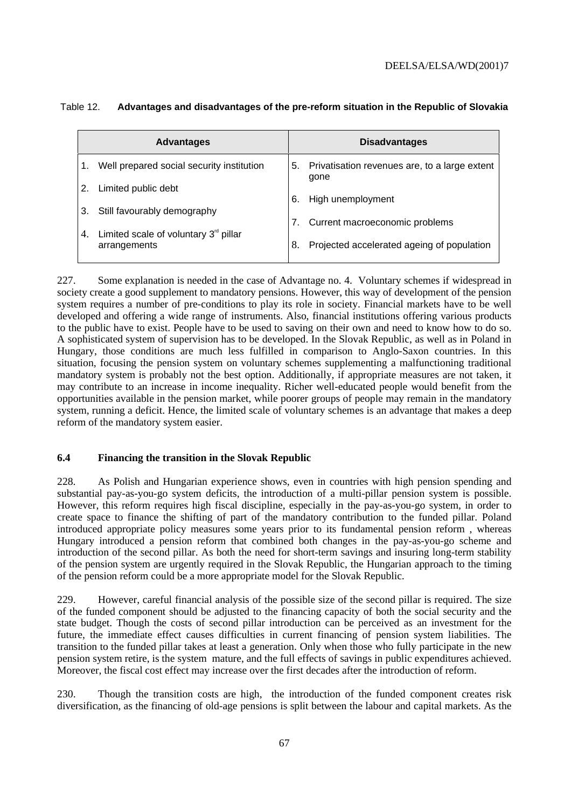| <b>Advantages</b>                                   |    | <b>Disadvantages</b>                                     |
|-----------------------------------------------------|----|----------------------------------------------------------|
| Well prepared social security institution           |    | 5. Privatisation revenues are, to a large extent<br>gone |
| Limited public debt                                 | 6. | High unemployment                                        |
| Still favourably demography                         |    | Current macroeconomic problems                           |
| Limited scale of voluntary $3^{\circ}$ pillar<br>4. |    |                                                          |
| arrangements                                        | 8. | Projected accelerated ageing of population               |

### Table 12. **Advantages and disadvantages of the pre-reform situation in the Republic of Slovakia**

227. Some explanation is needed in the case of Advantage no. 4. Voluntary schemes if widespread in society create a good supplement to mandatory pensions. However, this way of development of the pension system requires a number of pre-conditions to play its role in society. Financial markets have to be well developed and offering a wide range of instruments. Also, financial institutions offering various products to the public have to exist. People have to be used to saving on their own and need to know how to do so. A sophisticated system of supervision has to be developed. In the Slovak Republic, as well as in Poland in Hungary, those conditions are much less fulfilled in comparison to Anglo-Saxon countries. In this situation, focusing the pension system on voluntary schemes supplementing a malfunctioning traditional mandatory system is probably not the best option. Additionally, if appropriate measures are not taken, it may contribute to an increase in income inequality. Richer well-educated people would benefit from the opportunities available in the pension market, while poorer groups of people may remain in the mandatory system, running a deficit. Hence, the limited scale of voluntary schemes is an advantage that makes a deep reform of the mandatory system easier.

# **6.4 Financing the transition in the Slovak Republic**

228. As Polish and Hungarian experience shows, even in countries with high pension spending and substantial pay-as-you-go system deficits, the introduction of a multi-pillar pension system is possible. However, this reform requires high fiscal discipline, especially in the pay-as-you-go system, in order to create space to finance the shifting of part of the mandatory contribution to the funded pillar. Poland introduced appropriate policy measures some years prior to its fundamental pension reform , whereas Hungary introduced a pension reform that combined both changes in the pay-as-you-go scheme and introduction of the second pillar. As both the need for short-term savings and insuring long-term stability of the pension system are urgently required in the Slovak Republic, the Hungarian approach to the timing of the pension reform could be a more appropriate model for the Slovak Republic.

229. However, careful financial analysis of the possible size of the second pillar is required. The size of the funded component should be adjusted to the financing capacity of both the social security and the state budget. Though the costs of second pillar introduction can be perceived as an investment for the future, the immediate effect causes difficulties in current financing of pension system liabilities. The transition to the funded pillar takes at least a generation. Only when those who fully participate in the new pension system retire, is the system mature, and the full effects of savings in public expenditures achieved. Moreover, the fiscal cost effect may increase over the first decades after the introduction of reform.

230. Though the transition costs are high, the introduction of the funded component creates risk diversification, as the financing of old-age pensions is split between the labour and capital markets. As the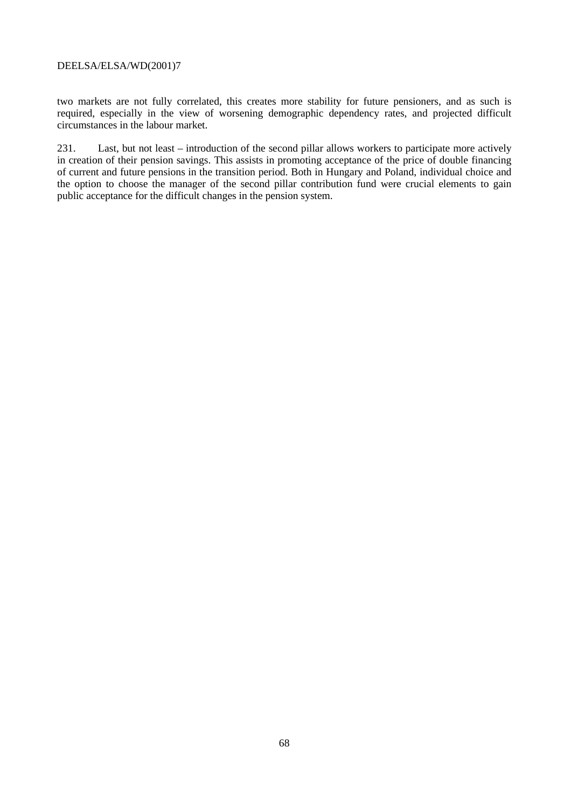two markets are not fully correlated, this creates more stability for future pensioners, and as such is required, especially in the view of worsening demographic dependency rates, and projected difficult circumstances in the labour market.

231. Last, but not least – introduction of the second pillar allows workers to participate more actively in creation of their pension savings. This assists in promoting acceptance of the price of double financing of current and future pensions in the transition period. Both in Hungary and Poland, individual choice and the option to choose the manager of the second pillar contribution fund were crucial elements to gain public acceptance for the difficult changes in the pension system.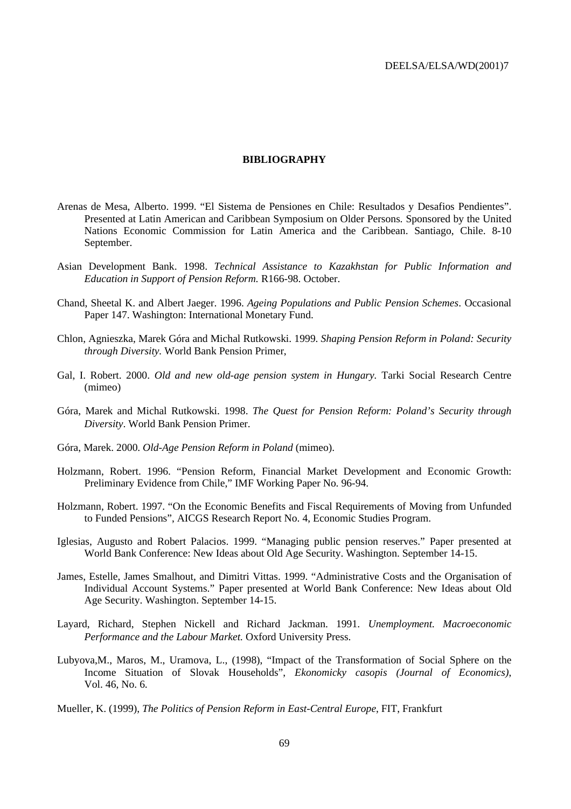#### **BIBLIOGRAPHY**

- Arenas de Mesa, Alberto. 1999. "El Sistema de Pensiones en Chile: Resultados y Desafios Pendientes". Presented at Latin American and Caribbean Symposium on Older Persons*.* Sponsored by the United Nations Economic Commission for Latin America and the Caribbean. Santiago, Chile. 8-10 September.
- Asian Development Bank. 1998. *Technical Assistance to Kazakhstan for Public Information and Education in Support of Pension Reform.* R166-98. October.
- Chand, Sheetal K. and Albert Jaeger. 1996. *Ageing Populations and Public Pension Schemes*. Occasional Paper 147. Washington: International Monetary Fund.
- Chlon, Agnieszka, Marek Góra and Michal Rutkowski. 1999. *Shaping Pension Reform in Poland: Security through Diversity.* World Bank Pension Primer,
- Gal, I. Robert. 2000. *Old and new old-age pension system in Hungary.* Tarki Social Research Centre (mimeo)
- Góra, Marek and Michal Rutkowski. 1998. *The Quest for Pension Reform: Poland's Security through Diversity*. World Bank Pension Primer.
- Góra, Marek. 2000. *Old-Age Pension Reform in Poland* (mimeo).
- Holzmann, Robert. 1996. "Pension Reform, Financial Market Development and Economic Growth: Preliminary Evidence from Chile," IMF Working Paper No. 96-94.
- Holzmann, Robert. 1997. "On the Economic Benefits and Fiscal Requirements of Moving from Unfunded to Funded Pensions", AICGS Research Report No. 4, Economic Studies Program.
- Iglesias, Augusto and Robert Palacios. 1999. "Managing public pension reserves." Paper presented at World Bank Conference: New Ideas about Old Age Security. Washington. September 14-15.
- James, Estelle, James Smalhout, and Dimitri Vittas. 1999. "Administrative Costs and the Organisation of Individual Account Systems." Paper presented at World Bank Conference: New Ideas about Old Age Security. Washington. September 14-15.
- Layard, Richard, Stephen Nickell and Richard Jackman. 1991. *Unemployment. Macroeconomic Performance and the Labour Market.* Oxford University Press.
- Lubyova,M., Maros, M., Uramova, L., (1998), "Impact of the Transformation of Social Sphere on the Income Situation of Slovak Households", *Ekonomicky casopis (Journal of Economics)*, Vol. 46, No. 6.

Mueller, K. (1999), *The Politics of Pension Reform in East-Central Europe*, FIT, Frankfurt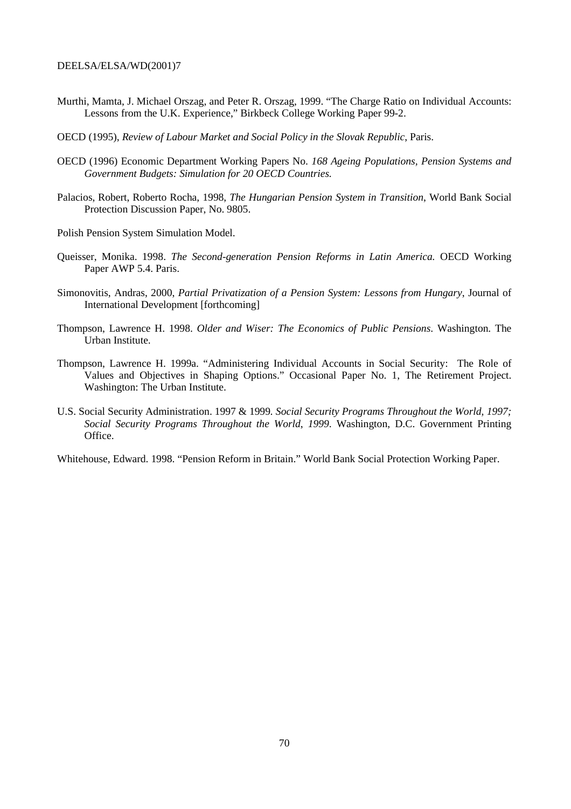- Murthi, Mamta, J. Michael Orszag, and Peter R. Orszag, 1999. "The Charge Ratio on Individual Accounts: Lessons from the U.K. Experience," Birkbeck College Working Paper 99-2.
- OECD (1995), *Review of Labour Market and Social Policy in the Slovak Republic*, Paris.
- OECD (1996) Economic Department Working Papers No. *168 Ageing Populations, Pension Systems and Government Budgets: Simulation for 20 OECD Countries.*
- Palacios, Robert, Roberto Rocha, 1998, *The Hungarian Pension System in Transition*, World Bank Social Protection Discussion Paper, No. 9805.
- Polish Pension System Simulation Model.
- Queisser, Monika. 1998. *The Second-generation Pension Reforms in Latin America.* OECD Working Paper AWP 5.4. Paris.
- Simonovitis, Andras, 2000, *Partial Privatization of a Pension System: Lessons from Hungary*, Journal of International Development [forthcoming]
- Thompson, Lawrence H. 1998. *Older and Wiser: The Economics of Public Pensions*. Washington. The Urban Institute.
- Thompson, Lawrence H. 1999a. "Administering Individual Accounts in Social Security: The Role of Values and Objectives in Shaping Options." Occasional Paper No. 1, The Retirement Project. Washington: The Urban Institute.
- U.S. Social Security Administration. 1997 & 1999*. Social Security Programs Throughout the World, 1997; Social Security Programs Throughout the World*, *1999*. Washington, D.C. Government Printing Office.

Whitehouse, Edward. 1998. "Pension Reform in Britain." World Bank Social Protection Working Paper.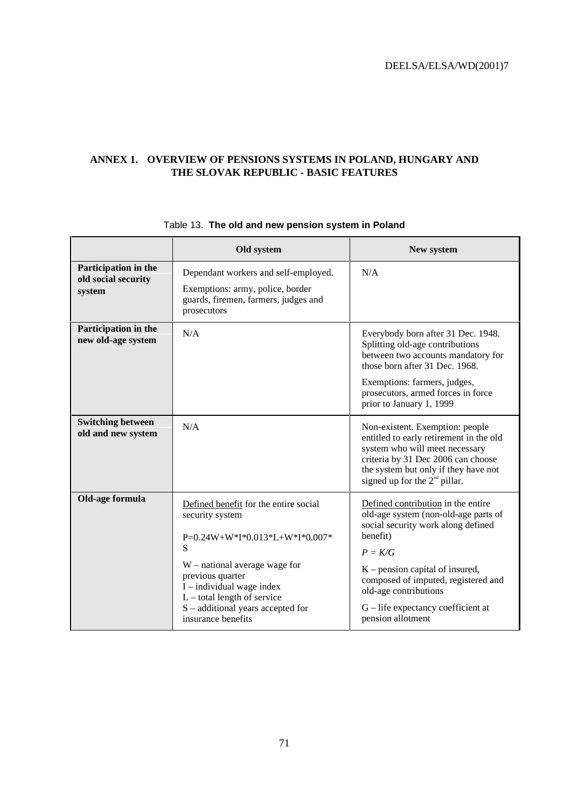# **ANNEX 1. OVERVIEW OF PENSIONS SYSTEMS IN POLAND, HUNGARY AND THE SLOVAK REPUBLIC - BASIC FEATURES**

|                                                       | Old system                                                                                                                                                                                                                                                                        | New system                                                                                                                                                                                                                                                                                                  |  |  |
|-------------------------------------------------------|-----------------------------------------------------------------------------------------------------------------------------------------------------------------------------------------------------------------------------------------------------------------------------------|-------------------------------------------------------------------------------------------------------------------------------------------------------------------------------------------------------------------------------------------------------------------------------------------------------------|--|--|
| Participation in the<br>old social security<br>system | Dependant workers and self-employed.<br>Exemptions: army, police, border<br>guards, firemen, farmers, judges and<br>prosecutors                                                                                                                                                   | N/A                                                                                                                                                                                                                                                                                                         |  |  |
| Participation in the<br>new old-age system            | N/A                                                                                                                                                                                                                                                                               | Everybody born after 31 Dec. 1948.<br>Splitting old-age contributions<br>between two accounts mandatory for<br>those born after 31 Dec. 1968.<br>Exemptions: farmers, judges,<br>prosecutors, armed forces in force<br>prior to January 1, 1999                                                             |  |  |
| <b>Switching between</b><br>old and new system        | N/A                                                                                                                                                                                                                                                                               | Non-existent. Exemption: people<br>entitled to early retirement in the old<br>system who will meet necessary<br>criteria by 31 Dec 2006 can choose<br>the system but only if they have not<br>signed up for the $2nd$ pillar.                                                                               |  |  |
| Old-age formula                                       | Defined benefit for the entire social<br>security system<br>P=0.24W+W*I*0.013*L+W*I*0.007*<br>S<br>$W$ – national average wage for<br>previous quarter<br>$I$ – individual wage index<br>$L$ – total length of service<br>S – additional years accepted for<br>insurance benefits | Defined contribution in the entire<br>old-age system (non-old-age parts of<br>social security work along defined<br>benefit)<br>$P = K/G$<br>$K$ – pension capital of insured,<br>composed of imputed, registered and<br>old-age contributions<br>$G$ – life expectancy coefficient at<br>pension allotment |  |  |

## Table 13. **The old and new pension system in Poland**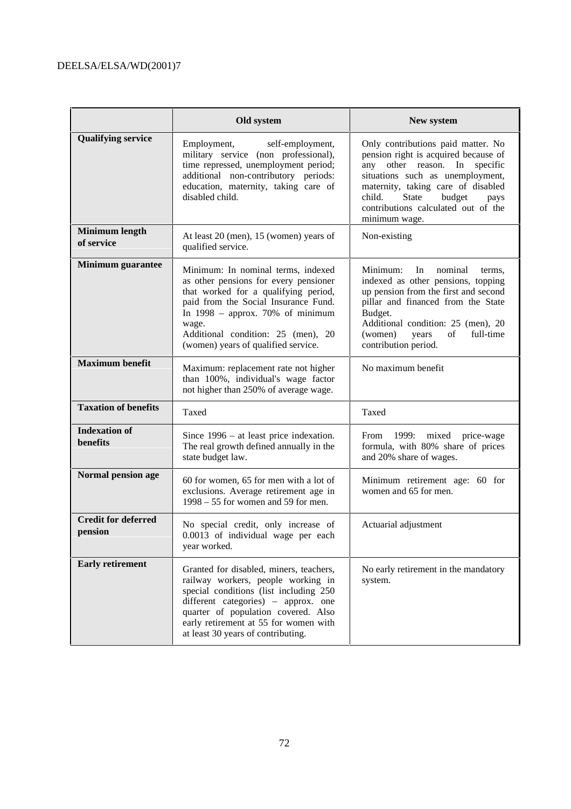|                                       | Old system                                                                                                                                                                                                                                                                              | New system                                                                                                                                                                                                                                                                            |  |  |
|---------------------------------------|-----------------------------------------------------------------------------------------------------------------------------------------------------------------------------------------------------------------------------------------------------------------------------------------|---------------------------------------------------------------------------------------------------------------------------------------------------------------------------------------------------------------------------------------------------------------------------------------|--|--|
| <b>Qualifying service</b>             | Employment, self-employment,<br>military service (non professional),<br>time repressed, unemployment period;<br>additional non-contributory periods:<br>education, maternity, taking care of<br>disabled child.                                                                         | Only contributions paid matter. No<br>pension right is acquired because of<br>other reason. In specific<br>any<br>situations such as unemployment,<br>maternity, taking care of disabled<br>State<br>child.<br>budget<br>pays<br>contributions calculated out of the<br>minimum wage. |  |  |
| <b>Minimum length</b><br>of service   | At least 20 (men), 15 (women) years of<br>qualified service.                                                                                                                                                                                                                            | Non-existing                                                                                                                                                                                                                                                                          |  |  |
| <b>Minimum</b> guarantee              | Minimum: In nominal terms, indexed<br>as other pensions for every pensioner<br>that worked for a qualifying period,<br>paid from the Social Insurance Fund.<br>In $1998 -$ approx. 70% of minimum<br>wage.<br>Additional condition: 25 (men), 20<br>(women) years of qualified service. | Minimum:<br>nominal<br>In<br>terms,<br>indexed as other pensions, topping<br>up pension from the first and second<br>pillar and financed from the State<br>Budget.<br>Additional condition: 25 (men), 20<br>of<br>(women)<br>full-time<br>years<br>contribution period.               |  |  |
| <b>Maximum benefit</b>                | Maximum: replacement rate not higher<br>than 100%, individual's wage factor<br>not higher than 250% of average wage.                                                                                                                                                                    | No maximum benefit                                                                                                                                                                                                                                                                    |  |  |
| <b>Taxation of benefits</b>           | Taxed                                                                                                                                                                                                                                                                                   | Taxed                                                                                                                                                                                                                                                                                 |  |  |
| <b>Indexation of</b><br>benefits      | Since $1996 - at least price in thestation.$<br>The real growth defined annually in the<br>state budget law.                                                                                                                                                                            | 1999: mixed price-wage<br>From<br>formula, with 80% share of prices<br>and 20% share of wages.                                                                                                                                                                                        |  |  |
| Normal pension age                    | 60 for women, 65 for men with a lot of<br>exclusions. Average retirement age in<br>$1998 - 55$ for women and 59 for men.                                                                                                                                                                | Minimum retirement age: 60 for<br>women and 65 for men.                                                                                                                                                                                                                               |  |  |
| <b>Credit for deferred</b><br>pension | No special credit, only increase of<br>0.0013 of individual wage per each<br>year worked.                                                                                                                                                                                               | Actuarial adjustment                                                                                                                                                                                                                                                                  |  |  |
| <b>Early retirement</b>               | Granted for disabled, miners, teachers,<br>railway workers, people working in<br>special conditions (list including 250<br>different categories) – approx. one<br>quarter of population covered. Also<br>early retirement at 55 for women with<br>at least 30 years of contributing.    | No early retirement in the mandatory<br>system.                                                                                                                                                                                                                                       |  |  |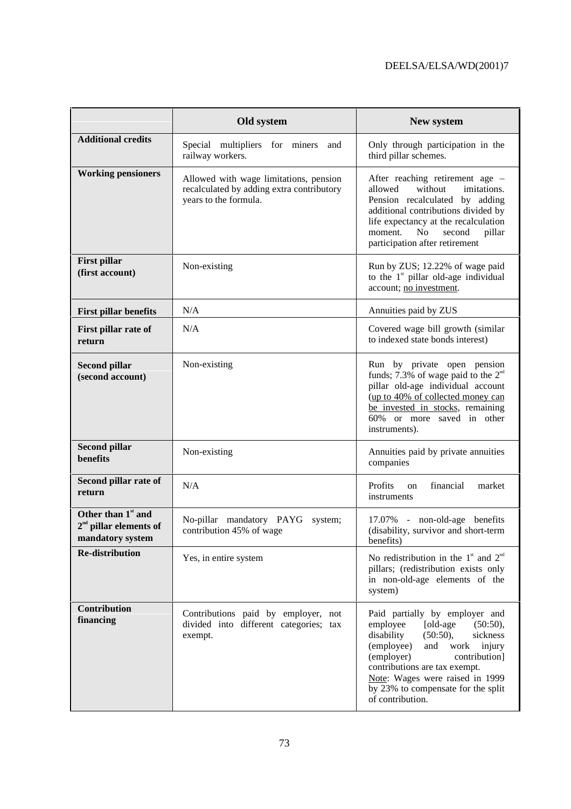|                                                                                | Old system                                                                                                   | New system                                                                                                                                                                                                                                                                                                   |
|--------------------------------------------------------------------------------|--------------------------------------------------------------------------------------------------------------|--------------------------------------------------------------------------------------------------------------------------------------------------------------------------------------------------------------------------------------------------------------------------------------------------------------|
| <b>Additional credits</b>                                                      | Special multipliers for miners<br>and<br>railway workers.                                                    | Only through participation in the<br>third pillar schemes.                                                                                                                                                                                                                                                   |
| <b>Working pensioners</b>                                                      | Allowed with wage limitations, pension<br>recalculated by adding extra contributory<br>years to the formula. | After reaching retirement age –<br>allowed<br>without<br>imitations.<br>Pension recalculated by adding<br>additional contributions divided by<br>life expectancy at the recalculation<br>N <sub>o</sub><br>moment.<br>second<br>pillar<br>participation after retirement                                     |
| <b>First pillar</b><br>(first account)                                         | Non-existing                                                                                                 | Run by ZUS; 12.22% of wage paid<br>to the $1*$ pillar old-age individual<br>account; no investment.                                                                                                                                                                                                          |
| <b>First pillar benefits</b>                                                   | N/A                                                                                                          | Annuities paid by ZUS                                                                                                                                                                                                                                                                                        |
| First pillar rate of<br>return                                                 | N/A                                                                                                          | Covered wage bill growth (similar<br>to indexed state bonds interest)                                                                                                                                                                                                                                        |
| <b>Second pillar</b><br>(second account)                                       | Non-existing                                                                                                 | Run by private open pension<br>funds; 7.3% of wage paid to the $2nd$<br>pillar old-age individual account<br>(up to 40% of collected money can<br>be invested in stocks, remaining<br>60% or more saved in other<br>instruments).                                                                            |
| <b>Second pillar</b><br>benefits                                               | Non-existing                                                                                                 | Annuities paid by private annuities<br>companies                                                                                                                                                                                                                                                             |
| Second pillar rate of<br>return                                                | N/A                                                                                                          | Profits<br>financial<br>market<br>on<br>instruments                                                                                                                                                                                                                                                          |
| Other than 1 <sup>st</sup> and<br>$2nd$ pillar elements of<br>mandatory system | No-pillar mandatory PAYG<br>system;<br>contribution 45% of wage                                              | 17.07% - non-old-age benefits<br>(disability, survivor and short-term<br>benefits)                                                                                                                                                                                                                           |
| <b>Re-distribution</b>                                                         | Yes, in entire system                                                                                        | No redistribution in the $1^{\text{st}}$ and $2^{\text{nd}}$<br>pillars; (redistribution exists only<br>in non-old-age elements of the<br>system)                                                                                                                                                            |
| Contribution<br>financing                                                      | Contributions paid by employer, not<br>divided into different categories; tax<br>exempt.                     | Paid partially by employer and<br>employee<br>[old-age<br>(50:50),<br>disability<br>sickness<br>(50:50),<br>(employee)<br>and<br>work<br>injury<br>(employer)<br>contribution]<br>contributions are tax exempt.<br>Note: Wages were raised in 1999<br>by 23% to compensate for the split<br>of contribution. |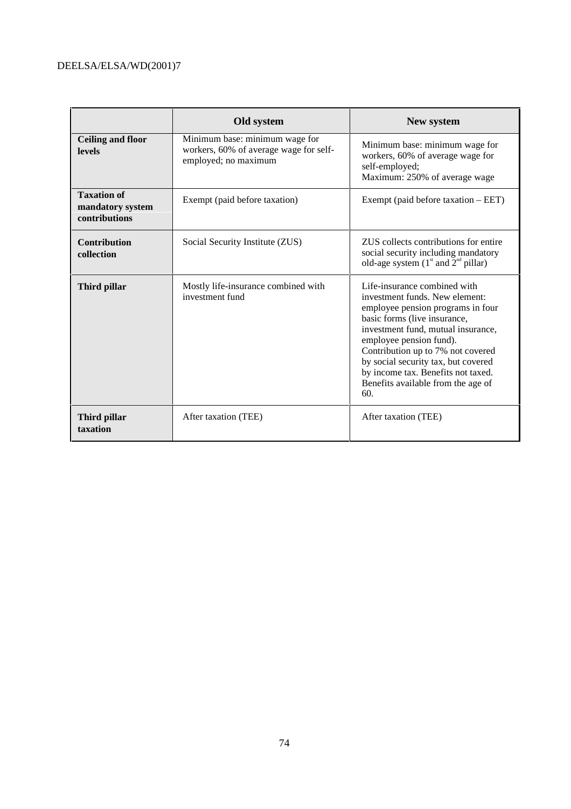|                                                         | Old system                                                                                       | New system                                                                                                                                                                                                                                                                                                                                                          |
|---------------------------------------------------------|--------------------------------------------------------------------------------------------------|---------------------------------------------------------------------------------------------------------------------------------------------------------------------------------------------------------------------------------------------------------------------------------------------------------------------------------------------------------------------|
| <b>Ceiling and floor</b><br><b>levels</b>               | Minimum base: minimum wage for<br>workers, 60% of average wage for self-<br>employed; no maximum | Minimum base: minimum wage for<br>workers, 60% of average wage for<br>self-employed;<br>Maximum: 250% of average wage                                                                                                                                                                                                                                               |
| <b>Taxation of</b><br>mandatory system<br>contributions | Exempt (paid before taxation)                                                                    | Exempt (paid before taxation $-$ EET)                                                                                                                                                                                                                                                                                                                               |
| <b>Contribution</b><br>collection                       | Social Security Institute (ZUS)                                                                  | ZUS collects contributions for entire<br>social security including mandatory<br>old-age system $(1^{\text{st}}$ and $2^{\text{nd}}$ pillar)                                                                                                                                                                                                                         |
| Third pillar                                            | Mostly life-insurance combined with<br>investment fund                                           | Life-insurance combined with<br>investment funds. New element:<br>employee pension programs in four<br>basic forms (live insurance,<br>investment fund, mutual insurance,<br>employee pension fund).<br>Contribution up to 7% not covered<br>by social security tax, but covered<br>by income tax. Benefits not taxed.<br>Benefits available from the age of<br>60. |
| Third pillar<br>taxation                                | After taxation (TEE)                                                                             | After taxation (TEE)                                                                                                                                                                                                                                                                                                                                                |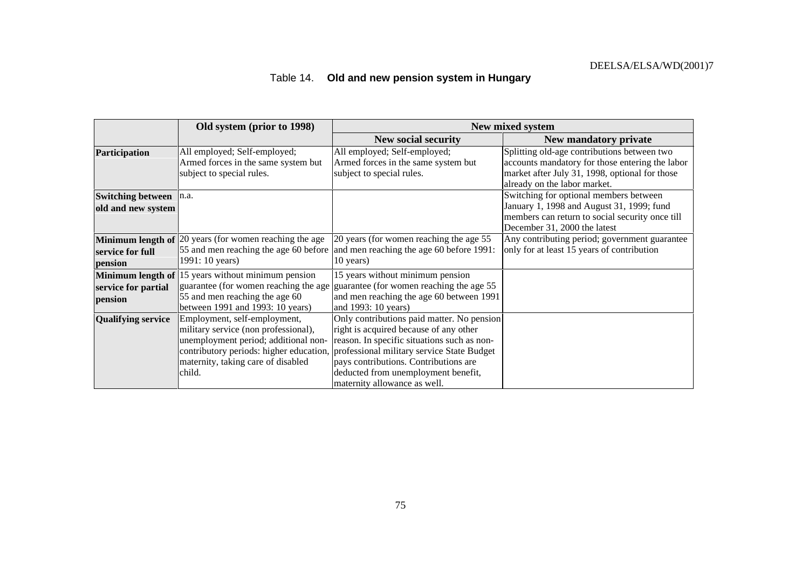# Table 14. **Old and new pension system in Hungary**

|                                                     | Old system (prior to 1998)                                                                                                                                   |                                                                                                                                                                                                                                                                                                                                           | New mixed system                                                                                                                                                                 |
|-----------------------------------------------------|--------------------------------------------------------------------------------------------------------------------------------------------------------------|-------------------------------------------------------------------------------------------------------------------------------------------------------------------------------------------------------------------------------------------------------------------------------------------------------------------------------------------|----------------------------------------------------------------------------------------------------------------------------------------------------------------------------------|
|                                                     |                                                                                                                                                              | <b>New social security</b>                                                                                                                                                                                                                                                                                                                | New mandatory private                                                                                                                                                            |
| Participation                                       | All employed; Self-employed;<br>Armed forces in the same system but<br>subject to special rules.                                                             | All employed; Self-employed;<br>Armed forces in the same system but<br>subject to special rules.                                                                                                                                                                                                                                          | Splitting old-age contributions between two<br>accounts mandatory for those entering the labor<br>market after July 31, 1998, optional for those<br>already on the labor market. |
| <b>Switching between</b><br>old and new system      | In.a.                                                                                                                                                        |                                                                                                                                                                                                                                                                                                                                           | Switching for optional members between<br>January 1, 1998 and August 31, 1999; fund<br>members can return to social security once till<br>December 31, 2000 the latest           |
| Minimum length of<br>service for full<br>pension    | 20 years (for women reaching the age<br>1991: 10 years)                                                                                                      | 20 years (for women reaching the age 55<br>55 and men reaching the age 60 before and men reaching the age 60 before 1991:<br>10 years)                                                                                                                                                                                                    | Any contributing period; government guarantee<br>only for at least 15 years of contribution                                                                                      |
| Minimum length of<br>service for partial<br>pension | 15 years without minimum pension<br>55 and men reaching the age 60<br>between 1991 and 1993: 10 years)                                                       | 15 years without minimum pension<br>guarantee (for women reaching the age guarantee (for women reaching the age 55<br>and men reaching the age 60 between 1991<br>and 1993: 10 years)                                                                                                                                                     |                                                                                                                                                                                  |
| <b>Qualifying service</b>                           | Employment, self-employment,<br>military service (non professional),<br>unemployment period; additional non-<br>maternity, taking care of disabled<br>child. | Only contributions paid matter. No pension<br>right is acquired because of any other<br>reason. In specific situations such as non-<br>contributory periods: higher education, professional military service State Budget<br>pays contributions. Contributions are<br>deducted from unemployment benefit,<br>maternity allowance as well. |                                                                                                                                                                                  |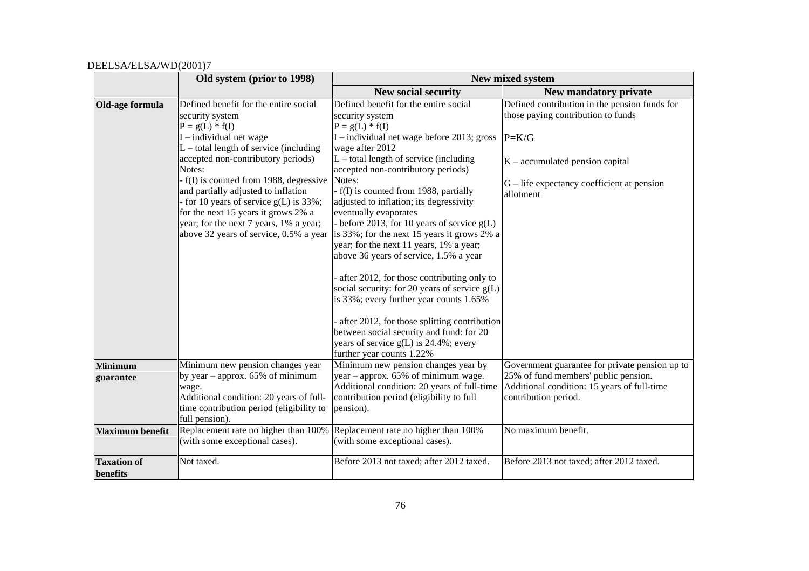|                                | Old system (prior to 1998)                                                                                                                                                                                                                                                                                                                                                                                                                                    |                                                                                                                                                                                                                                                                                                                                                                                                                                                                                                                                                                                                                                                                                                                                                                                                                              | New mixed system                                                                                                                                                                                 |
|--------------------------------|---------------------------------------------------------------------------------------------------------------------------------------------------------------------------------------------------------------------------------------------------------------------------------------------------------------------------------------------------------------------------------------------------------------------------------------------------------------|------------------------------------------------------------------------------------------------------------------------------------------------------------------------------------------------------------------------------------------------------------------------------------------------------------------------------------------------------------------------------------------------------------------------------------------------------------------------------------------------------------------------------------------------------------------------------------------------------------------------------------------------------------------------------------------------------------------------------------------------------------------------------------------------------------------------------|--------------------------------------------------------------------------------------------------------------------------------------------------------------------------------------------------|
|                                |                                                                                                                                                                                                                                                                                                                                                                                                                                                               | <b>New social security</b>                                                                                                                                                                                                                                                                                                                                                                                                                                                                                                                                                                                                                                                                                                                                                                                                   | New mandatory private                                                                                                                                                                            |
| Old-age formula                | Defined benefit for the entire social<br>security system<br>$P = g(L) * f(I)$<br>$I$ – individual net wage<br>$L$ – total length of service (including<br>accepted non-contributory periods)<br>Notes:<br>- f(I) is counted from 1988, degressive<br>and partially adjusted to inflation<br>for 10 years of service $g(L)$ is 33%;<br>for the next 15 years it grows 2% a<br>year; for the next 7 years, 1% a year;<br>above 32 years of service, 0.5% a year | Defined benefit for the entire social<br>security system<br>$P = g(L) * f(I)$<br>I – individual net wage before 2013; gross<br>wage after 2012<br>$L$ – total length of service (including<br>accepted non-contributory periods)<br>Notes:<br>- f(I) is counted from 1988, partially<br>adjusted to inflation; its degressivity<br>eventually evaporates<br>before 2013, for 10 years of service $g(L)$<br>is 33%; for the next 15 years it grows 2% a<br>year; for the next 11 years, 1% a year;<br>above 36 years of service, 1.5% a year<br>after 2012, for those contributing only to<br>social security: for 20 years of service $g(L)$<br>is 33%; every further year counts 1.65%<br>after 2012, for those splitting contribution<br>between social security and fund: for 20<br>years of service g(L) is 24.4%; every | Defined contribution in the pension funds for<br>those paying contribution to funds<br>$P=K/G$<br>$K$ – accumulated pension capital<br>$G$ – life expectancy coefficient at pension<br>allotment |
| <b>Minimum</b>                 | Minimum new pension changes year                                                                                                                                                                                                                                                                                                                                                                                                                              | further year counts 1.22%<br>Minimum new pension changes year by                                                                                                                                                                                                                                                                                                                                                                                                                                                                                                                                                                                                                                                                                                                                                             | Government guarantee for private pension up to                                                                                                                                                   |
| guarantee                      | by year – approx. $65\%$ of minimum<br>wage.<br>Additional condition: 20 years of full-<br>time contribution period (eligibility to<br>full pension).                                                                                                                                                                                                                                                                                                         | year - approx. 65% of minimum wage.<br>Additional condition: 20 years of full-time<br>contribution period (eligibility to full<br>pension).                                                                                                                                                                                                                                                                                                                                                                                                                                                                                                                                                                                                                                                                                  | 25% of fund members' public pension.<br>Additional condition: 15 years of full-time<br>contribution period.                                                                                      |
| <b>Maximum</b> benefit         | (with some exceptional cases).                                                                                                                                                                                                                                                                                                                                                                                                                                | Replacement rate no higher than 100% Replacement rate no higher than 100%<br>(with some exceptional cases).                                                                                                                                                                                                                                                                                                                                                                                                                                                                                                                                                                                                                                                                                                                  | No maximum benefit.                                                                                                                                                                              |
| <b>Taxation of</b><br>benefits | Not taxed.                                                                                                                                                                                                                                                                                                                                                                                                                                                    | Before 2013 not taxed; after 2012 taxed.                                                                                                                                                                                                                                                                                                                                                                                                                                                                                                                                                                                                                                                                                                                                                                                     | Before 2013 not taxed; after 2012 taxed.                                                                                                                                                         |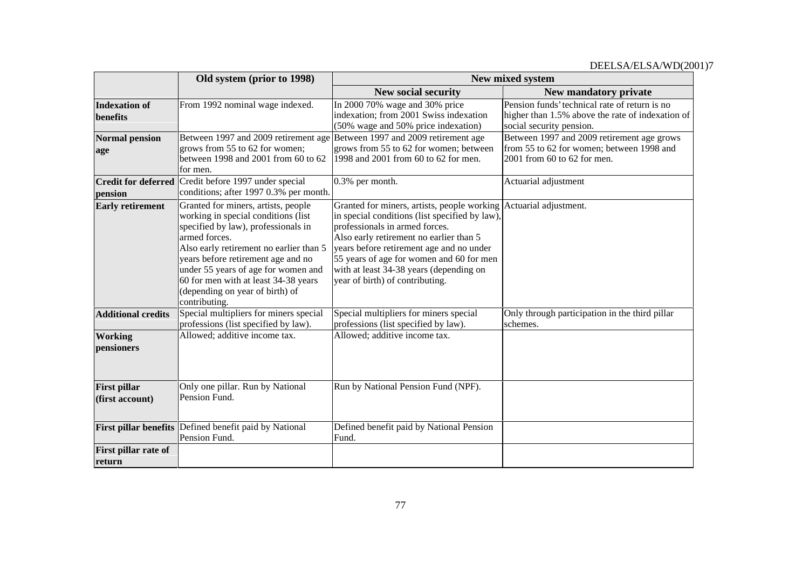|                                        | Old system (prior to 1998)                                                                                                                                                                                                                                                                                                                             |                                                                                                                                                                                                                                                                                                                                                                        | New mixed system                                                                                                              |
|----------------------------------------|--------------------------------------------------------------------------------------------------------------------------------------------------------------------------------------------------------------------------------------------------------------------------------------------------------------------------------------------------------|------------------------------------------------------------------------------------------------------------------------------------------------------------------------------------------------------------------------------------------------------------------------------------------------------------------------------------------------------------------------|-------------------------------------------------------------------------------------------------------------------------------|
|                                        |                                                                                                                                                                                                                                                                                                                                                        | <b>New social security</b>                                                                                                                                                                                                                                                                                                                                             | New mandatory private                                                                                                         |
| <b>Indexation of</b><br>benefits       | From 1992 nominal wage indexed.                                                                                                                                                                                                                                                                                                                        | In 2000 70% wage and 30% price<br>indexation; from 2001 Swiss indexation<br>(50% wage and 50% price indexation)                                                                                                                                                                                                                                                        | Pension funds' technical rate of return is no<br>higher than 1.5% above the rate of indexation of<br>social security pension. |
| <b>Normal pension</b><br>age           | grows from 55 to 62 for women;<br>between 1998 and 2001 from 60 to 62<br>for men.                                                                                                                                                                                                                                                                      | Between 1997 and 2009 retirement age Between 1997 and 2009 retirement age<br>grows from 55 to 62 for women; between<br>1998 and 2001 from 60 to 62 for men.                                                                                                                                                                                                            | Between 1997 and 2009 retirement age grows<br>from 55 to 62 for women; between 1998 and<br>2001 from 60 to 62 for men.        |
| pension                                | <b>Credit for deferred</b> Credit before 1997 under special<br>conditions; after 1997 0.3% per month.                                                                                                                                                                                                                                                  | 0.3% per month.                                                                                                                                                                                                                                                                                                                                                        | Actuarial adjustment                                                                                                          |
| <b>Early retirement</b>                | Granted for miners, artists, people<br>working in special conditions (list<br>specified by law), professionals in<br>armed forces.<br>Also early retirement no earlier than 5<br>years before retirement age and no<br>under 55 years of age for women and<br>60 for men with at least 34-38 years<br>(depending on year of birth) of<br>contributing. | Granted for miners, artists, people working Actuarial adjustment.<br>in special conditions (list specified by law),<br>professionals in armed forces.<br>Also early retirement no earlier than 5<br>years before retirement age and no under<br>55 years of age for women and 60 for men<br>with at least 34-38 years (depending on<br>year of birth) of contributing. |                                                                                                                               |
| <b>Additional credits</b>              | Special multipliers for miners special<br>professions (list specified by law).                                                                                                                                                                                                                                                                         | Special multipliers for miners special<br>professions (list specified by law).                                                                                                                                                                                                                                                                                         | Only through participation in the third pillar<br>schemes.                                                                    |
| Working<br>pensioners                  | Allowed; additive income tax.                                                                                                                                                                                                                                                                                                                          | Allowed; additive income tax.                                                                                                                                                                                                                                                                                                                                          |                                                                                                                               |
| <b>First pillar</b><br>(first account) | Only one pillar. Run by National<br>Pension Fund.                                                                                                                                                                                                                                                                                                      | Run by National Pension Fund (NPF).                                                                                                                                                                                                                                                                                                                                    |                                                                                                                               |
| <b>First pillar benefits</b>           | Defined benefit paid by National<br>Pension Fund.                                                                                                                                                                                                                                                                                                      | Defined benefit paid by National Pension<br>Fund.                                                                                                                                                                                                                                                                                                                      |                                                                                                                               |
| First pillar rate of<br>return         |                                                                                                                                                                                                                                                                                                                                                        |                                                                                                                                                                                                                                                                                                                                                                        |                                                                                                                               |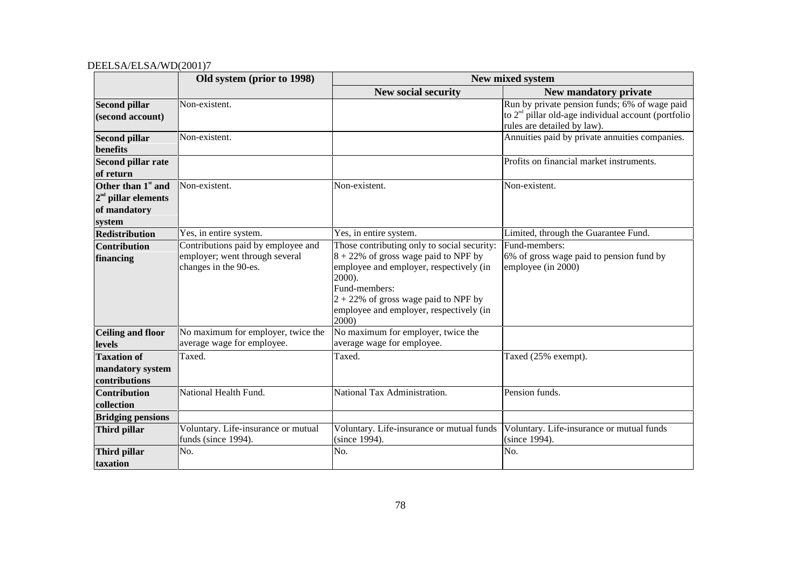|                                                                                   | Old system (prior to 1998)                                                                    | New mixed system                                                                                                                                                                                                                                            |                                                                                                                                       |  |
|-----------------------------------------------------------------------------------|-----------------------------------------------------------------------------------------------|-------------------------------------------------------------------------------------------------------------------------------------------------------------------------------------------------------------------------------------------------------------|---------------------------------------------------------------------------------------------------------------------------------------|--|
|                                                                                   |                                                                                               | New social security                                                                                                                                                                                                                                         | New mandatory private                                                                                                                 |  |
| <b>Second pillar</b><br>(second account)                                          | Non-existent.                                                                                 |                                                                                                                                                                                                                                                             | Run by private pension funds; 6% of wage paid<br>to $2nd$ pillar old-age individual account (portfolio<br>rules are detailed by law). |  |
| <b>Second pillar</b><br>benefits                                                  | Non-existent.                                                                                 |                                                                                                                                                                                                                                                             | Annuities paid by private annuities companies.                                                                                        |  |
| Second pillar rate<br>of return                                                   |                                                                                               |                                                                                                                                                                                                                                                             | Profits on financial market instruments.                                                                                              |  |
| Other than $1^{\text{st}}$ and<br>$2nd$ pillar elements<br>of mandatory<br>system | Non-existent.                                                                                 | Non-existent.                                                                                                                                                                                                                                               | Non-existent.                                                                                                                         |  |
| <b>Redistribution</b>                                                             | Yes, in entire system.                                                                        | Yes, in entire system.                                                                                                                                                                                                                                      | Limited, through the Guarantee Fund.                                                                                                  |  |
| <b>Contribution</b><br>financing                                                  | Contributions paid by employee and<br>employer; went through several<br>changes in the 90-es. | Those contributing only to social security:<br>$8 + 22\%$ of gross wage paid to NPF by<br>employee and employer, respectively (in<br>2000).<br>Fund-members:<br>$2 + 22\%$ of gross wage paid to NPF by<br>employee and employer, respectively (in<br>2000) | Fund-members:<br>6% of gross wage paid to pension fund by<br>employee (in 2000)                                                       |  |
| <b>Ceiling and floor</b>                                                          | No maximum for employer, twice the                                                            | No maximum for employer, twice the                                                                                                                                                                                                                          |                                                                                                                                       |  |
| levels                                                                            | average wage for employee.                                                                    | average wage for employee.                                                                                                                                                                                                                                  |                                                                                                                                       |  |
| <b>Taxation of</b><br>mandatory system<br>contributions                           | Taxed.                                                                                        | Taxed.                                                                                                                                                                                                                                                      | Taxed (25% exempt).                                                                                                                   |  |
| <b>Contribution</b><br>collection                                                 | National Health Fund.                                                                         | National Tax Administration.                                                                                                                                                                                                                                | Pension funds.                                                                                                                        |  |
| <b>Bridging pensions</b>                                                          |                                                                                               |                                                                                                                                                                                                                                                             |                                                                                                                                       |  |
| Third pillar                                                                      | Voluntary. Life-insurance or mutual<br>funds (since 1994).                                    | Voluntary. Life-insurance or mutual funds<br>(since 1994).                                                                                                                                                                                                  | Voluntary. Life-insurance or mutual funds<br>(since 1994).                                                                            |  |
| Third pillar<br>taxation                                                          | No.                                                                                           | No.                                                                                                                                                                                                                                                         | No.                                                                                                                                   |  |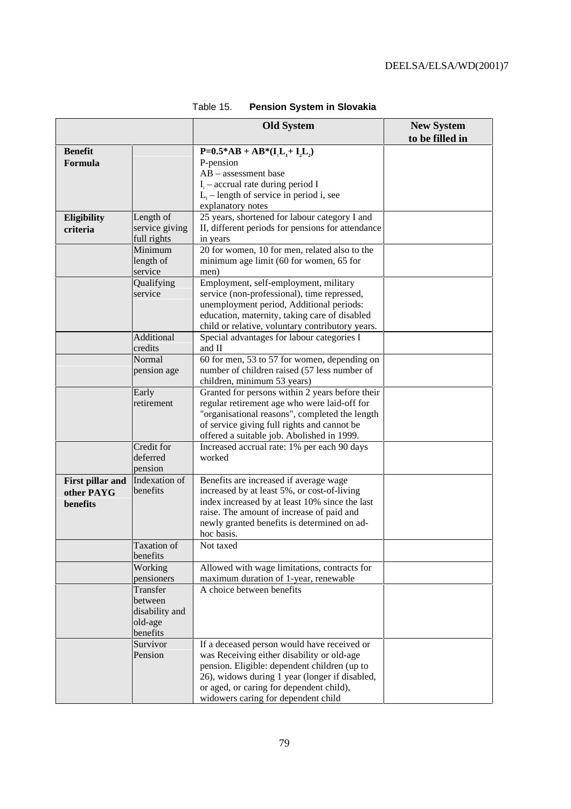|                         |                     | <b>Old System</b>                                                              | <b>New System</b> |
|-------------------------|---------------------|--------------------------------------------------------------------------------|-------------------|
|                         |                     |                                                                                | to be filled in   |
| <b>Benefit</b>          |                     | $P=0.5*AB+AB*(I1-I1+I2)$                                                       |                   |
| Formula                 |                     | P-pension                                                                      |                   |
|                         |                     | $AB$ – assessment base                                                         |                   |
|                         |                     | $I_i$ – accrual rate during period I                                           |                   |
|                         |                     | $L_1$ – length of service in period i, see                                     |                   |
|                         | Length of           | explanatory notes<br>25 years, shortened for labour category I and             |                   |
| Eligibility             | service giving      | II, different periods for pensions for attendance                              |                   |
| criteria                | full rights         | in years                                                                       |                   |
|                         | Minimum             | 20 for women, 10 for men, related also to the                                  |                   |
|                         | length of           | minimum age limit (60 for women, 65 for                                        |                   |
|                         | service             | men)                                                                           |                   |
|                         | Qualifying          | Employment, self-employment, military                                          |                   |
|                         | service             | service (non-professional), time repressed,                                    |                   |
|                         |                     | unemployment period, Additional periods:                                       |                   |
|                         |                     | education, maternity, taking care of disabled                                  |                   |
|                         |                     | child or relative, voluntary contributory years.                               |                   |
|                         | <b>Additional</b>   | Special advantages for labour categories I                                     |                   |
|                         | credits             | and II                                                                         |                   |
|                         | Normal              | 60 for men, 53 to 57 for women, depending on                                   |                   |
|                         | pension age         | number of children raised (57 less number of                                   |                   |
|                         | Early               | children, minimum 53 years)<br>Granted for persons within 2 years before their |                   |
|                         | retirement          | regular retirement age who were laid-off for                                   |                   |
|                         |                     | "organisational reasons", completed the length                                 |                   |
|                         |                     | of service giving full rights and cannot be                                    |                   |
|                         |                     | offered a suitable job. Abolished in 1999.                                     |                   |
|                         | Credit for          | Increased accrual rate: 1% per each 90 days                                    |                   |
|                         | deferred            | worked                                                                         |                   |
|                         | pension             |                                                                                |                   |
| <b>First pillar and</b> | Indexation of       | Benefits are increased if average wage                                         |                   |
| other PAYG              | benefits            | increased by at least 5%, or cost-of-living                                    |                   |
| benefits                |                     | index increased by at least 10% since the last                                 |                   |
|                         |                     | raise. The amount of increase of paid and                                      |                   |
|                         |                     | newly granted benefits is determined on ad-<br>hoc basis.                      |                   |
|                         | Taxation of         | Not taxed                                                                      |                   |
|                         | benefits            |                                                                                |                   |
|                         | Working             | Allowed with wage limitations, contracts for                                   |                   |
|                         | pensioners          | maximum duration of 1-year, renewable                                          |                   |
|                         | Transfer            | A choice between benefits                                                      |                   |
|                         | between             |                                                                                |                   |
|                         | disability and      |                                                                                |                   |
|                         | old-age<br>benefits |                                                                                |                   |
|                         | Survivor            | If a deceased person would have received or                                    |                   |
|                         | Pension             | was Receiving either disability or old-age                                     |                   |
|                         |                     | pension. Eligible: dependent children (up to                                   |                   |
|                         |                     | 26), widows during 1 year (longer if disabled,                                 |                   |
|                         |                     | or aged, or caring for dependent child),                                       |                   |
|                         |                     | widowers caring for dependent child                                            |                   |

# Table 15. **Pension System in Slovakia**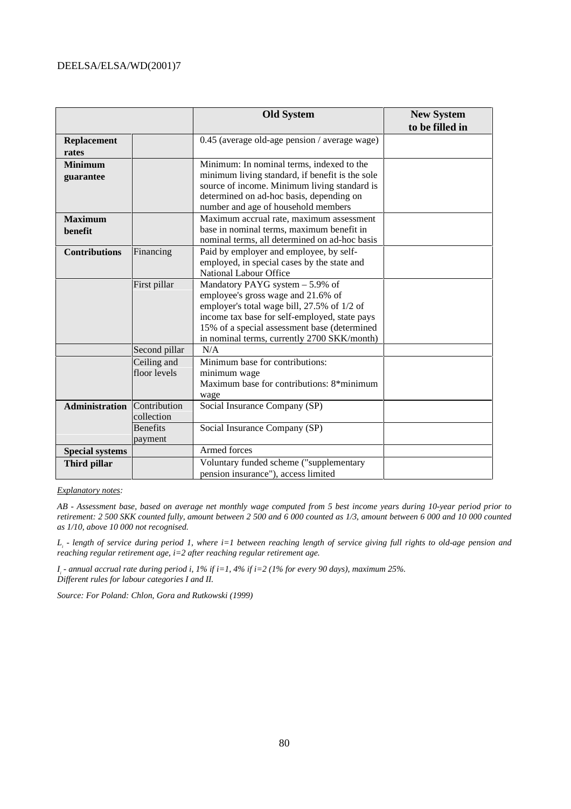|                        |                 | <b>Old System</b>                               | <b>New System</b> |
|------------------------|-----------------|-------------------------------------------------|-------------------|
|                        |                 |                                                 | to be filled in   |
| <b>Replacement</b>     |                 | 0.45 (average old-age pension / average wage)   |                   |
| rates                  |                 |                                                 |                   |
| <b>Minimum</b>         |                 | Minimum: In nominal terms, indexed to the       |                   |
| guarantee              |                 | minimum living standard, if benefit is the sole |                   |
|                        |                 | source of income. Minimum living standard is    |                   |
|                        |                 | determined on ad-hoc basis, depending on        |                   |
|                        |                 | number and age of household members             |                   |
| <b>Maximum</b>         |                 | Maximum accrual rate, maximum assessment        |                   |
| benefit                |                 | base in nominal terms, maximum benefit in       |                   |
|                        |                 | nominal terms, all determined on ad-hoc basis   |                   |
| <b>Contributions</b>   | Financing       | Paid by employer and employee, by self-         |                   |
|                        |                 | employed, in special cases by the state and     |                   |
|                        |                 | <b>National Labour Office</b>                   |                   |
|                        | First pillar    | Mandatory PAYG system $-5.9\%$ of               |                   |
|                        |                 | employee's gross wage and 21.6% of              |                   |
|                        |                 | employer's total wage bill, 27.5% of 1/2 of     |                   |
|                        |                 | income tax base for self-employed, state pays   |                   |
|                        |                 | 15% of a special assessment base (determined    |                   |
|                        |                 | in nominal terms, currently 2700 SKK/month)     |                   |
|                        | Second pillar   | N/A                                             |                   |
|                        | Ceiling and     | Minimum base for contributions:                 |                   |
|                        | floor levels    | minimum wage                                    |                   |
|                        |                 | Maximum base for contributions: 8*minimum       |                   |
|                        |                 | wage                                            |                   |
| <b>Administration</b>  | Contribution    | Social Insurance Company (SP)                   |                   |
|                        | collection      |                                                 |                   |
|                        | <b>Benefits</b> | Social Insurance Company (SP)                   |                   |
|                        | payment         |                                                 |                   |
| <b>Special systems</b> |                 | Armed forces                                    |                   |
| Third pillar           |                 | Voluntary funded scheme ("supplementary         |                   |
|                        |                 | pension insurance"), access limited             |                   |

#### *Explanatory notes:*

*AB - Assessment base, based on average net monthly wage computed from 5 best income years during 10-year period prior to retirement: 2 500 SKK counted fully, amount between 2 500 and 6 000 counted as 1/3, amount between 6 000 and 10 000 counted as 1/10, above 10 000 not recognised.*

*Li - length of service during period 1, where i=1 between reaching length of service giving full rights to old-age pension and reaching regular retirement age, i=2 after reaching regular retirement age.*

*Ii - annual accrual rate during period i, 1% if i=1, 4% if i=2 (1% for every 90 days), maximum 25%. Different rules for labour categories I and II.*

*Source: For Poland: Chlon, Gora and Rutkowski (1999)*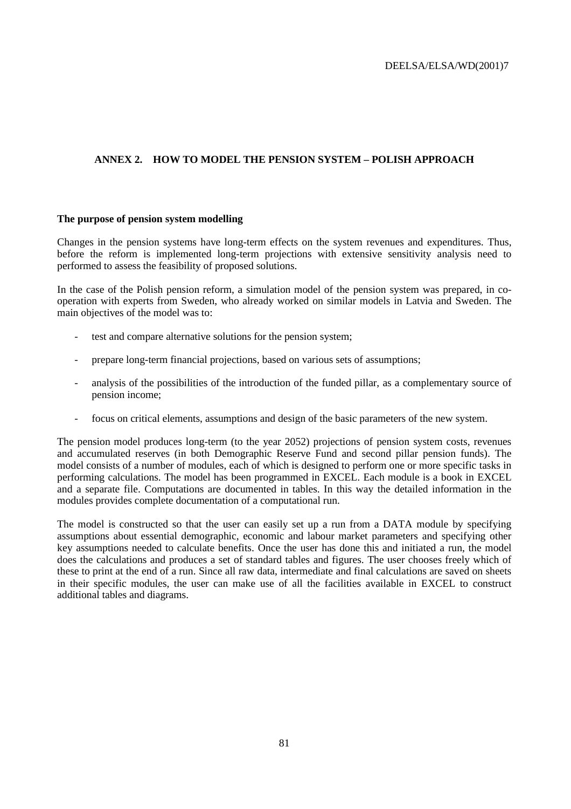## **ANNEX 2. HOW TO MODEL THE PENSION SYSTEM – POLISH APPROACH**

### **The purpose of pension system modelling**

Changes in the pension systems have long-term effects on the system revenues and expenditures. Thus, before the reform is implemented long-term projections with extensive sensitivity analysis need to performed to assess the feasibility of proposed solutions.

In the case of the Polish pension reform, a simulation model of the pension system was prepared, in cooperation with experts from Sweden, who already worked on similar models in Latvia and Sweden. The main objectives of the model was to:

- test and compare alternative solutions for the pension system;
- prepare long-term financial projections, based on various sets of assumptions;
- analysis of the possibilities of the introduction of the funded pillar, as a complementary source of pension income;
- focus on critical elements, assumptions and design of the basic parameters of the new system.

The pension model produces long-term (to the year 2052) projections of pension system costs, revenues and accumulated reserves (in both Demographic Reserve Fund and second pillar pension funds). The model consists of a number of modules, each of which is designed to perform one or more specific tasks in performing calculations. The model has been programmed in EXCEL. Each module is a book in EXCEL and a separate file. Computations are documented in tables. In this way the detailed information in the modules provides complete documentation of a computational run.

The model is constructed so that the user can easily set up a run from a DATA module by specifying assumptions about essential demographic, economic and labour market parameters and specifying other key assumptions needed to calculate benefits. Once the user has done this and initiated a run, the model does the calculations and produces a set of standard tables and figures. The user chooses freely which of these to print at the end of a run. Since all raw data, intermediate and final calculations are saved on sheets in their specific modules, the user can make use of all the facilities available in EXCEL to construct additional tables and diagrams.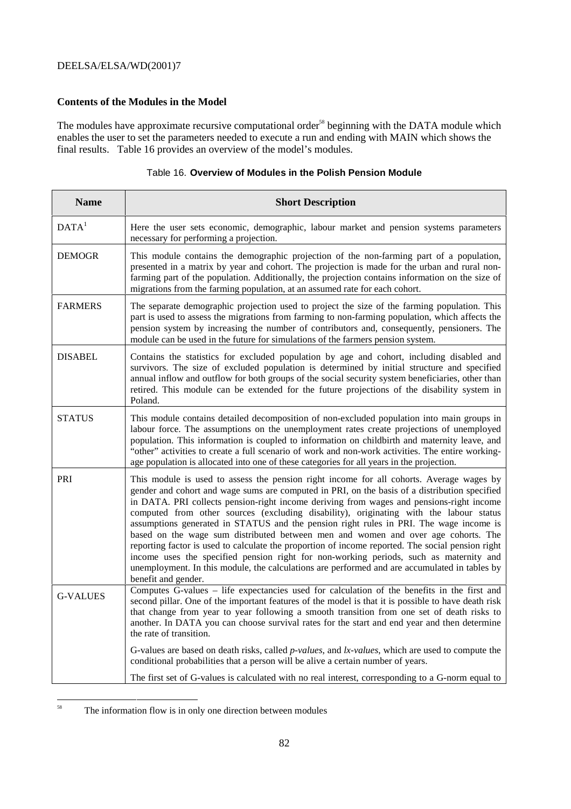### **Contents of the Modules in the Model**

The modules have approximate recursive computational order<sup>58</sup> beginning with the DATA module which enables the user to set the parameters needed to execute a run and ending with MAIN which shows the final results. Table 16 provides an overview of the model's modules.

| Table 16. Overview of Modules in the Polish Pension Module |  |  |  |  |  |
|------------------------------------------------------------|--|--|--|--|--|
|------------------------------------------------------------|--|--|--|--|--|

| <b>Name</b>       | <b>Short Description</b>                                                                                                                                                                                                                                                                                                                                                                                                                                                                                                                                                                                                                                                                                                                                                                                                                                                              |
|-------------------|---------------------------------------------------------------------------------------------------------------------------------------------------------------------------------------------------------------------------------------------------------------------------------------------------------------------------------------------------------------------------------------------------------------------------------------------------------------------------------------------------------------------------------------------------------------------------------------------------------------------------------------------------------------------------------------------------------------------------------------------------------------------------------------------------------------------------------------------------------------------------------------|
| DATA <sup>1</sup> | Here the user sets economic, demographic, labour market and pension systems parameters<br>necessary for performing a projection.                                                                                                                                                                                                                                                                                                                                                                                                                                                                                                                                                                                                                                                                                                                                                      |
| <b>DEMOGR</b>     | This module contains the demographic projection of the non-farming part of a population,<br>presented in a matrix by year and cohort. The projection is made for the urban and rural non-<br>farming part of the population. Additionally, the projection contains information on the size of<br>migrations from the farming population, at an assumed rate for each cohort.                                                                                                                                                                                                                                                                                                                                                                                                                                                                                                          |
| <b>FARMERS</b>    | The separate demographic projection used to project the size of the farming population. This<br>part is used to assess the migrations from farming to non-farming population, which affects the<br>pension system by increasing the number of contributors and, consequently, pensioners. The<br>module can be used in the future for simulations of the farmers pension system.                                                                                                                                                                                                                                                                                                                                                                                                                                                                                                      |
| <b>DISABEL</b>    | Contains the statistics for excluded population by age and cohort, including disabled and<br>survivors. The size of excluded population is determined by initial structure and specified<br>annual inflow and outflow for both groups of the social security system beneficiaries, other than<br>retired. This module can be extended for the future projections of the disability system in<br>Poland.                                                                                                                                                                                                                                                                                                                                                                                                                                                                               |
| <b>STATUS</b>     | This module contains detailed decomposition of non-excluded population into main groups in<br>labour force. The assumptions on the unemployment rates create projections of unemployed<br>population. This information is coupled to information on childbirth and maternity leave, and<br>"other" activities to create a full scenario of work and non-work activities. The entire working-<br>age population is allocated into one of these categories for all years in the projection.                                                                                                                                                                                                                                                                                                                                                                                             |
| PRI               | This module is used to assess the pension right income for all cohorts. Average wages by<br>gender and cohort and wage sums are computed in PRI, on the basis of a distribution specified<br>in DATA. PRI collects pension-right income deriving from wages and pensions-right income<br>computed from other sources (excluding disability), originating with the labour status<br>assumptions generated in STATUS and the pension right rules in PRI. The wage income is<br>based on the wage sum distributed between men and women and over age cohorts. The<br>reporting factor is used to calculate the proportion of income reported. The social pension right<br>income uses the specified pension right for non-working periods, such as maternity and<br>unemployment. In this module, the calculations are performed and are accumulated in tables by<br>benefit and gender. |
| <b>G-VALUES</b>   | Computes G-values – life expectancies used for calculation of the benefits in the first and<br>second pillar. One of the important features of the model is that it is possible to have death risk<br>that change from year to year following a smooth transition from one set of death risks to<br>another. In DATA you can choose survival rates for the start and end year and then determine<br>the rate of transition.                                                                                                                                                                                                                                                                                                                                                                                                                                                           |
|                   | G-values are based on death risks, called <i>p-values</i> , and <i>lx-values</i> , which are used to compute the<br>conditional probabilities that a person will be alive a certain number of years.                                                                                                                                                                                                                                                                                                                                                                                                                                                                                                                                                                                                                                                                                  |
|                   | The first set of G-values is calculated with no real interest, corresponding to a G-norm equal to                                                                                                                                                                                                                                                                                                                                                                                                                                                                                                                                                                                                                                                                                                                                                                                     |

<sup>&</sup>lt;sup>58</sup> The information flow is in only one direction between modules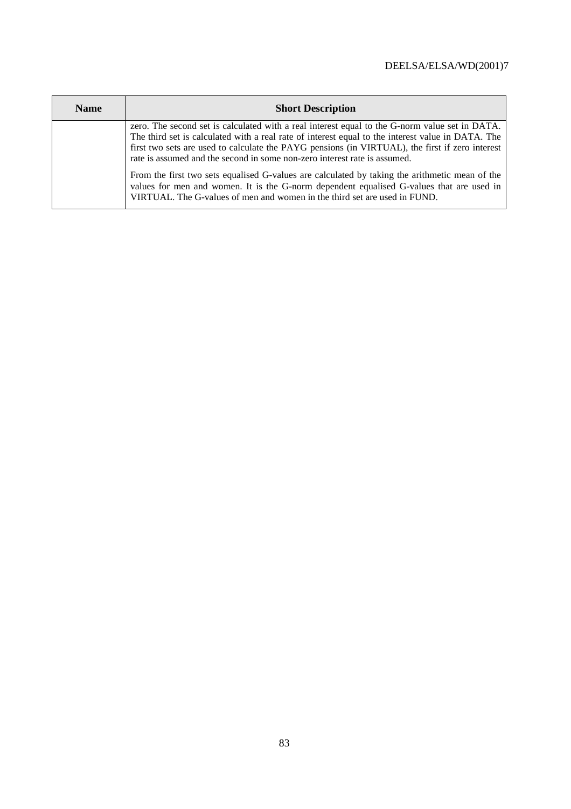| <b>Name</b> | <b>Short Description</b>                                                                                                                                                                                                                                                                                                                                                            |
|-------------|-------------------------------------------------------------------------------------------------------------------------------------------------------------------------------------------------------------------------------------------------------------------------------------------------------------------------------------------------------------------------------------|
|             | zero. The second set is calculated with a real interest equal to the G-norm value set in DATA.<br>The third set is calculated with a real rate of interest equal to the interest value in DATA. The<br>first two sets are used to calculate the PAYG pensions (in VIRTUAL), the first if zero interest<br>rate is assumed and the second in some non-zero interest rate is assumed. |
|             | From the first two sets equalised G-values are calculated by taking the arithmetic mean of the<br>values for men and women. It is the G-norm dependent equalised G-values that are used in<br>VIRTUAL. The G-values of men and women in the third set are used in FUND.                                                                                                             |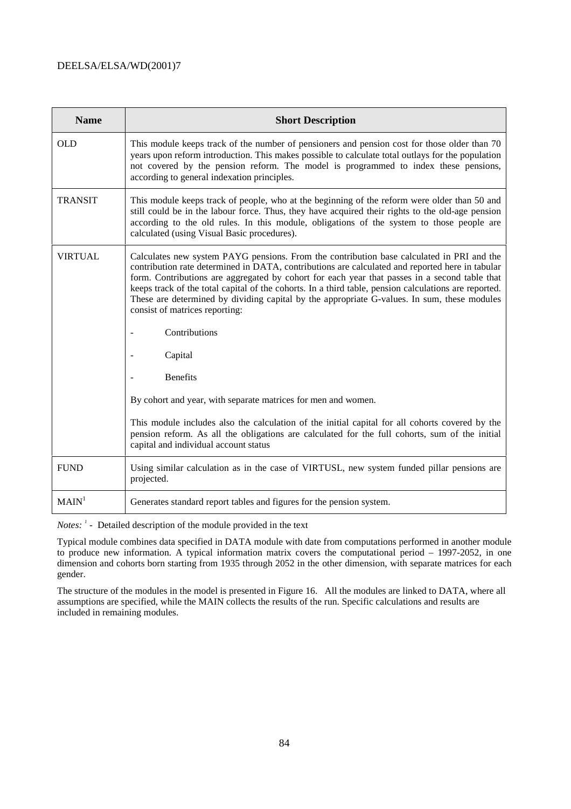| <b>Name</b>       | <b>Short Description</b>                                                                                                                                                                                                                                                                                                                                                                                                                                                                                                                |
|-------------------|-----------------------------------------------------------------------------------------------------------------------------------------------------------------------------------------------------------------------------------------------------------------------------------------------------------------------------------------------------------------------------------------------------------------------------------------------------------------------------------------------------------------------------------------|
| <b>OLD</b>        | This module keeps track of the number of pensioners and pension cost for those older than 70<br>years upon reform introduction. This makes possible to calculate total outlays for the population<br>not covered by the pension reform. The model is programmed to index these pensions,<br>according to general indexation principles.                                                                                                                                                                                                 |
| <b>TRANSIT</b>    | This module keeps track of people, who at the beginning of the reform were older than 50 and<br>still could be in the labour force. Thus, they have acquired their rights to the old-age pension<br>according to the old rules. In this module, obligations of the system to those people are<br>calculated (using Visual Basic procedures).                                                                                                                                                                                            |
| <b>VIRTUAL</b>    | Calculates new system PAYG pensions. From the contribution base calculated in PRI and the<br>contribution rate determined in DATA, contributions are calculated and reported here in tabular<br>form. Contributions are aggregated by cohort for each year that passes in a second table that<br>keeps track of the total capital of the cohorts. In a third table, pension calculations are reported.<br>These are determined by dividing capital by the appropriate G-values. In sum, these modules<br>consist of matrices reporting: |
|                   | Contributions                                                                                                                                                                                                                                                                                                                                                                                                                                                                                                                           |
|                   | Capital                                                                                                                                                                                                                                                                                                                                                                                                                                                                                                                                 |
|                   | <b>Benefits</b>                                                                                                                                                                                                                                                                                                                                                                                                                                                                                                                         |
|                   | By cohort and year, with separate matrices for men and women.                                                                                                                                                                                                                                                                                                                                                                                                                                                                           |
|                   | This module includes also the calculation of the initial capital for all cohorts covered by the<br>pension reform. As all the obligations are calculated for the full cohorts, sum of the initial<br>capital and individual account status                                                                                                                                                                                                                                                                                              |
| <b>FUND</b>       | Using similar calculation as in the case of VIRTUSL, new system funded pillar pensions are<br>projected.                                                                                                                                                                                                                                                                                                                                                                                                                                |
| MAIN <sup>1</sup> | Generates standard report tables and figures for the pension system.                                                                                                                                                                                                                                                                                                                                                                                                                                                                    |

*Notes:* <sup>*1*</sup> - Detailed description of the module provided in the text

Typical module combines data specified in DATA module with date from computations performed in another module to produce new information. A typical information matrix covers the computational period – 1997-2052, in one dimension and cohorts born starting from 1935 through 2052 in the other dimension, with separate matrices for each gender.

The structure of the modules in the model is presented in Figure 16. All the modules are linked to DATA, where all assumptions are specified, while the MAIN collects the results of the run. Specific calculations and results are included in remaining modules.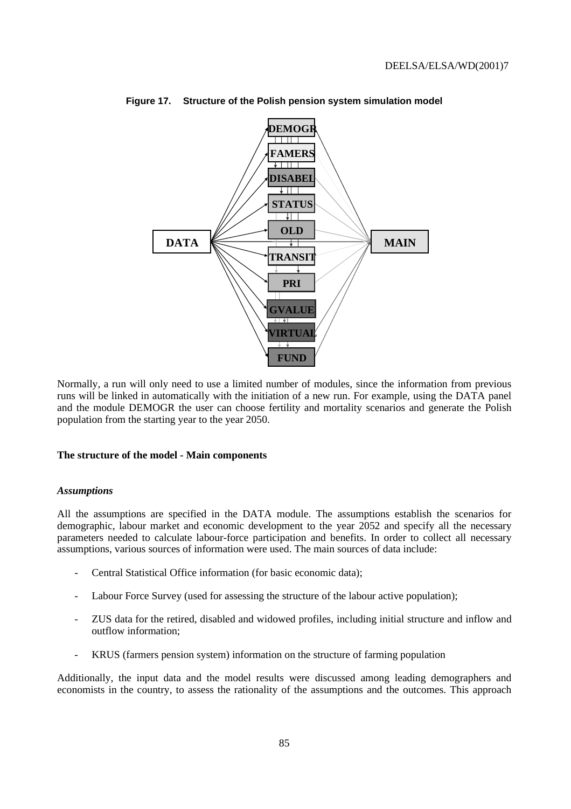

**Figure 17. Structure of the Polish pension system simulation model**

Normally, a run will only need to use a limited number of modules, since the information from previous runs will be linked in automatically with the initiation of a new run. For example, using the DATA panel and the module DEMOGR the user can choose fertility and mortality scenarios and generate the Polish population from the starting year to the year 2050.

#### **The structure of the model - Main components**

#### *Assumptions*

All the assumptions are specified in the DATA module. The assumptions establish the scenarios for demographic, labour market and economic development to the year 2052 and specify all the necessary parameters needed to calculate labour-force participation and benefits. In order to collect all necessary assumptions, various sources of information were used. The main sources of data include:

- Central Statistical Office information (for basic economic data);
- Labour Force Survey (used for assessing the structure of the labour active population);
- ZUS data for the retired, disabled and widowed profiles, including initial structure and inflow and outflow information;
- KRUS (farmers pension system) information on the structure of farming population

Additionally, the input data and the model results were discussed among leading demographers and economists in the country, to assess the rationality of the assumptions and the outcomes. This approach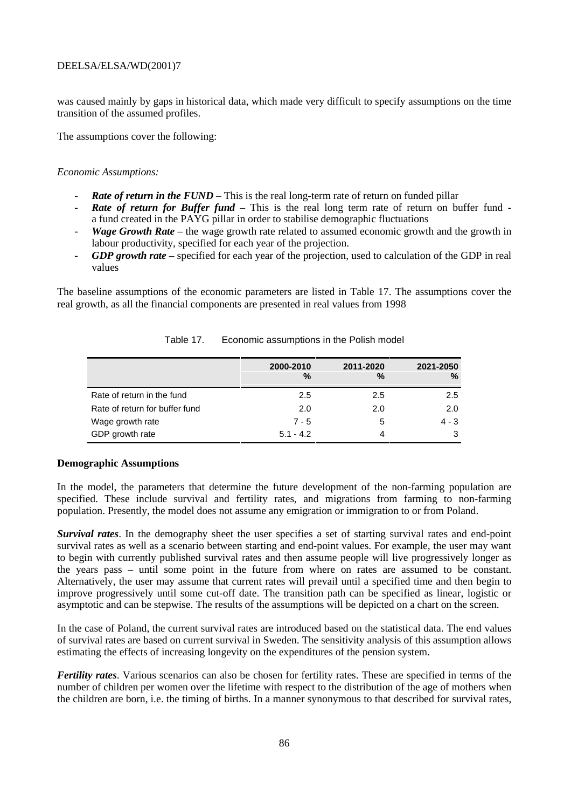was caused mainly by gaps in historical data, which made very difficult to specify assumptions on the time transition of the assumed profiles.

The assumptions cover the following:

### *Economic Assumptions:*

- *Rate of return in the FUND* This is the real long-term rate of return on funded pillar
- **Rate of return for Buffer fund** This is the real long term rate of return on buffer fund a fund created in the PAYG pillar in order to stabilise demographic fluctuations
- *Wage Growth Rate* the wage growth rate related to assumed economic growth and the growth in labour productivity, specified for each year of the projection.
- *GDP growth rate* specified for each year of the projection, used to calculation of the GDP in real values

The baseline assumptions of the economic parameters are listed in Table 17. The assumptions cover the real growth, as all the financial components are presented in real values from 1998

|                                | 2000-2010<br>% | 2011-2020<br>% | 2021-2050<br>% |
|--------------------------------|----------------|----------------|----------------|
| Rate of return in the fund     | 2.5            | 2.5            | 2.5            |
| Rate of return for buffer fund | 2.0            | 2.0            | 2.0            |
| Wage growth rate               | $7 - 5$        | 5              | $4 - 3$        |
| GDP growth rate                | $5.1 - 4.2$    | 4              | 3              |

#### Table 17. Economic assumptions in the Polish model

#### **Demographic Assumptions**

In the model, the parameters that determine the future development of the non-farming population are specified. These include survival and fertility rates, and migrations from farming to non-farming population. Presently, the model does not assume any emigration or immigration to or from Poland.

*Survival rates*. In the demography sheet the user specifies a set of starting survival rates and end-point survival rates as well as a scenario between starting and end-point values. For example, the user may want to begin with currently published survival rates and then assume people will live progressively longer as the years pass – until some point in the future from where on rates are assumed to be constant. Alternatively, the user may assume that current rates will prevail until a specified time and then begin to improve progressively until some cut-off date. The transition path can be specified as linear, logistic or asymptotic and can be stepwise. The results of the assumptions will be depicted on a chart on the screen.

In the case of Poland, the current survival rates are introduced based on the statistical data. The end values of survival rates are based on current survival in Sweden. The sensitivity analysis of this assumption allows estimating the effects of increasing longevity on the expenditures of the pension system.

*Fertility rates*. Various scenarios can also be chosen for fertility rates. These are specified in terms of the number of children per women over the lifetime with respect to the distribution of the age of mothers when the children are born, i.e. the timing of births. In a manner synonymous to that described for survival rates,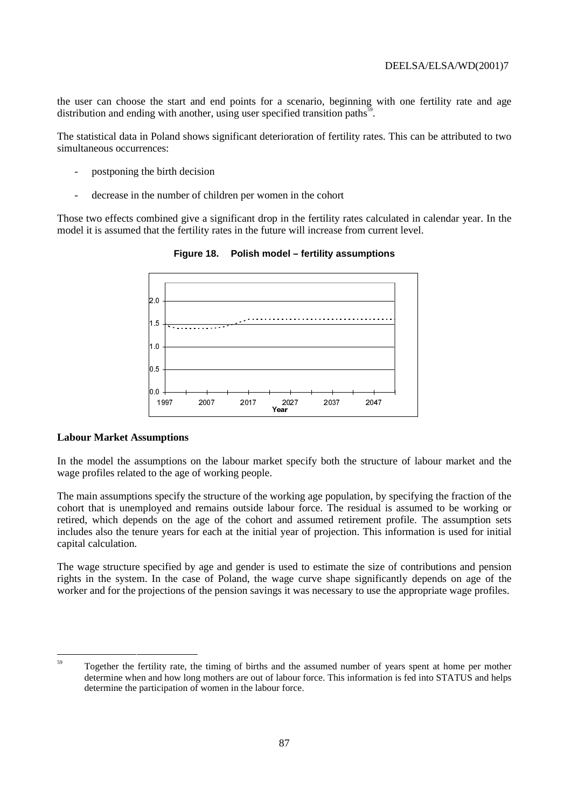the user can choose the start and end points for a scenario, beginning with one fertility rate and age distribution and ending with another, using user specified transition paths $\frac{59}{10}$ .

The statistical data in Poland shows significant deterioration of fertility rates. This can be attributed to two simultaneous occurrences:

- postponing the birth decision
- decrease in the number of children per women in the cohort

Those two effects combined give a significant drop in the fertility rates calculated in calendar year. In the model it is assumed that the fertility rates in the future will increase from current level.



**Figure 18. Polish model – fertility assumptions**

### **Labour Market Assumptions**

In the model the assumptions on the labour market specify both the structure of labour market and the wage profiles related to the age of working people.

The main assumptions specify the structure of the working age population, by specifying the fraction of the cohort that is unemployed and remains outside labour force. The residual is assumed to be working or retired, which depends on the age of the cohort and assumed retirement profile. The assumption sets includes also the tenure years for each at the initial year of projection. This information is used for initial capital calculation.

The wage structure specified by age and gender is used to estimate the size of contributions and pension rights in the system. In the case of Poland, the wage curve shape significantly depends on age of the worker and for the projections of the pension savings it was necessary to use the appropriate wage profiles.

<sup>&</sup>lt;sup>59</sup> Together the fertility rate, the timing of births and the assumed number of years spent at home per mother determine when and how long mothers are out of labour force. This information is fed into STATUS and helps determine the participation of women in the labour force.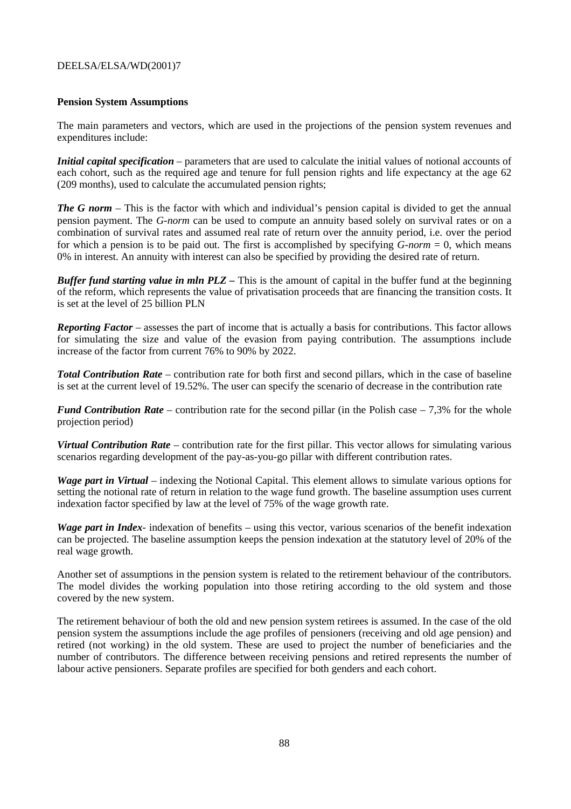### **Pension System Assumptions**

The main parameters and vectors, which are used in the projections of the pension system revenues and expenditures include:

*Initial capital specification* – parameters that are used to calculate the initial values of notional accounts of each cohort, such as the required age and tenure for full pension rights and life expectancy at the age 62 (209 months), used to calculate the accumulated pension rights;

*The G norm –* This is the factor with which and individual's pension capital is divided to get the annual pension payment. The *G-norm* can be used to compute an annuity based solely on survival rates or on a combination of survival rates and assumed real rate of return over the annuity period, i.e. over the period for which a pension is to be paid out. The first is accomplished by specifying *G-norm* = 0, which means 0% in interest. An annuity with interest can also be specified by providing the desired rate of return.

*Buffer fund starting value in mln PLZ* – This is the amount of capital in the buffer fund at the beginning of the reform, which represents the value of privatisation proceeds that are financing the transition costs. It is set at the level of 25 billion PLN

*Reporting Factor* – assesses the part of income that is actually a basis for contributions. This factor allows for simulating the size and value of the evasion from paying contribution. The assumptions include increase of the factor from current 76% to 90% by 2022.

*Total Contribution Rate* – contribution rate for both first and second pillars, which in the case of baseline is set at the current level of 19.52%. The user can specify the scenario of decrease in the contribution rate

*Fund Contribution Rate* – contribution rate for the second pillar (in the Polish case – 7,3% for the whole projection period)

*Virtual Contribution Rate* – contribution rate for the first pillar. This vector allows for simulating various scenarios regarding development of the pay-as-you-go pillar with different contribution rates.

*Wage part in Virtual* – indexing the Notional Capital. This element allows to simulate various options for setting the notional rate of return in relation to the wage fund growth. The baseline assumption uses current indexation factor specified by law at the level of 75% of the wage growth rate.

*Wage part in Index*- indexation of benefits – using this vector, various scenarios of the benefit indexation can be projected. The baseline assumption keeps the pension indexation at the statutory level of 20% of the real wage growth.

Another set of assumptions in the pension system is related to the retirement behaviour of the contributors. The model divides the working population into those retiring according to the old system and those covered by the new system.

The retirement behaviour of both the old and new pension system retirees is assumed. In the case of the old pension system the assumptions include the age profiles of pensioners (receiving and old age pension) and retired (not working) in the old system. These are used to project the number of beneficiaries and the number of contributors. The difference between receiving pensions and retired represents the number of labour active pensioners. Separate profiles are specified for both genders and each cohort.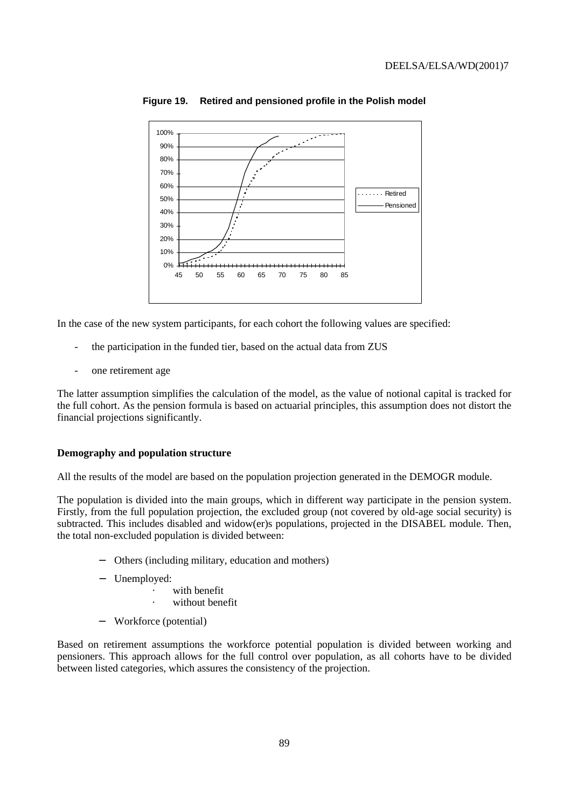

### **Figure 19. Retired and pensioned profile in the Polish model**

In the case of the new system participants, for each cohort the following values are specified:

- the participation in the funded tier, based on the actual data from ZUS
- one retirement age

The latter assumption simplifies the calculation of the model, as the value of notional capital is tracked for the full cohort. As the pension formula is based on actuarial principles, this assumption does not distort the financial projections significantly.

#### **Demography and population structure**

All the results of the model are based on the population projection generated in the DEMOGR module.

The population is divided into the main groups, which in different way participate in the pension system. Firstly, from the full population projection, the excluded group (not covered by old-age social security) is subtracted. This includes disabled and widow(er)s populations, projected in the DISABEL module. Then, the total non-excluded population is divided between:

- Others (including military, education and mothers)
- Unemployed:
	- with benefit
		- without benefit
- − Workforce (potential)

Based on retirement assumptions the workforce potential population is divided between working and pensioners. This approach allows for the full control over population, as all cohorts have to be divided between listed categories, which assures the consistency of the projection.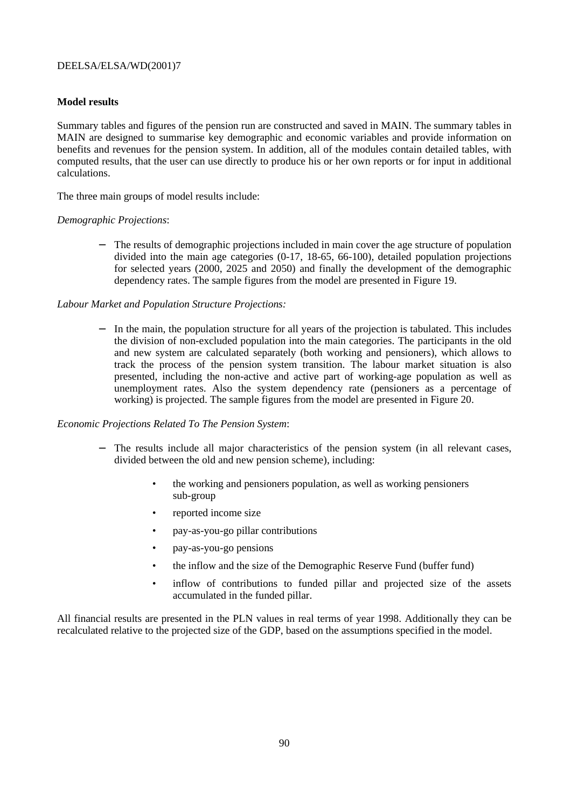### **Model results**

Summary tables and figures of the pension run are constructed and saved in MAIN. The summary tables in MAIN are designed to summarise key demographic and economic variables and provide information on benefits and revenues for the pension system. In addition, all of the modules contain detailed tables, with computed results, that the user can use directly to produce his or her own reports or for input in additional calculations.

The three main groups of model results include:

### *Demographic Projections*:

− The results of demographic projections included in main cover the age structure of population divided into the main age categories (0-17, 18-65, 66-100), detailed population projections for selected years (2000, 2025 and 2050) and finally the development of the demographic dependency rates. The sample figures from the model are presented in Figure 19.

### *Labour Market and Population Structure Projections:*

− In the main, the population structure for all years of the projection is tabulated. This includes the division of non-excluded population into the main categories. The participants in the old and new system are calculated separately (both working and pensioners), which allows to track the process of the pension system transition. The labour market situation is also presented, including the non-active and active part of working-age population as well as unemployment rates. Also the system dependency rate (pensioners as a percentage of working) is projected. The sample figures from the model are presented in Figure 20.

#### *Economic Projections Related To The Pension System*:

- − The results include all major characteristics of the pension system (in all relevant cases, divided between the old and new pension scheme), including:
	- the working and pensioners population, as well as working pensioners sub-group
	- reported income size
	- pay-as-you-go pillar contributions
	- pay-as-you-go pensions
	- the inflow and the size of the Demographic Reserve Fund (buffer fund)
	- inflow of contributions to funded pillar and projected size of the assets accumulated in the funded pillar.

All financial results are presented in the PLN values in real terms of year 1998. Additionally they can be recalculated relative to the projected size of the GDP, based on the assumptions specified in the model.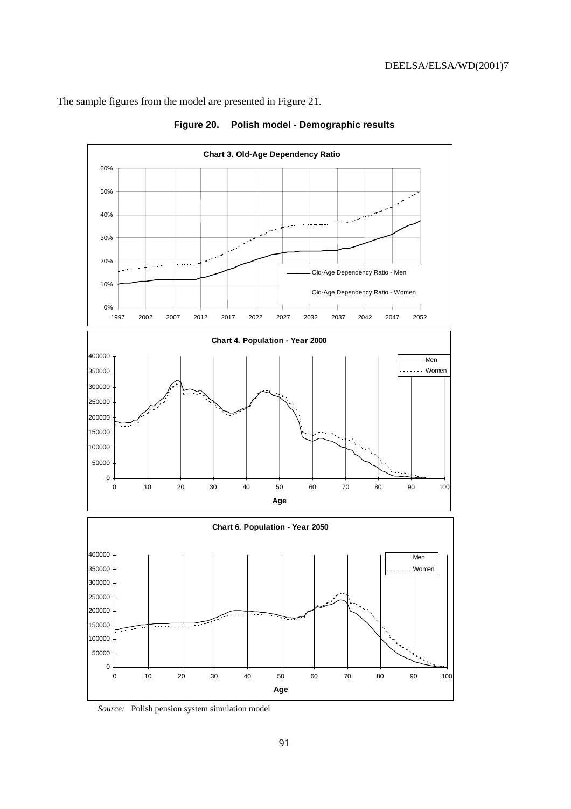The sample figures from the model are presented in Figure 21.



**Figure 20. Polish model - Demographic results**

*Source:* Polish pension system simulation model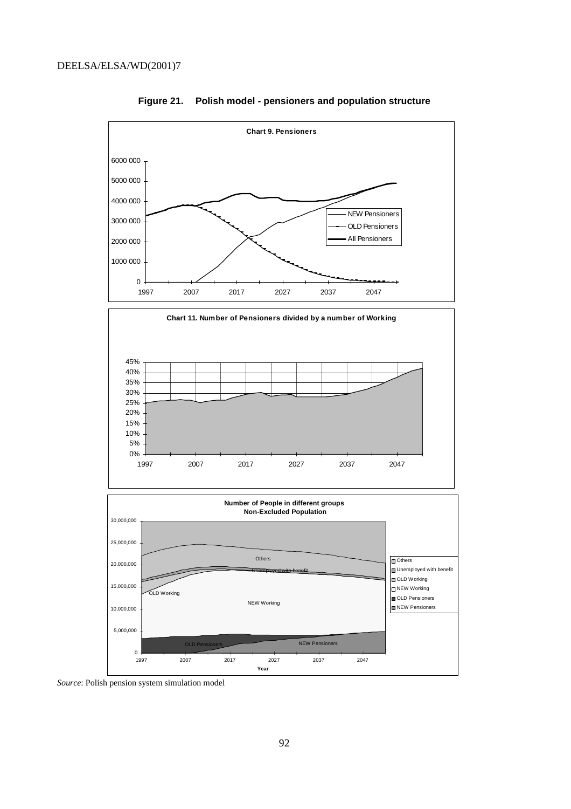

**Figure 21. Polish model - pensioners and population structure**

*Source*: Polish pension system simulation model

 $\mathbf{0}$ 

5,000,000

1997 2007 2017 2027 2037 2047 **Year**

NEW Pensioners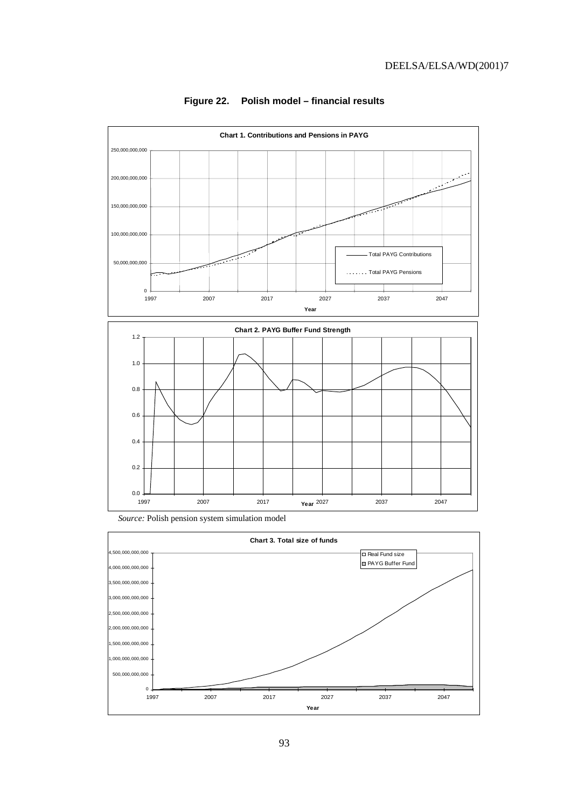

### **Figure 22. Polish model – financial results**

*Source:* Polish pension system simulation model



93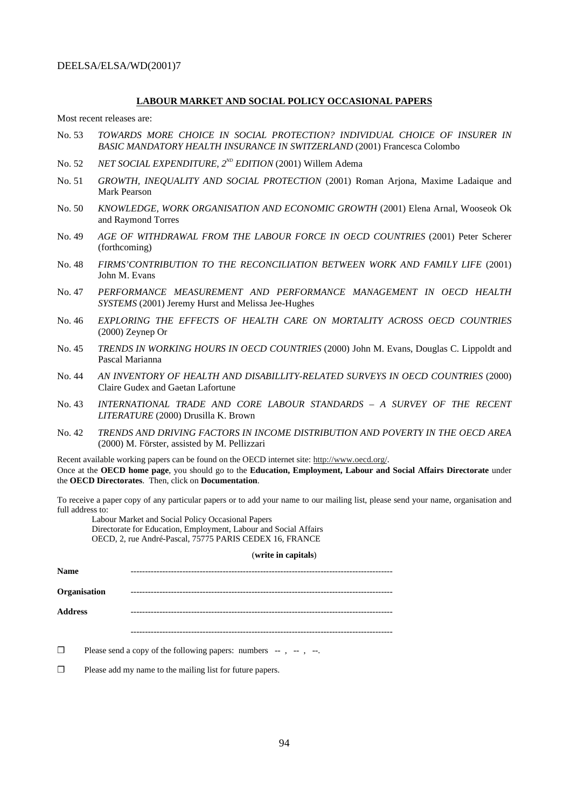#### **LABOUR MARKET AND SOCIAL POLICY OCCASIONAL PAPERS**

Most recent releases are:

- No. 53 *TOWARDS MORE CHOICE IN SOCIAL PROTECTION? INDIVIDUAL CHOICE OF INSURER IN BASIC MANDATORY HEALTH INSURANCE IN SWITZERLAND* (2001) Francesca Colombo
- No. 52 *NET SOCIAL EXPENDITURE, 2<sup>ND</sup> EDITION* (2001) Willem Adema
- No. 51 *GROWTH, INEQUALITY AND SOCIAL PROTECTION* (2001) Roman Arjona, Maxime Ladaique and Mark Pearson
- No. 50 *KNOWLEDGE, WORK ORGANISATION AND ECONOMIC GROWTH* (2001) Elena Arnal, Wooseok Ok and Raymond Torres
- No. 49 *AGE OF WITHDRAWAL FROM THE LABOUR FORCE IN OECD COUNTRIES* (2001) Peter Scherer (forthcoming)
- No. 48 *FIRMS'CONTRIBUTION TO THE RECONCILIATION BETWEEN WORK AND FAMILY LIFE* (2001) John M. Evans
- No. 47 *PERFORMANCE MEASUREMENT AND PERFORMANCE MANAGEMENT IN OECD HEALTH SYSTEMS* (2001) Jeremy Hurst and Melissa Jee-Hughes
- No. 46 *EXPLORING THE EFFECTS OF HEALTH CARE ON MORTALITY ACROSS OECD COUNTRIES* (2000) Zeynep Or
- No. 45 *TRENDS IN WORKING HOURS IN OECD COUNTRIES* (2000) John M. Evans, Douglas C. Lippoldt and Pascal Marianna
- No. 44 *AN INVENTORY OF HEALTH AND DISABILLITY-RELATED SURVEYS IN OECD COUNTRIES* (2000) Claire Gudex and Gaetan Lafortune
- No. 43 *INTERNATIONAL TRADE AND CORE LABOUR STANDARDS A SURVEY OF THE RECENT LITERATURE* (2000) Drusilla K. Brown
- No. 42 *TRENDS AND DRIVING FACTORS IN INCOME DISTRIBUTION AND POVERTY IN THE OECD AREA* (2000) M. Förster, assisted by M. Pellizzari

Recent available working papers can be found on the OECD internet site: http://www.oecd.org/. Once at the **OECD home page**, you should go to the **Education, Employment, Labour and Social Affairs Directorate** under the **OECD Directorates**. Then, click on **Documentation**.

To receive a paper copy of any particular papers or to add your name to our mailing list, please send your name, organisation and full address to:

Labour Market and Social Policy Occasional Papers Directorate for Education, Employment, Labour and Social Affairs OECD, 2, rue André-Pascal, 75775 PARIS CEDEX 16, FRANCE

#### (**write in capitals**)

**Name** ------------------------------------------------------------------------------------------- **Organisation** ------------------------------------------------------------------------------------------- **Address** ------------------------------------------------------------------------------------------- -------------------------------------------------------------------------------------------

- $\Box$  Please send a copy of the following papers: numbers  $-$ ,  $-$ ,  $-$ ,  $-$ .
- ❒ Please add my name to the mailing list for future papers.